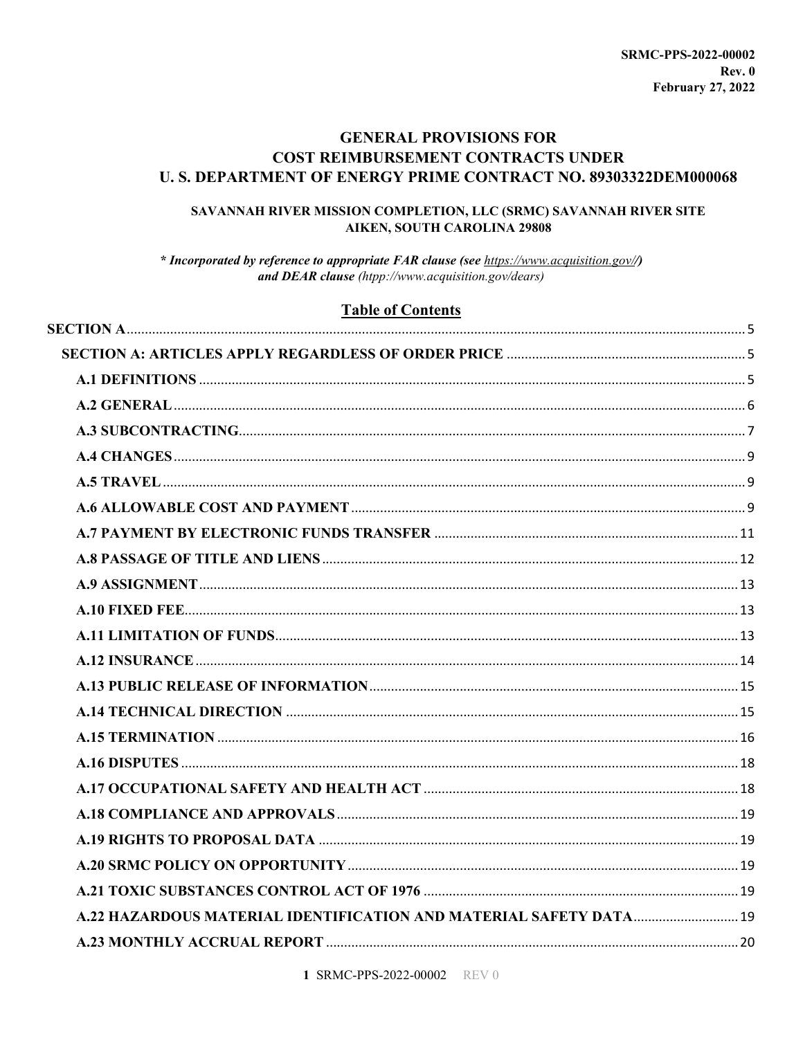# **GENERAL PROVISIONS FOR COST REIMBURSEMENT CONTRACTS UNDER** U.S. DEPARTMENT OF ENERGY PRIME CONTRACT NO. 89303322DEM000068

# SAVANNAH RIVER MISSION COMPLETION, LLC (SRMC) SAVANNAH RIVER SITE **AIKEN, SOUTH CAROLINA 29808**

\* Incorporated by reference to appropriate FAR clause (see https://www.acquisition.gov//) and DEAR clause (htpp://www.acquisition.gov/dears)

| <b>Table of Contents</b> |  |
|--------------------------|--|
|                          |  |
|                          |  |
|                          |  |
|                          |  |
|                          |  |
|                          |  |
|                          |  |
|                          |  |
|                          |  |
|                          |  |
|                          |  |
|                          |  |
|                          |  |
|                          |  |
|                          |  |
|                          |  |
|                          |  |
|                          |  |
|                          |  |
|                          |  |
|                          |  |
|                          |  |
|                          |  |
|                          |  |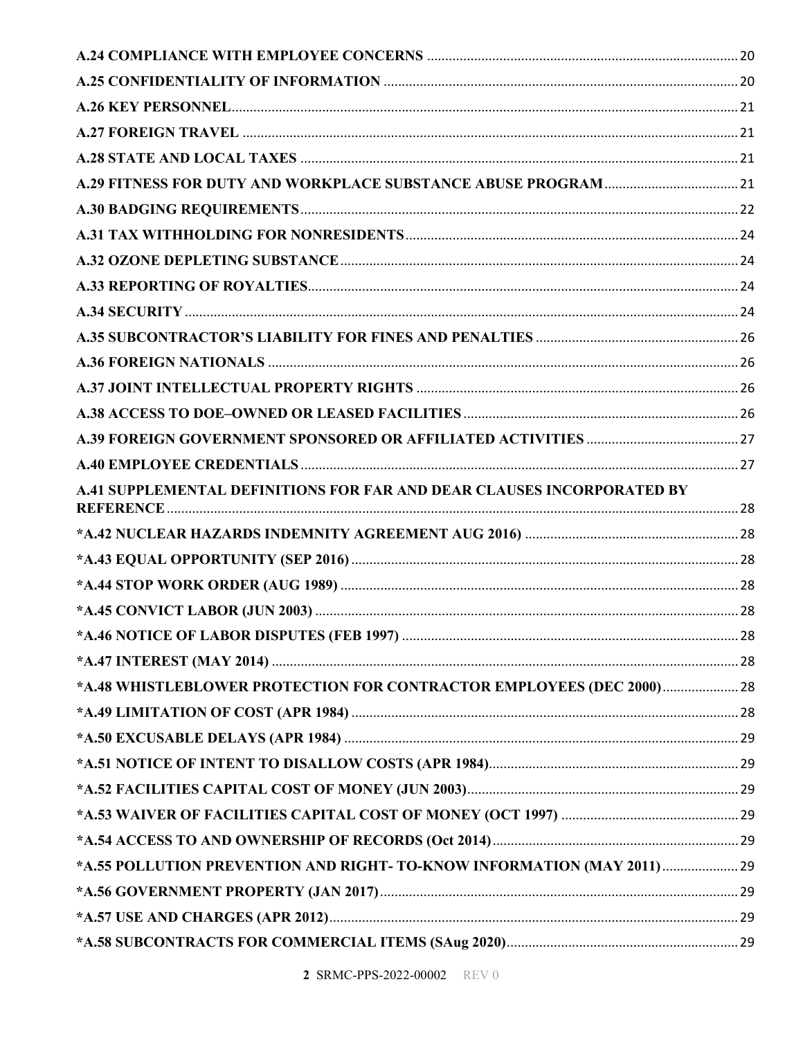| A.41 SUPPLEMENTAL DEFINITIONS FOR FAR AND DEAR CLAUSES INCORPORATED BY  |  |
|-------------------------------------------------------------------------|--|
|                                                                         |  |
|                                                                         |  |
|                                                                         |  |
|                                                                         |  |
|                                                                         |  |
|                                                                         |  |
| *A.48 WHISTLEBLOWER PROTECTION FOR CONTRACTOR EMPLOYEES (DEC 2000) 28   |  |
|                                                                         |  |
|                                                                         |  |
|                                                                         |  |
|                                                                         |  |
|                                                                         |  |
|                                                                         |  |
| *A.55 POLLUTION PREVENTION AND RIGHT- TO-KNOW INFORMATION (MAY 2011) 29 |  |
|                                                                         |  |
|                                                                         |  |
|                                                                         |  |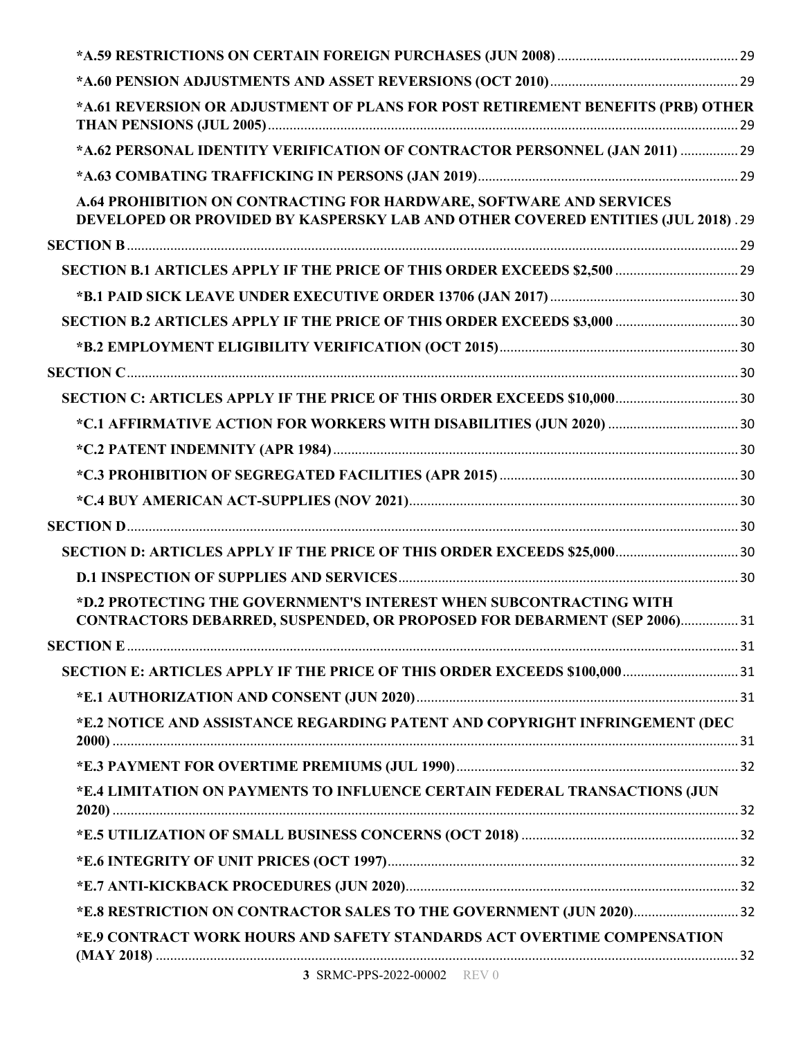| *A.61 REVERSION OR ADJUSTMENT OF PLANS FOR POST RETIREMENT BENEFITS (PRB) OTHER                                                                         |  |
|---------------------------------------------------------------------------------------------------------------------------------------------------------|--|
| *A.62 PERSONAL IDENTITY VERIFICATION OF CONTRACTOR PERSONNEL (JAN 2011)  29                                                                             |  |
|                                                                                                                                                         |  |
| A.64 PROHIBITION ON CONTRACTING FOR HARDWARE, SOFTWARE AND SERVICES<br>DEVELOPED OR PROVIDED BY KASPERSKY LAB AND OTHER COVERED ENTITIES (JUL 2018). 29 |  |
|                                                                                                                                                         |  |
| SECTION B.1 ARTICLES APPLY IF THE PRICE OF THIS ORDER EXCEEDS \$2,500  29                                                                               |  |
|                                                                                                                                                         |  |
| SECTION B.2 ARTICLES APPLY IF THE PRICE OF THIS ORDER EXCEEDS \$3,000  30                                                                               |  |
|                                                                                                                                                         |  |
|                                                                                                                                                         |  |
| SECTION C: ARTICLES APPLY IF THE PRICE OF THIS ORDER EXCEEDS \$10,000 30                                                                                |  |
|                                                                                                                                                         |  |
|                                                                                                                                                         |  |
|                                                                                                                                                         |  |
|                                                                                                                                                         |  |
|                                                                                                                                                         |  |
| SECTION D: ARTICLES APPLY IF THE PRICE OF THIS ORDER EXCEEDS \$25,000 30                                                                                |  |
|                                                                                                                                                         |  |
| *D.2 PROTECTING THE GOVERNMENT'S INTEREST WHEN SUBCONTRACTING WITH<br>CONTRACTORS DEBARRED, SUSPENDED, OR PROPOSED FOR DEBARMENT (SEP 2006) 31          |  |
|                                                                                                                                                         |  |
| SECTION E: ARTICLES APPLY IF THE PRICE OF THIS ORDER EXCEEDS \$100,000  31                                                                              |  |
|                                                                                                                                                         |  |
| *E.2 NOTICE AND ASSISTANCE REGARDING PATENT AND COPYRIGHT INFRINGEMENT (DEC                                                                             |  |
|                                                                                                                                                         |  |
| *E.4 LIMITATION ON PAYMENTS TO INFLUENCE CERTAIN FEDERAL TRANSACTIONS (JUN                                                                              |  |
|                                                                                                                                                         |  |
|                                                                                                                                                         |  |
|                                                                                                                                                         |  |
|                                                                                                                                                         |  |
| *E.9 CONTRACT WORK HOURS AND SAFETY STANDARDS ACT OVERTIME COMPENSATION                                                                                 |  |
|                                                                                                                                                         |  |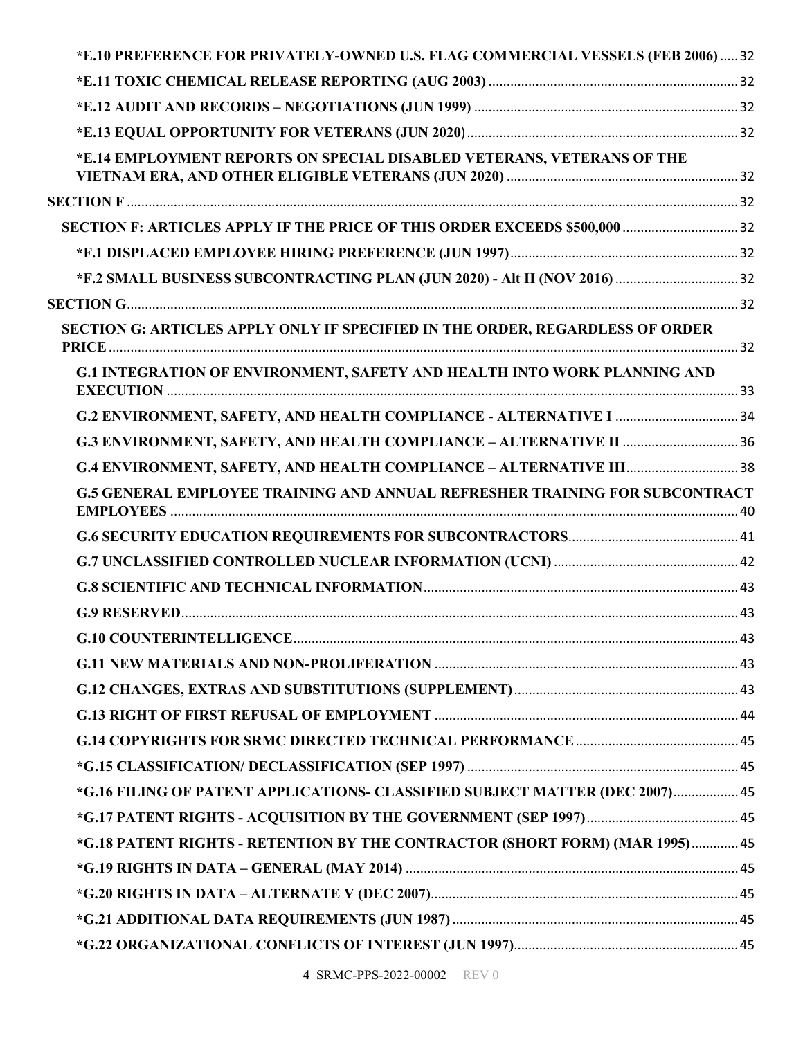| *E.10 PREFERENCE FOR PRIVATELY-OWNED U.S. FLAG COMMERCIAL VESSELS (FEB 2006)32     |  |
|------------------------------------------------------------------------------------|--|
|                                                                                    |  |
|                                                                                    |  |
|                                                                                    |  |
| *E.14 EMPLOYMENT REPORTS ON SPECIAL DISABLED VETERANS, VETERANS OF THE             |  |
|                                                                                    |  |
| SECTION F: ARTICLES APPLY IF THE PRICE OF THIS ORDER EXCEEDS \$500,000  32         |  |
|                                                                                    |  |
|                                                                                    |  |
|                                                                                    |  |
| SECTION G: ARTICLES APPLY ONLY IF SPECIFIED IN THE ORDER, REGARDLESS OF ORDER      |  |
| G.1 INTEGRATION OF ENVIRONMENT, SAFETY AND HEALTH INTO WORK PLANNING AND           |  |
|                                                                                    |  |
| G.3 ENVIRONMENT, SAFETY, AND HEALTH COMPLIANCE - ALTERNATIVE II  36                |  |
| G.4 ENVIRONMENT, SAFETY, AND HEALTH COMPLIANCE - ALTERNATIVE III38                 |  |
| <b>G.5 GENERAL EMPLOYEE TRAINING AND ANNUAL REFRESHER TRAINING FOR SUBCONTRACT</b> |  |
|                                                                                    |  |
|                                                                                    |  |
|                                                                                    |  |
|                                                                                    |  |
|                                                                                    |  |
|                                                                                    |  |
|                                                                                    |  |
|                                                                                    |  |
|                                                                                    |  |
|                                                                                    |  |
| *G.16 FILING OF PATENT APPLICATIONS- CLASSIFIED SUBJECT MATTER (DEC 2007) 45       |  |
|                                                                                    |  |
| *G.18 PATENT RIGHTS - RETENTION BY THE CONTRACTOR (SHORT FORM) (MAR 1995) 45       |  |
|                                                                                    |  |
|                                                                                    |  |
|                                                                                    |  |
|                                                                                    |  |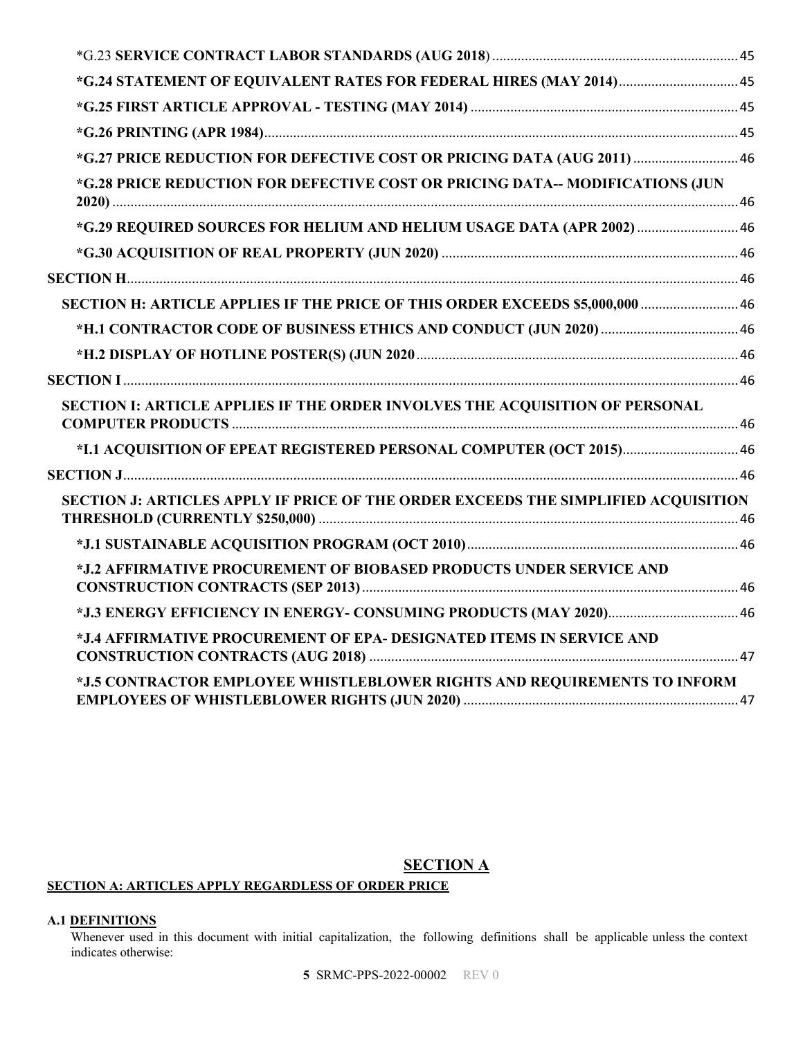| *G.24 STATEMENT OF EQUIVALENT RATES FOR FEDERAL HIRES (MAY 2014) 45                |  |
|------------------------------------------------------------------------------------|--|
|                                                                                    |  |
|                                                                                    |  |
| *G.27 PRICE REDUCTION FOR DEFECTIVE COST OR PRICING DATA (AUG 2011)  46            |  |
| *G.28 PRICE REDUCTION FOR DEFECTIVE COST OR PRICING DATA-- MODIFICATIONS (JUN      |  |
| *G.29 REQUIRED SOURCES FOR HELIUM AND HELIUM USAGE DATA (APR 2002)  46             |  |
|                                                                                    |  |
|                                                                                    |  |
| SECTION H: ARTICLE APPLIES IF THE PRICE OF THIS ORDER EXCEEDS \$5,000,000  46      |  |
|                                                                                    |  |
|                                                                                    |  |
|                                                                                    |  |
| SECTION I: ARTICLE APPLIES IF THE ORDER INVOLVES THE ACQUISITION OF PERSONAL       |  |
| *I.1 ACQUISITION OF EPEAT REGISTERED PERSONAL COMPUTER (OCT 2015) 46               |  |
|                                                                                    |  |
| SECTION J: ARTICLES APPLY IF PRICE OF THE ORDER EXCEEDS THE SIMPLIFIED ACOUISITION |  |
|                                                                                    |  |
| *J.2 AFFIRMATIVE PROCUREMENT OF BIOBASED PRODUCTS UNDER SERVICE AND                |  |
|                                                                                    |  |
| *J.4 AFFIRMATIVE PROCUREMENT OF EPA- DESIGNATED ITEMS IN SERVICE AND               |  |
| *J.5 CONTRACTOR EMPLOYEE WHISTLEBLOWER RIGHTS AND REQUIREMENTS TO INFORM           |  |

# **SECTION A**

# <span id="page-4-1"></span><span id="page-4-0"></span>**SECTION A: ARTICLES APPLY REGARDLESS OF ORDER PRICE**

# <span id="page-4-2"></span>**A.1 DEFINITIONS**

Whenever used in this document with initial capitalization, the following definitions shall be applicable unless the context indicates otherwise: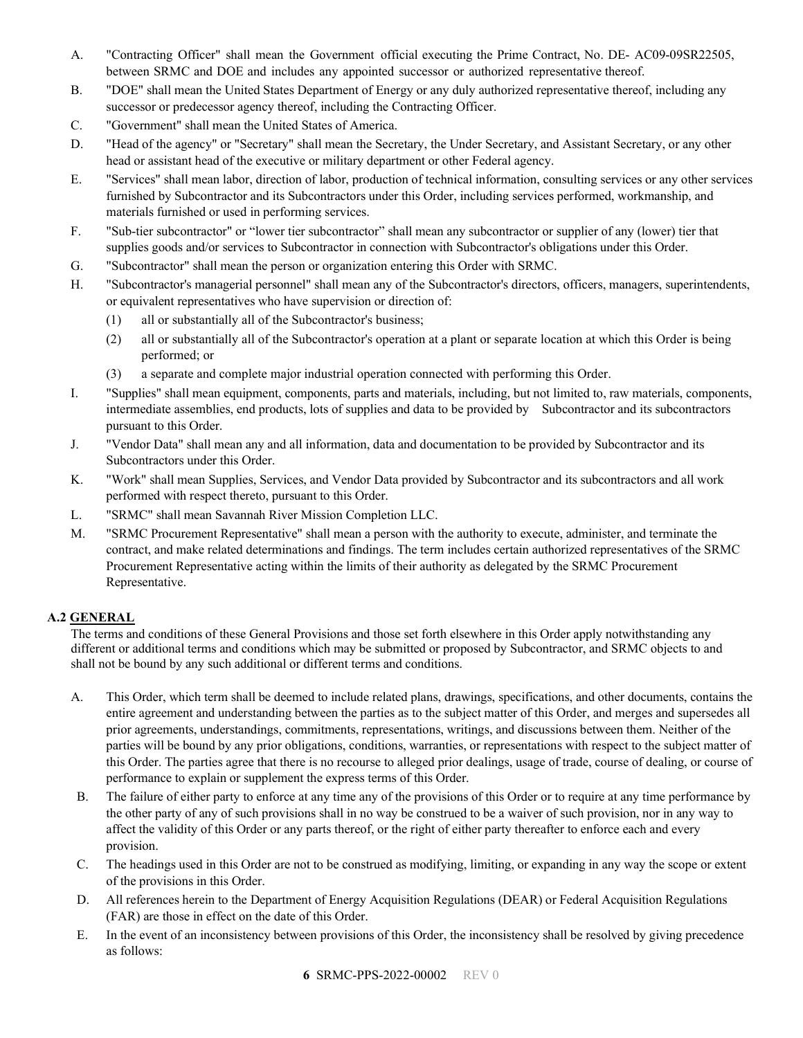- A. "Contracting Officer" shall mean the Government official executing the Prime Contract, No. DE- AC09-09SR22505, between SRMC and DOE and includes any appointed successor or authorized representative thereof.
- B. "DOE" shall mean the United States Department of Energy or any duly authorized representative thereof, including any successor or predecessor agency thereof, including the Contracting Officer.
- C. "Government" shall mean the United States of America.
- D. "Head of the agency" or "Secretary" shall mean the Secretary, the Under Secretary, and Assistant Secretary, or any other head or assistant head of the executive or military department or other Federal agency.
- E. "Services" shall mean labor, direction of labor, production of technical information, consulting services or any other services furnished by Subcontractor and its Subcontractors under this Order, including services performed, workmanship, and materials furnished or used in performing services.
- F. "Sub-tier subcontractor" or "lower tier subcontractor" shall mean any subcontractor or supplier of any (lower) tier that supplies goods and/or services to Subcontractor in connection with Subcontractor's obligations under this Order.
- G. "Subcontractor" shall mean the person or organization entering this Order with SRMC.
- H. "Subcontractor's managerial personnel" shall mean any of the Subcontractor's directors, officers, managers, superintendents, or equivalent representatives who have supervision or direction of:
	- (1) all or substantially all of the Subcontractor's business;
	- (2) all or substantially all of the Subcontractor's operation at a plant or separate location at which this Order is being performed; or
	- (3) a separate and complete major industrial operation connected with performing this Order.
- I. "Supplies" shall mean equipment, components, parts and materials, including, but not limited to, raw materials, components, intermediate assemblies, end products, lots of supplies and data to be provided by Subcontractor and its subcontractors pursuant to this Order.
- J. "Vendor Data" shall mean any and all information, data and documentation to be provided by Subcontractor and its Subcontractors under this Order.
- K. "Work" shall mean Supplies, Services, and Vendor Data provided by Subcontractor and its subcontractors and all work performed with respect thereto, pursuant to this Order.
- L. "SRMC" shall mean Savannah River Mission Completion LLC.
- M. "SRMC Procurement Representative" shall mean a person with the authority to execute, administer, and terminate the contract, and make related determinations and findings. The term includes certain authorized representatives of the SRMC Procurement Representative acting within the limits of their authority as delegated by the SRMC Procurement Representative.

# <span id="page-5-0"></span>**A.2 GENERAL**

The terms and conditions of these General Provisions and those set forth elsewhere in this Order apply notwithstanding any different or additional terms and conditions which may be submitted or proposed by Subcontractor, and SRMC objects to and shall not be bound by any such additional or different terms and conditions.

- A. This Order, which term shall be deemed to include related plans, drawings, specifications, and other documents, contains the entire agreement and understanding between the parties as to the subject matter of this Order, and merges and supersedes all prior agreements, understandings, commitments, representations, writings, and discussions between them. Neither of the parties will be bound by any prior obligations, conditions, warranties, or representations with respect to the subject matter of this Order. The parties agree that there is no recourse to alleged prior dealings, usage of trade, course of dealing, or course of performance to explain or supplement the express terms of this Order.
- B. The failure of either party to enforce at any time any of the provisions of this Order or to require at any time performance by the other party of any of such provisions shall in no way be construed to be a waiver of such provision, nor in any way to affect the validity of this Order or any parts thereof, or the right of either party thereafter to enforce each and every provision.
- C. The headings used in this Order are not to be construed as modifying, limiting, or expanding in any way the scope or extent of the provisions in this Order.
- D. All references herein to the Department of Energy Acquisition Regulations (DEAR) or Federal Acquisition Regulations (FAR) are those in effect on the date of this Order.
- E. In the event of an inconsistency between provisions of this Order, the inconsistency shall be resolved by giving precedence as follows: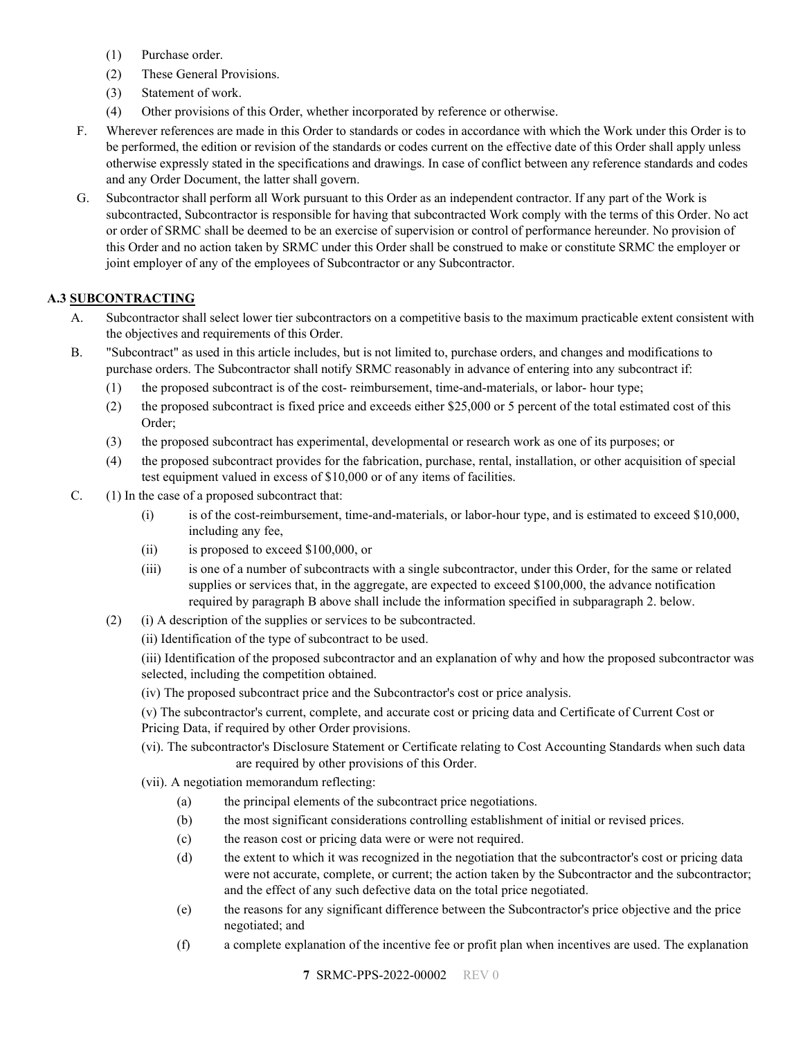- (1) Purchase order.
- (2) These General Provisions.
- (3) Statement of work.
- (4) Other provisions of this Order, whether incorporated by reference or otherwise.
- F. Wherever references are made in this Order to standards or codes in accordance with which the Work under this Order is to be performed, the edition or revision of the standards or codes current on the effective date of this Order shall apply unless otherwise expressly stated in the specifications and drawings. In case of conflict between any reference standards and codes and any Order Document, the latter shall govern.
- G. Subcontractor shall perform all Work pursuant to this Order as an independent contractor. If any part of the Work is subcontracted, Subcontractor is responsible for having that subcontracted Work comply with the terms of this Order. No act or order of SRMC shall be deemed to be an exercise of supervision or control of performance hereunder. No provision of this Order and no action taken by SRMC under this Order shall be construed to make or constitute SRMC the employer or joint employer of any of the employees of Subcontractor or any Subcontractor.

# <span id="page-6-0"></span>**A.3 SUBCONTRACTING**

- A. Subcontractor shall select lower tier subcontractors on a competitive basis to the maximum practicable extent consistent with the objectives and requirements of this Order.
- B. "Subcontract" as used in this article includes, but is not limited to, purchase orders, and changes and modifications to purchase orders. The Subcontractor shall notify SRMC reasonably in advance of entering into any subcontract if:
	- (1) the proposed subcontract is of the cost- reimbursement, time-and-materials, or labor- hour type;
	- (2) the proposed subcontract is fixed price and exceeds either \$25,000 or 5 percent of the total estimated cost of this Order;
	- (3) the proposed subcontract has experimental, developmental or research work as one of its purposes; or
	- (4) the proposed subcontract provides for the fabrication, purchase, rental, installation, or other acquisition of special test equipment valued in excess of \$10,000 or of any items of facilities.
- C. (1) In the case of a proposed subcontract that:
	- (i) is of the cost-reimbursement, time-and-materials, or labor-hour type, and is estimated to exceed \$10,000, including any fee,
	- (ii) is proposed to exceed \$100,000, or
	- (iii) is one of a number of subcontracts with a single subcontractor, under this Order, for the same or related supplies or services that, in the aggregate, are expected to exceed \$100,000, the advance notification required by paragraph B above shall include the information specified in subparagraph 2. below.
	- (2) (i) A description of the supplies or services to be subcontracted.
		- (ii) Identification of the type of subcontract to be used.

(iii) Identification of the proposed subcontractor and an explanation of why and how the proposed subcontractor was selected, including the competition obtained.

(iv) The proposed subcontract price and the Subcontractor's cost or price analysis.

(v) The subcontractor's current, complete, and accurate cost or pricing data and Certificate of Current Cost or Pricing Data, if required by other Order provisions.

- (vi). The subcontractor's Disclosure Statement or Certificate relating to Cost Accounting Standards when such data are required by other provisions of this Order.
- (vii). A negotiation memorandum reflecting:
	- (a) the principal elements of the subcontract price negotiations.
	- (b) the most significant considerations controlling establishment of initial or revised prices.
	- (c) the reason cost or pricing data were or were not required.
	- (d) the extent to which it was recognized in the negotiation that the subcontractor's cost or pricing data were not accurate, complete, or current; the action taken by the Subcontractor and the subcontractor; and the effect of any such defective data on the total price negotiated.
	- (e) the reasons for any significant difference between the Subcontractor's price objective and the price negotiated; and
	- (f) a complete explanation of the incentive fee or profit plan when incentives are used. The explanation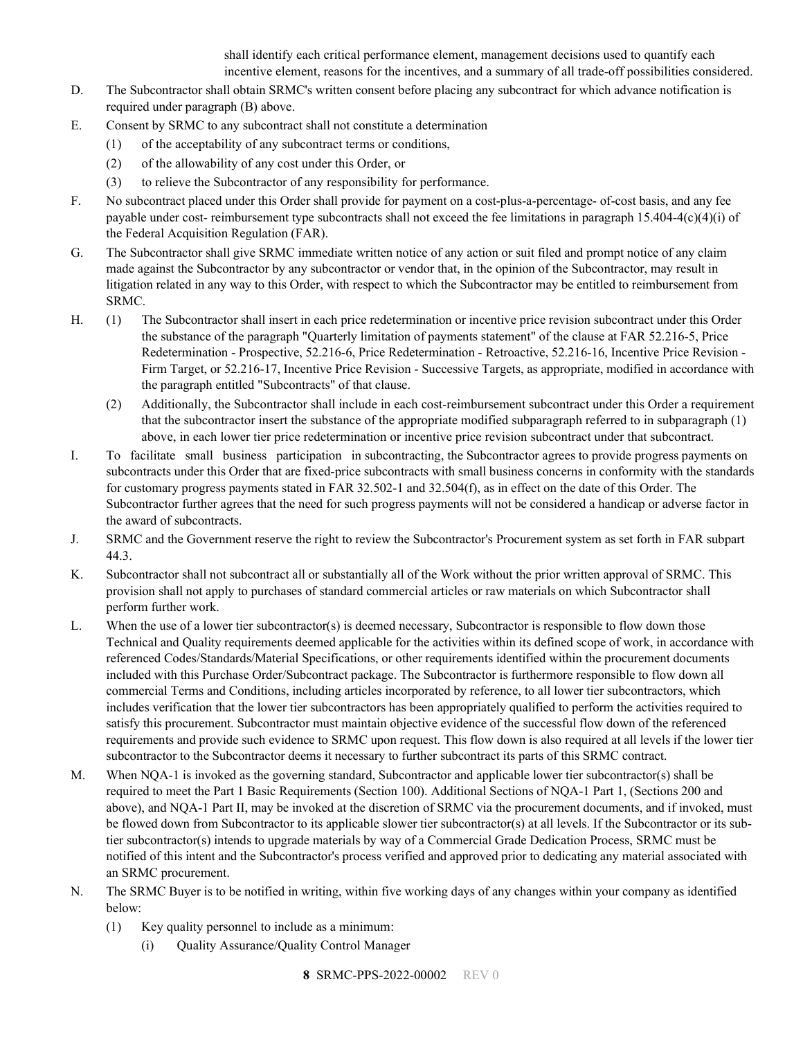shall identify each critical performance element, management decisions used to quantify each incentive element, reasons for the incentives, and a summary of all trade-off possibilities considered.

- D. The Subcontractor shall obtain SRMC's written consent before placing any subcontract for which advance notification is required under paragraph (B) above.
- E. Consent by SRMC to any subcontract shall not constitute a determination
	- (1) of the acceptability of any subcontract terms or conditions,
	- (2) of the allowability of any cost under this Order, or
	- (3) to relieve the Subcontractor of any responsibility for performance.
- F. No subcontract placed under this Order shall provide for payment on a cost-plus-a-percentage- of-cost basis, and any fee payable under cost- reimbursement type subcontracts shall not exceed the fee limitations in paragraph 15.404-4(c)(4)(i) of the Federal Acquisition Regulation (FAR).
- G. The Subcontractor shall give SRMC immediate written notice of any action or suit filed and prompt notice of any claim made against the Subcontractor by any subcontractor or vendor that, in the opinion of the Subcontractor, may result in litigation related in any way to this Order, with respect to which the Subcontractor may be entitled to reimbursement from SRMC.
- H. (1) The Subcontractor shall insert in each price redetermination or incentive price revision subcontract under this Order the substance of the paragraph "Quarterly limitation of payments statement" of the clause at FAR 52.216-5, Price Redetermination - Prospective, 52.216-6, Price Redetermination - Retroactive, 52.216-16, Incentive Price Revision - Firm Target, or 52.216-17, Incentive Price Revision - Successive Targets, as appropriate, modified in accordance with the paragraph entitled "Subcontracts" of that clause.
	- (2) Additionally, the Subcontractor shall include in each cost-reimbursement subcontract under this Order a requirement that the subcontractor insert the substance of the appropriate modified subparagraph referred to in subparagraph (1) above, in each lower tier price redetermination or incentive price revision subcontract under that subcontract.
- I. To facilitate small business participation in subcontracting, the Subcontractor agrees to provide progress payments on subcontracts under this Order that are fixed-price subcontracts with small business concerns in conformity with the standards for customary progress payments stated in FAR 32.502-1 and 32.504(f), as in effect on the date of this Order. The Subcontractor further agrees that the need for such progress payments will not be considered a handicap or adverse factor in the award of subcontracts.
- J. SRMC and the Government reserve the right to review the Subcontractor's Procurement system as set forth in FAR subpart 44.3.
- K. Subcontractor shall not subcontract all or substantially all of the Work without the prior written approval of SRMC. This provision shall not apply to purchases of standard commercial articles or raw materials on which Subcontractor shall perform further work.
- L. When the use of a lower tier subcontractor(s) is deemed necessary, Subcontractor is responsible to flow down those Technical and Quality requirements deemed applicable for the activities within its defined scope of work, in accordance with referenced Codes/Standards/Material Specifications, or other requirements identified within the procurement documents included with this Purchase Order/Subcontract package. The Subcontractor is furthermore responsible to flow down all commercial Terms and Conditions, including articles incorporated by reference, to all lower tier subcontractors, which includes verification that the lower tier subcontractors has been appropriately qualified to perform the activities required to satisfy this procurement. Subcontractor must maintain objective evidence of the successful flow down of the referenced requirements and provide such evidence to SRMC upon request. This flow down is also required at all levels if the lower tier subcontractor to the Subcontractor deems it necessary to further subcontract its parts of this SRMC contract.
- M. When NQA-1 is invoked as the governing standard, Subcontractor and applicable lower tier subcontractor(s) shall be required to meet the Part 1 Basic Requirements (Section 100). Additional Sections of NQA-1 Part 1, (Sections 200 and above), and NQA-1 Part II, may be invoked at the discretion of SRMC via the procurement documents, and if invoked, must be flowed down from Subcontractor to its applicable slower tier subcontractor(s) at all levels. If the Subcontractor or its subtier subcontractor(s) intends to upgrade materials by way of a Commercial Grade Dedication Process, SRMC must be notified of this intent and the Subcontractor's process verified and approved prior to dedicating any material associated with an SRMC procurement.
- N. The SRMC Buyer is to be notified in writing, within five working days of any changes within your company as identified below:
	- (1) Key quality personnel to include as a minimum:
		- (i) Quality Assurance/Quality Control Manager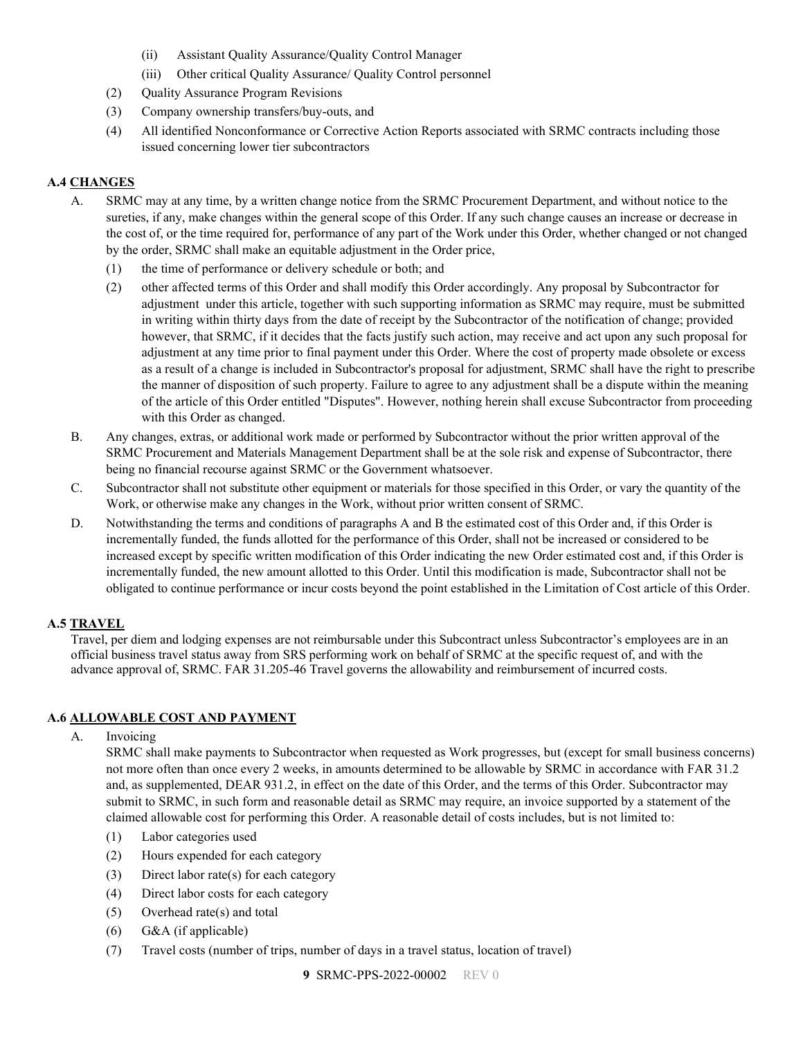- (ii) Assistant Quality Assurance/Quality Control Manager
- (iii) Other critical Quality Assurance/ Quality Control personnel
- (2) Quality Assurance Program Revisions
- (3) Company ownership transfers/buy-outs, and
- (4) All identified Nonconformance or Corrective Action Reports associated with SRMC contracts including those issued concerning lower tier subcontractors

# <span id="page-8-0"></span>**A.4 CHANGES**

- A. SRMC may at any time, by a written change notice from the SRMC Procurement Department, and without notice to the sureties, if any, make changes within the general scope of this Order. If any such change causes an increase or decrease in the cost of, or the time required for, performance of any part of the Work under this Order, whether changed or not changed by the order, SRMC shall make an equitable adjustment in the Order price,
	- (1) the time of performance or delivery schedule or both; and
	- (2) other affected terms of this Order and shall modify this Order accordingly. Any proposal by Subcontractor for adjustment under this article, together with such supporting information as SRMC may require, must be submitted in writing within thirty days from the date of receipt by the Subcontractor of the notification of change; provided however, that SRMC, if it decides that the facts justify such action, may receive and act upon any such proposal for adjustment at any time prior to final payment under this Order. Where the cost of property made obsolete or excess as a result of a change is included in Subcontractor's proposal for adjustment, SRMC shall have the right to prescribe the manner of disposition of such property. Failure to agree to any adjustment shall be a dispute within the meaning of the article of this Order entitled "Disputes". However, nothing herein shall excuse Subcontractor from proceeding with this Order as changed.
- B. Any changes, extras, or additional work made or performed by Subcontractor without the prior written approval of the SRMC Procurement and Materials Management Department shall be at the sole risk and expense of Subcontractor, there being no financial recourse against SRMC or the Government whatsoever.
- C. Subcontractor shall not substitute other equipment or materials for those specified in this Order, or vary the quantity of the Work, or otherwise make any changes in the Work, without prior written consent of SRMC.
- D. Notwithstanding the terms and conditions of paragraphs A and B the estimated cost of this Order and, if this Order is incrementally funded, the funds allotted for the performance of this Order, shall not be increased or considered to be increased except by specific written modification of this Order indicating the new Order estimated cost and, if this Order is incrementally funded, the new amount allotted to this Order. Until this modification is made, Subcontractor shall not be obligated to continue performance or incur costs beyond the point established in the Limitation of Cost article of this Order.

# <span id="page-8-1"></span>**A.5 TRAVEL**

Travel, per diem and lodging expenses are not reimbursable under this Subcontract unless Subcontractor's employees are in an official business travel status away from SRS performing work on behalf of SRMC at the specific request of, and with the advance approval of, SRMC. FAR 31.205-46 Travel governs the allowability and reimbursement of incurred costs.

# <span id="page-8-2"></span>**A.6 ALLOWABLE COST AND PAYMENT**

A. Invoicing

SRMC shall make payments to Subcontractor when requested as Work progresses, but (except for small business concerns) not more often than once every 2 weeks, in amounts determined to be allowable by SRMC in accordance with FAR 31.2 and, as supplemented, DEAR 931.2, in effect on the date of this Order, and the terms of this Order. Subcontractor may submit to SRMC, in such form and reasonable detail as SRMC may require, an invoice supported by a statement of the claimed allowable cost for performing this Order. A reasonable detail of costs includes, but is not limited to:

- (1) Labor categories used
- (2) Hours expended for each category
- (3) Direct labor rate(s) for each category
- (4) Direct labor costs for each category
- (5) Overhead rate(s) and total
- (6) G&A (if applicable)
- (7) Travel costs (number of trips, number of days in a travel status, location of travel)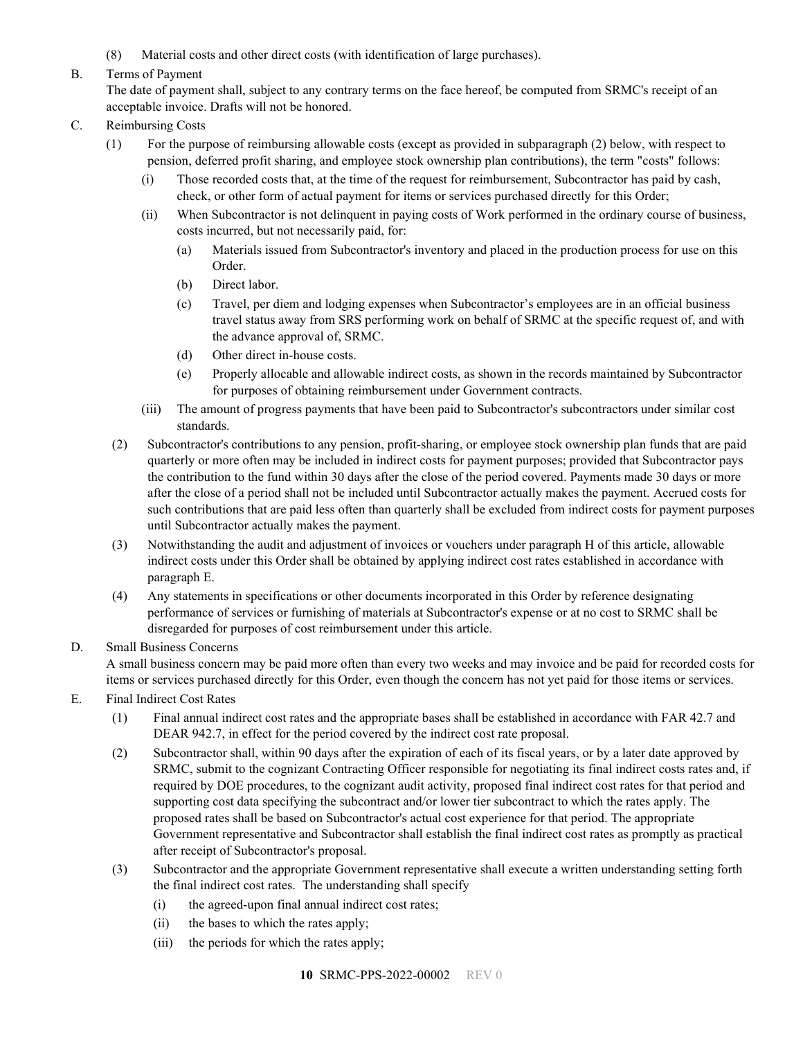(8) Material costs and other direct costs (with identification of large purchases).

### B. Terms of Payment

The date of payment shall, subject to any contrary terms on the face hereof, be computed from SRMC's receipt of an acceptable invoice. Drafts will not be honored.

- C. Reimbursing Costs
	- (1) For the purpose of reimbursing allowable costs (except as provided in subparagraph (2) below, with respect to pension, deferred profit sharing, and employee stock ownership plan contributions), the term "costs" follows:
		- (i) Those recorded costs that, at the time of the request for reimbursement, Subcontractor has paid by cash, check, or other form of actual payment for items or services purchased directly for this Order;
		- (ii) When Subcontractor is not delinquent in paying costs of Work performed in the ordinary course of business, costs incurred, but not necessarily paid, for:
			- (a) Materials issued from Subcontractor's inventory and placed in the production process for use on this Order.
			- (b) Direct labor.
			- (c) Travel, per diem and lodging expenses when Subcontractor's employees are in an official business travel status away from SRS performing work on behalf of SRMC at the specific request of, and with the advance approval of, SRMC.
			- (d) Other direct in-house costs.
			- (e) Properly allocable and allowable indirect costs, as shown in the records maintained by Subcontractor for purposes of obtaining reimbursement under Government contracts.
		- (iii) The amount of progress payments that have been paid to Subcontractor's subcontractors under similar cost standards.
	- (2) Subcontractor's contributions to any pension, profit-sharing, or employee stock ownership plan funds that are paid quarterly or more often may be included in indirect costs for payment purposes; provided that Subcontractor pays the contribution to the fund within 30 days after the close of the period covered. Payments made 30 days or more after the close of a period shall not be included until Subcontractor actually makes the payment. Accrued costs for such contributions that are paid less often than quarterly shall be excluded from indirect costs for payment purposes until Subcontractor actually makes the payment.
	- (3) Notwithstanding the audit and adjustment of invoices or vouchers under paragraph H of this article, allowable indirect costs under this Order shall be obtained by applying indirect cost rates established in accordance with paragraph E.
	- (4) Any statements in specifications or other documents incorporated in this Order by reference designating performance of services or furnishing of materials at Subcontractor's expense or at no cost to SRMC shall be disregarded for purposes of cost reimbursement under this article.

# D. Small Business Concerns

A small business concern may be paid more often than every two weeks and may invoice and be paid for recorded costs for items or services purchased directly for this Order, even though the concern has not yet paid for those items or services.

- E. Final Indirect Cost Rates
	- (1) Final annual indirect cost rates and the appropriate bases shall be established in accordance with FAR 42.7 and DEAR 942.7, in effect for the period covered by the indirect cost rate proposal.
	- (2) Subcontractor shall, within 90 days after the expiration of each of its fiscal years, or by a later date approved by SRMC, submit to the cognizant Contracting Officer responsible for negotiating its final indirect costs rates and, if required by DOE procedures, to the cognizant audit activity, proposed final indirect cost rates for that period and supporting cost data specifying the subcontract and/or lower tier subcontract to which the rates apply. The proposed rates shall be based on Subcontractor's actual cost experience for that period. The appropriate Government representative and Subcontractor shall establish the final indirect cost rates as promptly as practical after receipt of Subcontractor's proposal.
	- (3) Subcontractor and the appropriate Government representative shall execute a written understanding setting forth the final indirect cost rates. The understanding shall specify
		- (i) the agreed-upon final annual indirect cost rates;
		- (ii) the bases to which the rates apply;
		- (iii) the periods for which the rates apply;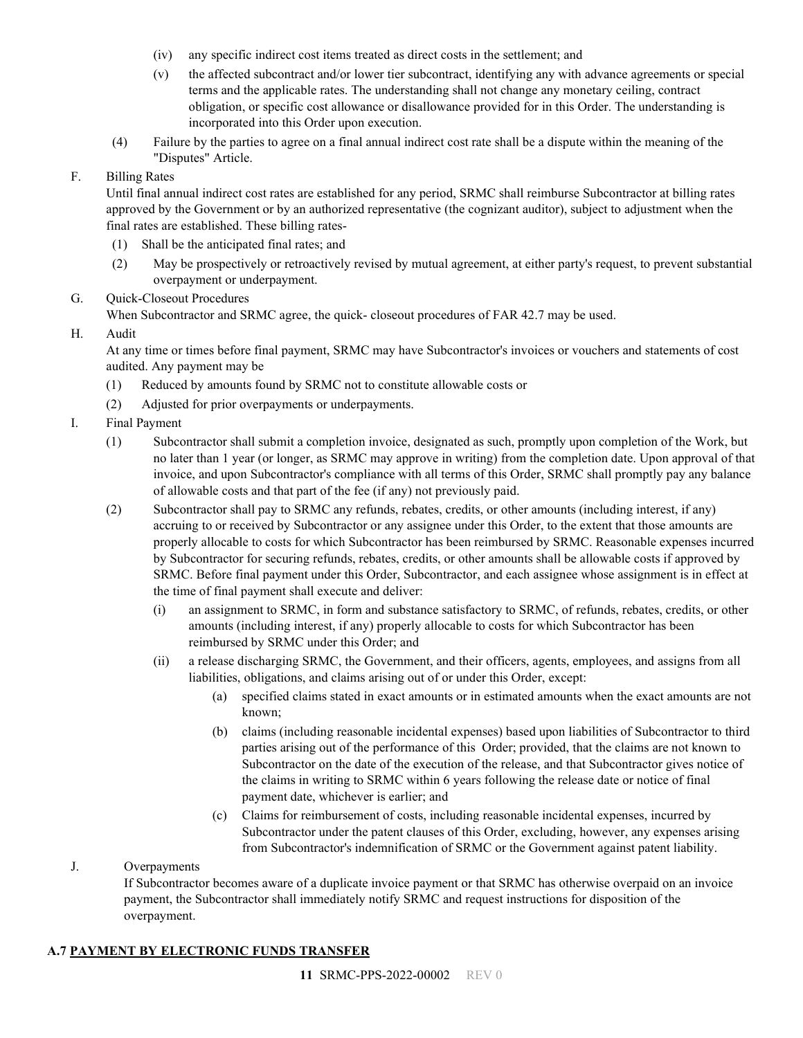- (iv) any specific indirect cost items treated as direct costs in the settlement; and
- (v) the affected subcontract and/or lower tier subcontract, identifying any with advance agreements or special terms and the applicable rates. The understanding shall not change any monetary ceiling, contract obligation, or specific cost allowance or disallowance provided for in this Order. The understanding is incorporated into this Order upon execution.
- (4) Failure by the parties to agree on a final annual indirect cost rate shall be a dispute within the meaning of the "Disputes" Article.

# F. Billing Rates

Until final annual indirect cost rates are established for any period, SRMC shall reimburse Subcontractor at billing rates approved by the Government or by an authorized representative (the cognizant auditor), subject to adjustment when the final rates are established. These billing rates-

- (1) Shall be the anticipated final rates; and
- (2) May be prospectively or retroactively revised by mutual agreement, at either party's request, to prevent substantial overpayment or underpayment.

#### G. Ouick-Closeout Procedures

When Subcontractor and SRMC agree, the quick- closeout procedures of FAR 42.7 may be used.

H. Audit

At any time or times before final payment, SRMC may have Subcontractor's invoices or vouchers and statements of cost audited. Any payment may be

- (1) Reduced by amounts found by SRMC not to constitute allowable costs or
- (2) Adjusted for prior overpayments or underpayments.
- I. Final Payment
	- (1) Subcontractor shall submit a completion invoice, designated as such, promptly upon completion of the Work, but no later than 1 year (or longer, as SRMC may approve in writing) from the completion date. Upon approval of that invoice, and upon Subcontractor's compliance with all terms of this Order, SRMC shall promptly pay any balance of allowable costs and that part of the fee (if any) not previously paid.
	- (2) Subcontractor shall pay to SRMC any refunds, rebates, credits, or other amounts (including interest, if any) accruing to or received by Subcontractor or any assignee under this Order, to the extent that those amounts are properly allocable to costs for which Subcontractor has been reimbursed by SRMC. Reasonable expenses incurred by Subcontractor for securing refunds, rebates, credits, or other amounts shall be allowable costs if approved by SRMC. Before final payment under this Order, Subcontractor, and each assignee whose assignment is in effect at the time of final payment shall execute and deliver:
		- (i) an assignment to SRMC, in form and substance satisfactory to SRMC, of refunds, rebates, credits, or other amounts (including interest, if any) properly allocable to costs for which Subcontractor has been reimbursed by SRMC under this Order; and
		- (ii) a release discharging SRMC, the Government, and their officers, agents, employees, and assigns from all liabilities, obligations, and claims arising out of or under this Order, except:
			- (a) specified claims stated in exact amounts or in estimated amounts when the exact amounts are not known;
			- (b) claims (including reasonable incidental expenses) based upon liabilities of Subcontractor to third parties arising out of the performance of this Order; provided, that the claims are not known to Subcontractor on the date of the execution of the release, and that Subcontractor gives notice of the claims in writing to SRMC within 6 years following the release date or notice of final payment date, whichever is earlier; and
			- (c) Claims for reimbursement of costs, including reasonable incidental expenses, incurred by Subcontractor under the patent clauses of this Order, excluding, however, any expenses arising from Subcontractor's indemnification of SRMC or the Government against patent liability.

#### J. Overpayments

If Subcontractor becomes aware of a duplicate invoice payment or that SRMC has otherwise overpaid on an invoice payment, the Subcontractor shall immediately notify SRMC and request instructions for disposition of the overpayment.

# <span id="page-10-0"></span>**A.7 PAYMENT BY ELECTRONIC FUNDS TRANSFER**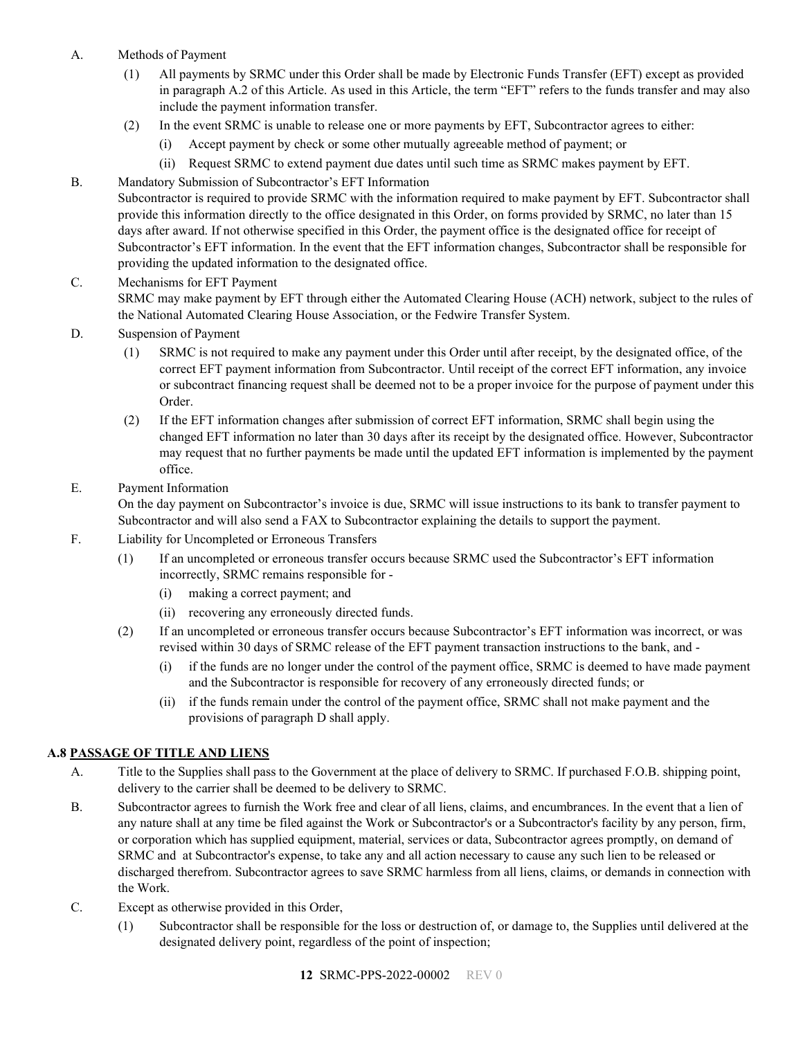# A. Methods of Payment

- (1) All payments by SRMC under this Order shall be made by Electronic Funds Transfer (EFT) except as provided in paragraph A.2 of this Article. As used in this Article, the term "EFT" refers to the funds transfer and may also include the payment information transfer.
- (2) In the event SRMC is unable to release one or more payments by EFT, Subcontractor agrees to either:
	- (i) Accept payment by check or some other mutually agreeable method of payment; or
	- (ii) Request SRMC to extend payment due dates until such time as SRMC makes payment by EFT.
- B. Mandatory Submission of Subcontractor's EFT Information

Subcontractor is required to provide SRMC with the information required to make payment by EFT. Subcontractor shall provide this information directly to the office designated in this Order, on forms provided by SRMC, no later than 15 days after award. If not otherwise specified in this Order, the payment office is the designated office for receipt of Subcontractor's EFT information. In the event that the EFT information changes, Subcontractor shall be responsible for providing the updated information to the designated office.

#### C. Mechanisms for EFT Payment

SRMC may make payment by EFT through either the Automated Clearing House (ACH) network, subject to the rules of the National Automated Clearing House Association, or the Fedwire Transfer System.

- D. Suspension of Payment
	- (1) SRMC is not required to make any payment under this Order until after receipt, by the designated office, of the correct EFT payment information from Subcontractor. Until receipt of the correct EFT information, any invoice or subcontract financing request shall be deemed not to be a proper invoice for the purpose of payment under this Order.
	- (2) If the EFT information changes after submission of correct EFT information, SRMC shall begin using the changed EFT information no later than 30 days after its receipt by the designated office. However, Subcontractor may request that no further payments be made until the updated EFT information is implemented by the payment office.
- E. Payment Information

On the day payment on Subcontractor's invoice is due, SRMC will issue instructions to its bank to transfer payment to Subcontractor and will also send a FAX to Subcontractor explaining the details to support the payment.

- F. Liability for Uncompleted or Erroneous Transfers
	- (1) If an uncompleted or erroneous transfer occurs because SRMC used the Subcontractor's EFT information incorrectly, SRMC remains responsible for -
		- (i) making a correct payment; and
		- (ii) recovering any erroneously directed funds.
	- (2) If an uncompleted or erroneous transfer occurs because Subcontractor's EFT information was incorrect, or was revised within 30 days of SRMC release of the EFT payment transaction instructions to the bank, and -
		- (i) if the funds are no longer under the control of the payment office, SRMC is deemed to have made payment and the Subcontractor is responsible for recovery of any erroneously directed funds; or
		- (ii) if the funds remain under the control of the payment office, SRMC shall not make payment and the provisions of paragraph D shall apply.

# <span id="page-11-0"></span>**A.8 PASSAGE OF TITLE AND LIENS**

- A. Title to the Supplies shall pass to the Government at the place of delivery to SRMC. If purchased F.O.B. shipping point, delivery to the carrier shall be deemed to be delivery to SRMC.
- B. Subcontractor agrees to furnish the Work free and clear of all liens, claims, and encumbrances. In the event that a lien of any nature shall at any time be filed against the Work or Subcontractor's or a Subcontractor's facility by any person, firm, or corporation which has supplied equipment, material, services or data, Subcontractor agrees promptly, on demand of SRMC and at Subcontractor's expense, to take any and all action necessary to cause any such lien to be released or discharged therefrom. Subcontractor agrees to save SRMC harmless from all liens, claims, or demands in connection with the Work.
- C. Except as otherwise provided in this Order,
	- (1) Subcontractor shall be responsible for the loss or destruction of, or damage to, the Supplies until delivered at the designated delivery point, regardless of the point of inspection;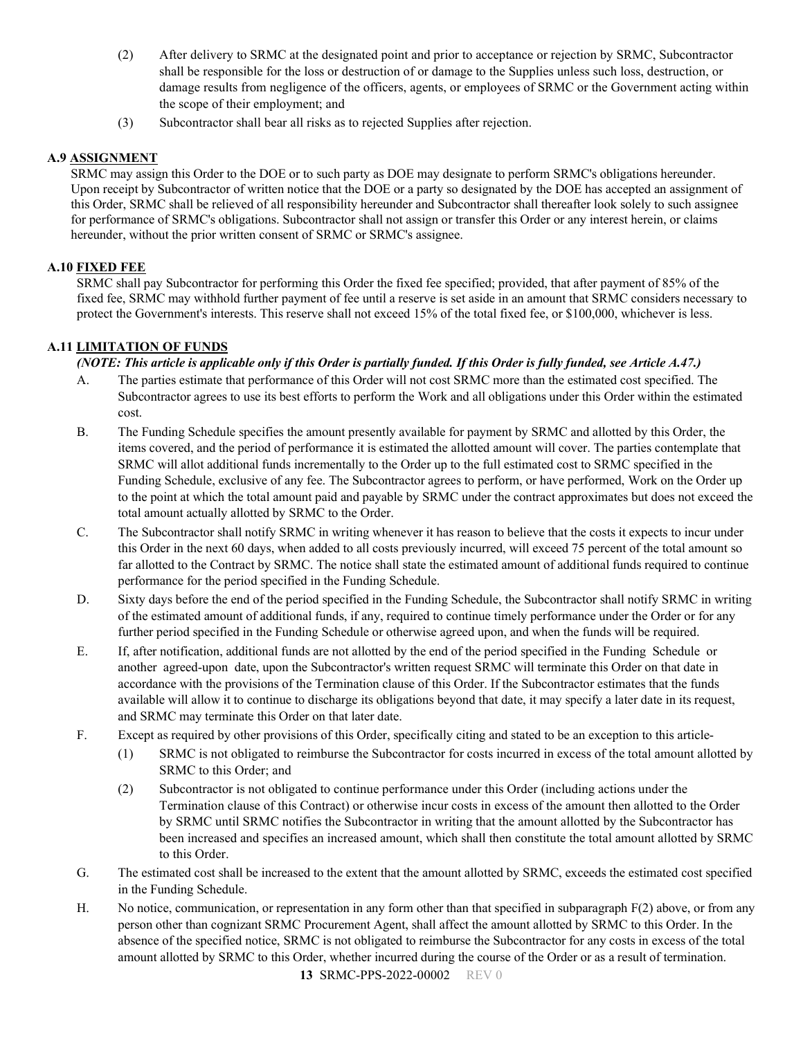- (2) After delivery to SRMC at the designated point and prior to acceptance or rejection by SRMC, Subcontractor shall be responsible for the loss or destruction of or damage to the Supplies unless such loss, destruction, or damage results from negligence of the officers, agents, or employees of SRMC or the Government acting within the scope of their employment; and
- (3) Subcontractor shall bear all risks as to rejected Supplies after rejection.

### <span id="page-12-0"></span>**A.9 ASSIGNMENT**

SRMC may assign this Order to the DOE or to such party as DOE may designate to perform SRMC's obligations hereunder. Upon receipt by Subcontractor of written notice that the DOE or a party so designated by the DOE has accepted an assignment of this Order, SRMC shall be relieved of all responsibility hereunder and Subcontractor shall thereafter look solely to such assignee for performance of SRMC's obligations. Subcontractor shall not assign or transfer this Order or any interest herein, or claims hereunder, without the prior written consent of SRMC or SRMC's assignee.

# <span id="page-12-1"></span>**A.10 FIXED FEE**

SRMC shall pay Subcontractor for performing this Order the fixed fee specified; provided, that after payment of 85% of the fixed fee, SRMC may withhold further payment of fee until a reserve is set aside in an amount that SRMC considers necessary to protect the Government's interests. This reserve shall not exceed 15% of the total fixed fee, or \$100,000, whichever is less.

#### <span id="page-12-2"></span>**A.11 LIMITATION OF FUNDS**

#### *(NOTE: This article is applicable only if this Order is partially funded. If this Order is fully funded, see Article A.47.)*

- A. The parties estimate that performance of this Order will not cost SRMC more than the estimated cost specified. The Subcontractor agrees to use its best efforts to perform the Work and all obligations under this Order within the estimated cost.
- B. The Funding Schedule specifies the amount presently available for payment by SRMC and allotted by this Order, the items covered, and the period of performance it is estimated the allotted amount will cover. The parties contemplate that SRMC will allot additional funds incrementally to the Order up to the full estimated cost to SRMC specified in the Funding Schedule, exclusive of any fee. The Subcontractor agrees to perform, or have performed, Work on the Order up to the point at which the total amount paid and payable by SRMC under the contract approximates but does not exceed the total amount actually allotted by SRMC to the Order.
- C. The Subcontractor shall notify SRMC in writing whenever it has reason to believe that the costs it expects to incur under this Order in the next 60 days, when added to all costs previously incurred, will exceed 75 percent of the total amount so far allotted to the Contract by SRMC. The notice shall state the estimated amount of additional funds required to continue performance for the period specified in the Funding Schedule.
- D. Sixty days before the end of the period specified in the Funding Schedule, the Subcontractor shall notify SRMC in writing of the estimated amount of additional funds, if any, required to continue timely performance under the Order or for any further period specified in the Funding Schedule or otherwise agreed upon, and when the funds will be required.
- E. If, after notification, additional funds are not allotted by the end of the period specified in the Funding Schedule or another agreed-upon date, upon the Subcontractor's written request SRMC will terminate this Order on that date in accordance with the provisions of the Termination clause of this Order. If the Subcontractor estimates that the funds available will allow it to continue to discharge its obligations beyond that date, it may specify a later date in its request, and SRMC may terminate this Order on that later date.
- F. Except as required by other provisions of this Order, specifically citing and stated to be an exception to this article-
	- (1) SRMC is not obligated to reimburse the Subcontractor for costs incurred in excess of the total amount allotted by SRMC to this Order; and
	- (2) Subcontractor is not obligated to continue performance under this Order (including actions under the Termination clause of this Contract) or otherwise incur costs in excess of the amount then allotted to the Order by SRMC until SRMC notifies the Subcontractor in writing that the amount allotted by the Subcontractor has been increased and specifies an increased amount, which shall then constitute the total amount allotted by SRMC to this Order.
- G. The estimated cost shall be increased to the extent that the amount allotted by SRMC, exceeds the estimated cost specified in the Funding Schedule.
- H. No notice, communication, or representation in any form other than that specified in subparagraph F(2) above, or from any person other than cognizant SRMC Procurement Agent, shall affect the amount allotted by SRMC to this Order. In the absence of the specified notice, SRMC is not obligated to reimburse the Subcontractor for any costs in excess of the total amount allotted by SRMC to this Order, whether incurred during the course of the Order or as a result of termination.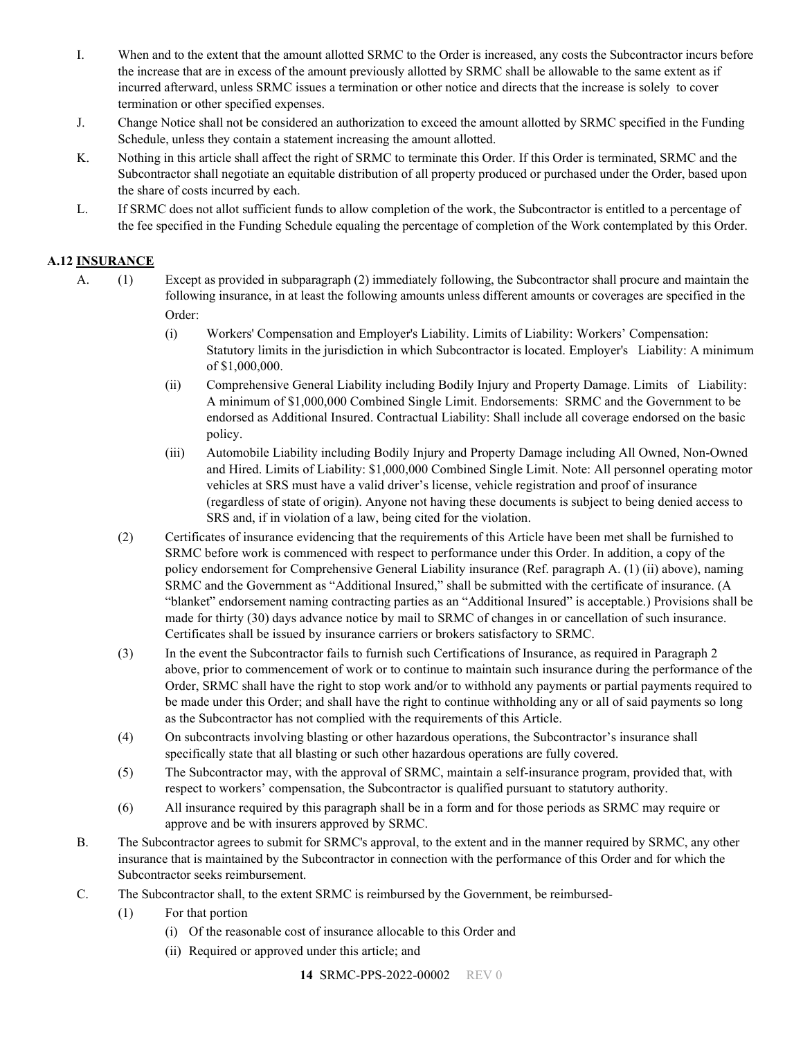- I. When and to the extent that the amount allotted SRMC to the Order is increased, any costs the Subcontractor incurs before the increase that are in excess of the amount previously allotted by SRMC shall be allowable to the same extent as if incurred afterward, unless SRMC issues a termination or other notice and directs that the increase is solely to cover termination or other specified expenses.
- J. Change Notice shall not be considered an authorization to exceed the amount allotted by SRMC specified in the Funding Schedule, unless they contain a statement increasing the amount allotted.
- K. Nothing in this article shall affect the right of SRMC to terminate this Order. If this Order is terminated, SRMC and the Subcontractor shall negotiate an equitable distribution of all property produced or purchased under the Order, based upon the share of costs incurred by each.
- L. If SRMC does not allot sufficient funds to allow completion of the work, the Subcontractor is entitled to a percentage of the fee specified in the Funding Schedule equaling the percentage of completion of the Work contemplated by this Order.

#### <span id="page-13-0"></span>**A.12 INSURANCE**

- A. (1) Except as provided in subparagraph (2) immediately following, the Subcontractor shall procure and maintain the following insurance, in at least the following amounts unless different amounts or coverages are specified in the Order:
	- (i) Workers' Compensation and Employer's Liability. Limits of Liability: Workers' Compensation: Statutory limits in the jurisdiction in which Subcontractor is located. Employer's Liability: A minimum of \$1,000,000.
	- (ii) Comprehensive General Liability including Bodily Injury and Property Damage. Limits of Liability: A minimum of \$1,000,000 Combined Single Limit. Endorsements: SRMC and the Government to be endorsed as Additional Insured. Contractual Liability: Shall include all coverage endorsed on the basic policy.
	- (iii) Automobile Liability including Bodily Injury and Property Damage including All Owned, Non-Owned and Hired. Limits of Liability: \$1,000,000 Combined Single Limit. Note: All personnel operating motor vehicles at SRS must have a valid driver's license, vehicle registration and proof of insurance (regardless of state of origin). Anyone not having these documents is subject to being denied access to SRS and, if in violation of a law, being cited for the violation.
	- (2) Certificates of insurance evidencing that the requirements of this Article have been met shall be furnished to SRMC before work is commenced with respect to performance under this Order. In addition, a copy of the policy endorsement for Comprehensive General Liability insurance (Ref. paragraph A. (1) (ii) above), naming SRMC and the Government as "Additional Insured," shall be submitted with the certificate of insurance. (A "blanket" endorsement naming contracting parties as an "Additional Insured" is acceptable.) Provisions shall be made for thirty (30) days advance notice by mail to SRMC of changes in or cancellation of such insurance. Certificates shall be issued by insurance carriers or brokers satisfactory to SRMC.
	- (3) In the event the Subcontractor fails to furnish such Certifications of Insurance, as required in Paragraph 2 above, prior to commencement of work or to continue to maintain such insurance during the performance of the Order, SRMC shall have the right to stop work and/or to withhold any payments or partial payments required to be made under this Order; and shall have the right to continue withholding any or all of said payments so long as the Subcontractor has not complied with the requirements of this Article.
	- (4) On subcontracts involving blasting or other hazardous operations, the Subcontractor's insurance shall specifically state that all blasting or such other hazardous operations are fully covered.
	- (5) The Subcontractor may, with the approval of SRMC, maintain a self-insurance program, provided that, with respect to workers' compensation, the Subcontractor is qualified pursuant to statutory authority.
	- (6) All insurance required by this paragraph shall be in a form and for those periods as SRMC may require or approve and be with insurers approved by SRMC.
- B. The Subcontractor agrees to submit for SRMC's approval, to the extent and in the manner required by SRMC, any other insurance that is maintained by the Subcontractor in connection with the performance of this Order and for which the Subcontractor seeks reimbursement.
- C. The Subcontractor shall, to the extent SRMC is reimbursed by the Government, be reimbursed-
	- (1) For that portion
		- (i) Of the reasonable cost of insurance allocable to this Order and
		- (ii) Required or approved under this article; and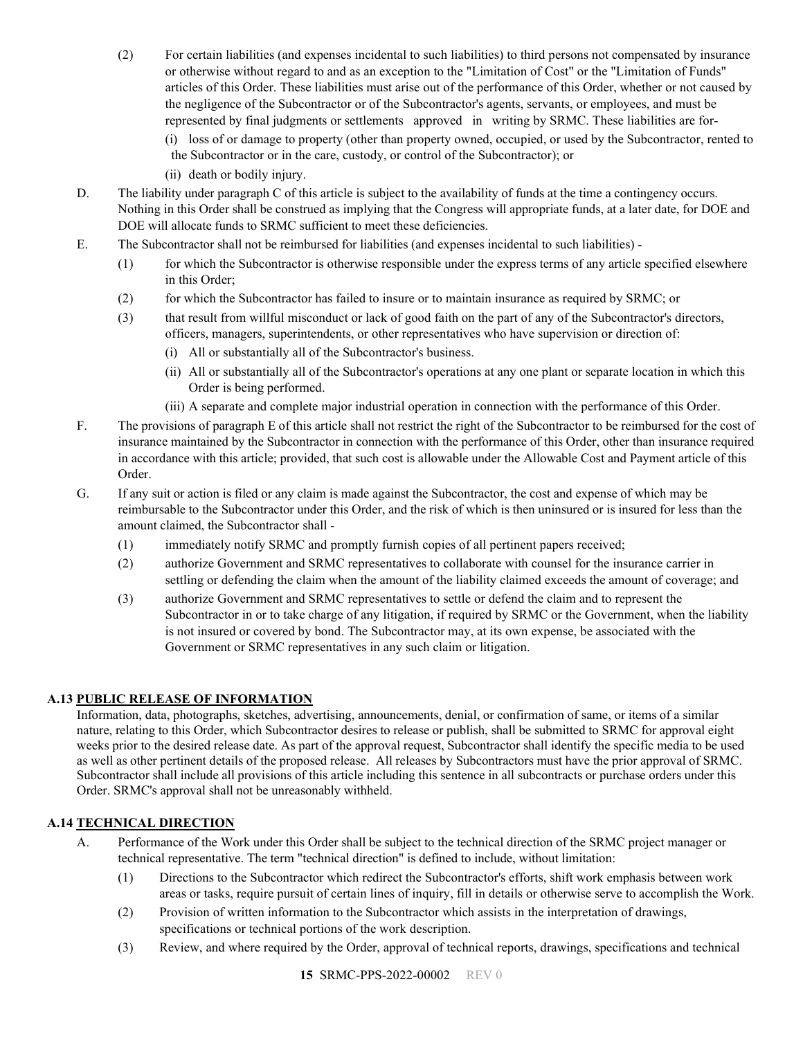- (2) For certain liabilities (and expenses incidental to such liabilities) to third persons not compensated by insurance or otherwise without regard to and as an exception to the "Limitation of Cost" or the "Limitation of Funds" articles of this Order. These liabilities must arise out of the performance of this Order, whether or not caused by the negligence of the Subcontractor or of the Subcontractor's agents, servants, or employees, and must be represented by final judgments or settlements approved in writing by SRMC. These liabilities are for-
	- (i) loss of or damage to property (other than property owned, occupied, or used by the Subcontractor, rented to the Subcontractor or in the care, custody, or control of the Subcontractor); or
	- (ii) death or bodily injury.
- D. The liability under paragraph C of this article is subject to the availability of funds at the time a contingency occurs. Nothing in this Order shall be construed as implying that the Congress will appropriate funds, at a later date, for DOE and DOE will allocate funds to SRMC sufficient to meet these deficiencies.
- E. The Subcontractor shall not be reimbursed for liabilities (and expenses incidental to such liabilities)
	- (1) for which the Subcontractor is otherwise responsible under the express terms of any article specified elsewhere in this Order;
	- (2) for which the Subcontractor has failed to insure or to maintain insurance as required by SRMC; or
	- (3) that result from willful misconduct or lack of good faith on the part of any of the Subcontractor's directors, officers, managers, superintendents, or other representatives who have supervision or direction of:
		- (i) All or substantially all of the Subcontractor's business.
		- (ii) All or substantially all of the Subcontractor's operations at any one plant or separate location in which this Order is being performed.
		- (iii) A separate and complete major industrial operation in connection with the performance of this Order.
- F. The provisions of paragraph E of this article shall not restrict the right of the Subcontractor to be reimbursed for the cost of insurance maintained by the Subcontractor in connection with the performance of this Order, other than insurance required in accordance with this article; provided, that such cost is allowable under the Allowable Cost and Payment article of this Order.
- G. If any suit or action is filed or any claim is made against the Subcontractor, the cost and expense of which may be reimbursable to the Subcontractor under this Order, and the risk of which is then uninsured or is insured for less than the amount claimed, the Subcontractor shall -
	- (1) immediately notify SRMC and promptly furnish copies of all pertinent papers received;
	- (2) authorize Government and SRMC representatives to collaborate with counsel for the insurance carrier in settling or defending the claim when the amount of the liability claimed exceeds the amount of coverage; and
	- (3) authorize Government and SRMC representatives to settle or defend the claim and to represent the Subcontractor in or to take charge of any litigation, if required by SRMC or the Government, when the liability is not insured or covered by bond. The Subcontractor may, at its own expense, be associated with the Government or SRMC representatives in any such claim or litigation.

# <span id="page-14-0"></span>**A.13 PUBLIC RELEASE OF INFORMATION**

Information, data, photographs, sketches, advertising, announcements, denial, or confirmation of same, or items of a similar nature, relating to this Order, which Subcontractor desires to release or publish, shall be submitted to SRMC for approval eight weeks prior to the desired release date. As part of the approval request, Subcontractor shall identify the specific media to be used as well as other pertinent details of the proposed release. All releases by Subcontractors must have the prior approval of SRMC. Subcontractor shall include all provisions of this article including this sentence in all subcontracts or purchase orders under this Order. SRMC's approval shall not be unreasonably withheld.

# <span id="page-14-1"></span>**A.14 TECHNICAL DIRECTION**

- A. Performance of the Work under this Order shall be subject to the technical direction of the SRMC project manager or technical representative. The term "technical direction" is defined to include, without limitation:
	- (1) Directions to the Subcontractor which redirect the Subcontractor's efforts, shift work emphasis between work areas or tasks, require pursuit of certain lines of inquiry, fill in details or otherwise serve to accomplish the Work.
	- (2) Provision of written information to the Subcontractor which assists in the interpretation of drawings, specifications or technical portions of the work description.
	- (3) Review, and where required by the Order, approval of technical reports, drawings, specifications and technical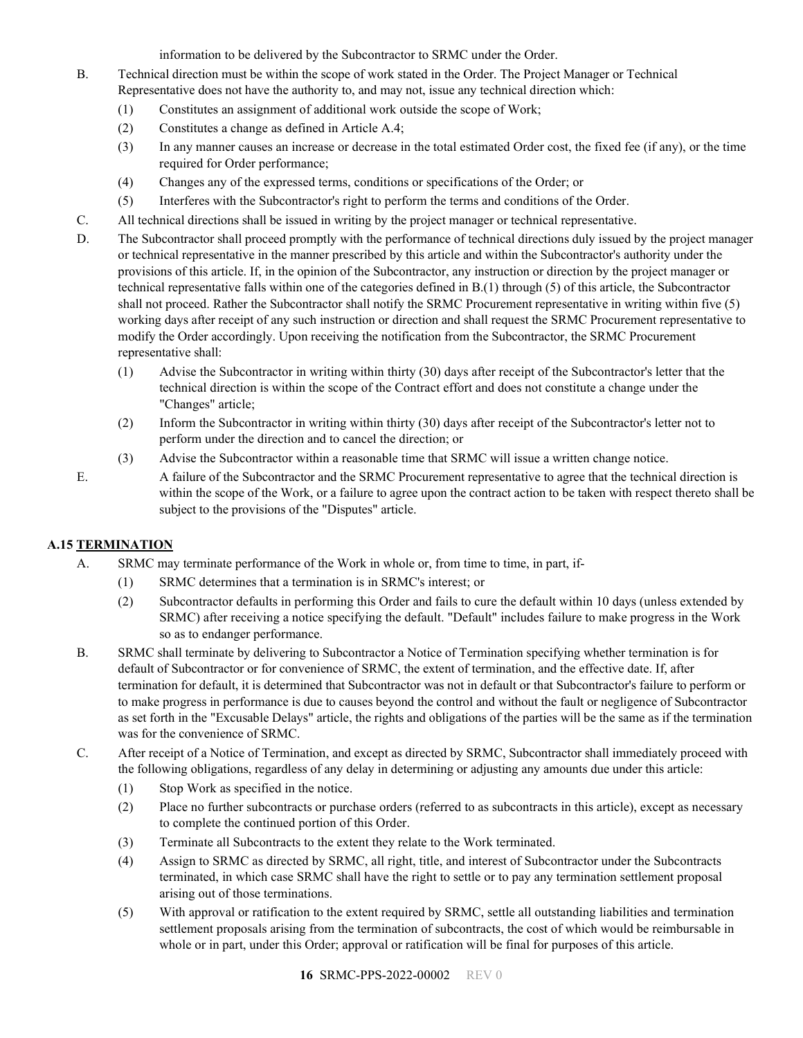information to be delivered by the Subcontractor to SRMC under the Order.

- B. Technical direction must be within the scope of work stated in the Order. The Project Manager or Technical Representative does not have the authority to, and may not, issue any technical direction which:
	- (1) Constitutes an assignment of additional work outside the scope of Work;
	- (2) Constitutes a change as defined in Article A.4;
	- (3) In any manner causes an increase or decrease in the total estimated Order cost, the fixed fee (if any), or the time required for Order performance;
	- (4) Changes any of the expressed terms, conditions or specifications of the Order; or
	- (5) Interferes with the Subcontractor's right to perform the terms and conditions of the Order.
- C. All technical directions shall be issued in writing by the project manager or technical representative.
- D. The Subcontractor shall proceed promptly with the performance of technical directions duly issued by the project manager or technical representative in the manner prescribed by this article and within the Subcontractor's authority under the provisions of this article. If, in the opinion of the Subcontractor, any instruction or direction by the project manager or technical representative falls within one of the categories defined in B.(1) through (5) of this article, the Subcontractor shall not proceed. Rather the Subcontractor shall notify the SRMC Procurement representative in writing within five (5) working days after receipt of any such instruction or direction and shall request the SRMC Procurement representative to modify the Order accordingly. Upon receiving the notification from the Subcontractor, the SRMC Procurement representative shall:
	- (1) Advise the Subcontractor in writing within thirty (30) days after receipt of the Subcontractor's letter that the technical direction is within the scope of the Contract effort and does not constitute a change under the "Changes" article;
	- (2) Inform the Subcontractor in writing within thirty (30) days after receipt of the Subcontractor's letter not to perform under the direction and to cancel the direction; or
	- (3) Advise the Subcontractor within a reasonable time that SRMC will issue a written change notice.
- E. A failure of the Subcontractor and the SRMC Procurement representative to agree that the technical direction is within the scope of the Work, or a failure to agree upon the contract action to be taken with respect thereto shall be subject to the provisions of the "Disputes" article.

# <span id="page-15-0"></span>**A.15 TERMINATION**

- A. SRMC may terminate performance of the Work in whole or, from time to time, in part, if-
	- (1) SRMC determines that a termination is in SRMC's interest; or
	- (2) Subcontractor defaults in performing this Order and fails to cure the default within 10 days (unless extended by SRMC) after receiving a notice specifying the default. "Default" includes failure to make progress in the Work so as to endanger performance.
- B. SRMC shall terminate by delivering to Subcontractor a Notice of Termination specifying whether termination is for default of Subcontractor or for convenience of SRMC, the extent of termination, and the effective date. If, after termination for default, it is determined that Subcontractor was not in default or that Subcontractor's failure to perform or to make progress in performance is due to causes beyond the control and without the fault or negligence of Subcontractor as set forth in the "Excusable Delays" article, the rights and obligations of the parties will be the same as if the termination was for the convenience of SRMC.
- C. After receipt of a Notice of Termination, and except as directed by SRMC, Subcontractor shall immediately proceed with the following obligations, regardless of any delay in determining or adjusting any amounts due under this article:
	- (1) Stop Work as specified in the notice.
	- (2) Place no further subcontracts or purchase orders (referred to as subcontracts in this article), except as necessary to complete the continued portion of this Order.
	- (3) Terminate all Subcontracts to the extent they relate to the Work terminated.
	- (4) Assign to SRMC as directed by SRMC, all right, title, and interest of Subcontractor under the Subcontracts terminated, in which case SRMC shall have the right to settle or to pay any termination settlement proposal arising out of those terminations.
	- (5) With approval or ratification to the extent required by SRMC, settle all outstanding liabilities and termination settlement proposals arising from the termination of subcontracts, the cost of which would be reimbursable in whole or in part, under this Order; approval or ratification will be final for purposes of this article.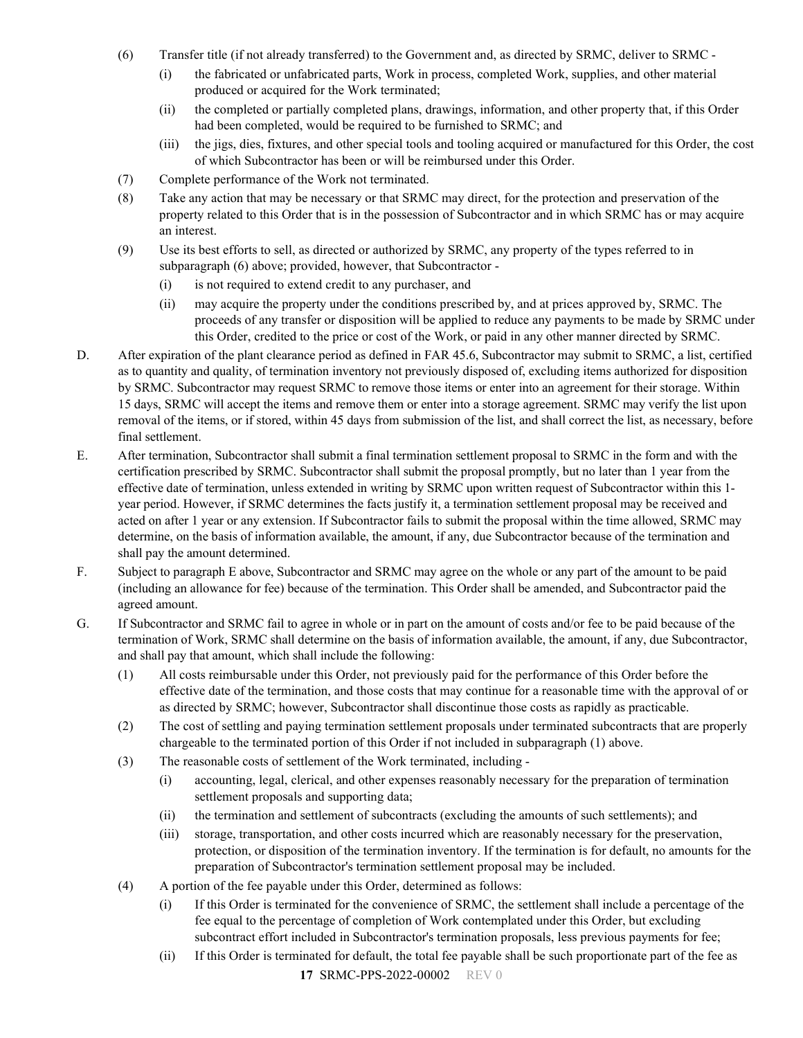- (6) Transfer title (if not already transferred) to the Government and, as directed by SRMC, deliver to SRMC
	- (i) the fabricated or unfabricated parts, Work in process, completed Work, supplies, and other material produced or acquired for the Work terminated;
	- (ii) the completed or partially completed plans, drawings, information, and other property that, if this Order had been completed, would be required to be furnished to SRMC; and
	- (iii) the jigs, dies, fixtures, and other special tools and tooling acquired or manufactured for this Order, the cost of which Subcontractor has been or will be reimbursed under this Order.
- (7) Complete performance of the Work not terminated.
- (8) Take any action that may be necessary or that SRMC may direct, for the protection and preservation of the property related to this Order that is in the possession of Subcontractor and in which SRMC has or may acquire an interest.
- (9) Use its best efforts to sell, as directed or authorized by SRMC, any property of the types referred to in subparagraph (6) above; provided, however, that Subcontractor -
	- (i) is not required to extend credit to any purchaser, and
	- (ii) may acquire the property under the conditions prescribed by, and at prices approved by, SRMC. The proceeds of any transfer or disposition will be applied to reduce any payments to be made by SRMC under this Order, credited to the price or cost of the Work, or paid in any other manner directed by SRMC.
- D. After expiration of the plant clearance period as defined in FAR 45.6, Subcontractor may submit to SRMC, a list, certified as to quantity and quality, of termination inventory not previously disposed of, excluding items authorized for disposition by SRMC. Subcontractor may request SRMC to remove those items or enter into an agreement for their storage. Within 15 days, SRMC will accept the items and remove them or enter into a storage agreement. SRMC may verify the list upon removal of the items, or if stored, within 45 days from submission of the list, and shall correct the list, as necessary, before final settlement.
- E. After termination, Subcontractor shall submit a final termination settlement proposal to SRMC in the form and with the certification prescribed by SRMC. Subcontractor shall submit the proposal promptly, but no later than 1 year from the effective date of termination, unless extended in writing by SRMC upon written request of Subcontractor within this 1 year period. However, if SRMC determines the facts justify it, a termination settlement proposal may be received and acted on after 1 year or any extension. If Subcontractor fails to submit the proposal within the time allowed, SRMC may determine, on the basis of information available, the amount, if any, due Subcontractor because of the termination and shall pay the amount determined.
- F. Subject to paragraph E above, Subcontractor and SRMC may agree on the whole or any part of the amount to be paid (including an allowance for fee) because of the termination. This Order shall be amended, and Subcontractor paid the agreed amount.
- G. If Subcontractor and SRMC fail to agree in whole or in part on the amount of costs and/or fee to be paid because of the termination of Work, SRMC shall determine on the basis of information available, the amount, if any, due Subcontractor, and shall pay that amount, which shall include the following:
	- (1) All costs reimbursable under this Order, not previously paid for the performance of this Order before the effective date of the termination, and those costs that may continue for a reasonable time with the approval of or as directed by SRMC; however, Subcontractor shall discontinue those costs as rapidly as practicable.
	- (2) The cost of settling and paying termination settlement proposals under terminated subcontracts that are properly chargeable to the terminated portion of this Order if not included in subparagraph (1) above.
	- (3) The reasonable costs of settlement of the Work terminated, including
		- (i) accounting, legal, clerical, and other expenses reasonably necessary for the preparation of termination settlement proposals and supporting data;
		- (ii) the termination and settlement of subcontracts (excluding the amounts of such settlements); and
		- (iii) storage, transportation, and other costs incurred which are reasonably necessary for the preservation, protection, or disposition of the termination inventory. If the termination is for default, no amounts for the preparation of Subcontractor's termination settlement proposal may be included.
	- (4) A portion of the fee payable under this Order, determined as follows:
		- (i) If this Order is terminated for the convenience of SRMC, the settlement shall include a percentage of the fee equal to the percentage of completion of Work contemplated under this Order, but excluding subcontract effort included in Subcontractor's termination proposals, less previous payments for fee;
		- (ii) If this Order is terminated for default, the total fee payable shall be such proportionate part of the fee as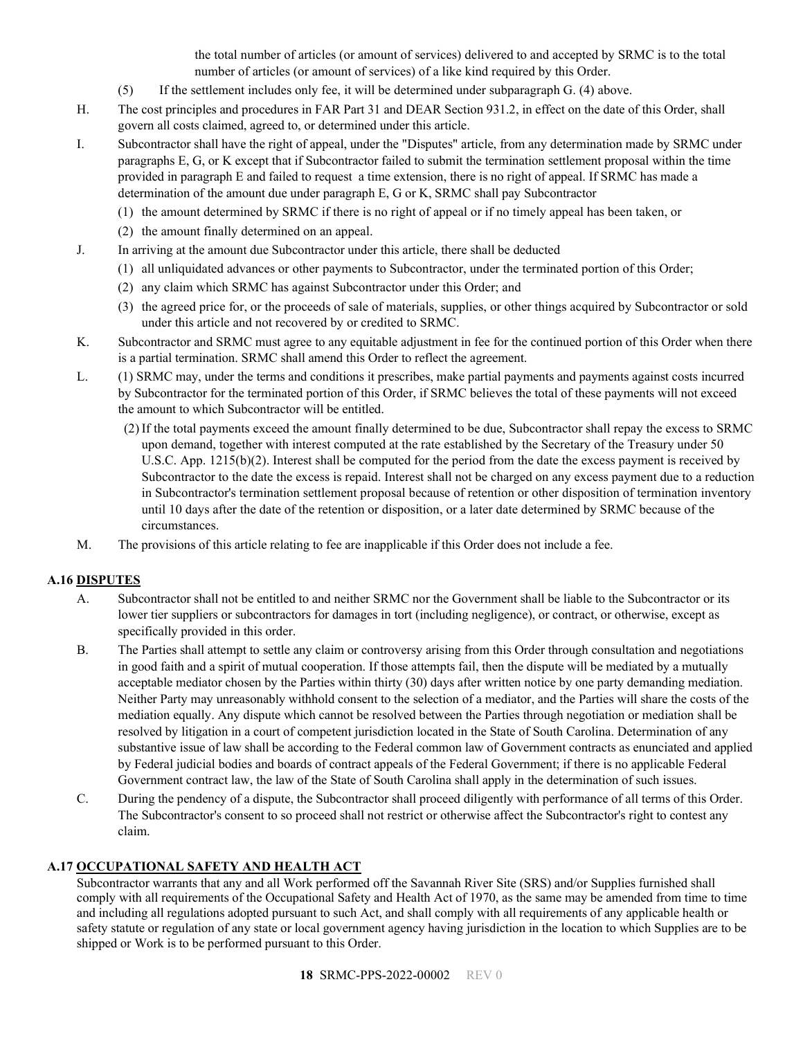the total number of articles (or amount of services) delivered to and accepted by SRMC is to the total number of articles (or amount of services) of a like kind required by this Order.

- (5) If the settlement includes only fee, it will be determined under subparagraph G. (4) above.
- H. The cost principles and procedures in FAR Part 31 and DEAR Section 931.2, in effect on the date of this Order, shall govern all costs claimed, agreed to, or determined under this article.
- I. Subcontractor shall have the right of appeal, under the "Disputes" article, from any determination made by SRMC under paragraphs E, G, or K except that if Subcontractor failed to submit the termination settlement proposal within the time provided in paragraph E and failed to request a time extension, there is no right of appeal. If SRMC has made a determination of the amount due under paragraph E, G or K, SRMC shall pay Subcontractor
	- (1) the amount determined by SRMC if there is no right of appeal or if no timely appeal has been taken, or
	- (2) the amount finally determined on an appeal.
- J. In arriving at the amount due Subcontractor under this article, there shall be deducted
	- (1) all unliquidated advances or other payments to Subcontractor, under the terminated portion of this Order;
	- (2) any claim which SRMC has against Subcontractor under this Order; and
	- (3) the agreed price for, or the proceeds of sale of materials, supplies, or other things acquired by Subcontractor or sold under this article and not recovered by or credited to SRMC.
- K. Subcontractor and SRMC must agree to any equitable adjustment in fee for the continued portion of this Order when there is a partial termination. SRMC shall amend this Order to reflect the agreement.
- L. (1) SRMC may, under the terms and conditions it prescribes, make partial payments and payments against costs incurred by Subcontractor for the terminated portion of this Order, if SRMC believes the total of these payments will not exceed the amount to which Subcontractor will be entitled.
	- (2) If the total payments exceed the amount finally determined to be due, Subcontractor shall repay the excess to SRMC upon demand, together with interest computed at the rate established by the Secretary of the Treasury under 50 U.S.C. App. 1215(b)(2). Interest shall be computed for the period from the date the excess payment is received by Subcontractor to the date the excess is repaid. Interest shall not be charged on any excess payment due to a reduction in Subcontractor's termination settlement proposal because of retention or other disposition of termination inventory until 10 days after the date of the retention or disposition, or a later date determined by SRMC because of the circumstances.
- M. The provisions of this article relating to fee are inapplicable if this Order does not include a fee.

#### <span id="page-17-0"></span>**A.16 DISPUTES**

- A. Subcontractor shall not be entitled to and neither SRMC nor the Government shall be liable to the Subcontractor or its lower tier suppliers or subcontractors for damages in tort (including negligence), or contract, or otherwise, except as specifically provided in this order.
- B. The Parties shall attempt to settle any claim or controversy arising from this Order through consultation and negotiations in good faith and a spirit of mutual cooperation. If those attempts fail, then the dispute will be mediated by a mutually acceptable mediator chosen by the Parties within thirty (30) days after written notice by one party demanding mediation. Neither Party may unreasonably withhold consent to the selection of a mediator, and the Parties will share the costs of the mediation equally. Any dispute which cannot be resolved between the Parties through negotiation or mediation shall be resolved by litigation in a court of competent jurisdiction located in the State of South Carolina. Determination of any substantive issue of law shall be according to the Federal common law of Government contracts as enunciated and applied by Federal judicial bodies and boards of contract appeals of the Federal Government; if there is no applicable Federal Government contract law, the law of the State of South Carolina shall apply in the determination of such issues.
- C. During the pendency of a dispute, the Subcontractor shall proceed diligently with performance of all terms of this Order. The Subcontractor's consent to so proceed shall not restrict or otherwise affect the Subcontractor's right to contest any claim.

#### <span id="page-17-1"></span>**A.17 OCCUPATIONAL SAFETY AND HEALTH ACT**

Subcontractor warrants that any and all Work performed off the Savannah River Site (SRS) and/or Supplies furnished shall comply with all requirements of the Occupational Safety and Health Act of 1970, as the same may be amended from time to time and including all regulations adopted pursuant to such Act, and shall comply with all requirements of any applicable health or safety statute or regulation of any state or local government agency having jurisdiction in the location to which Supplies are to be shipped or Work is to be performed pursuant to this Order.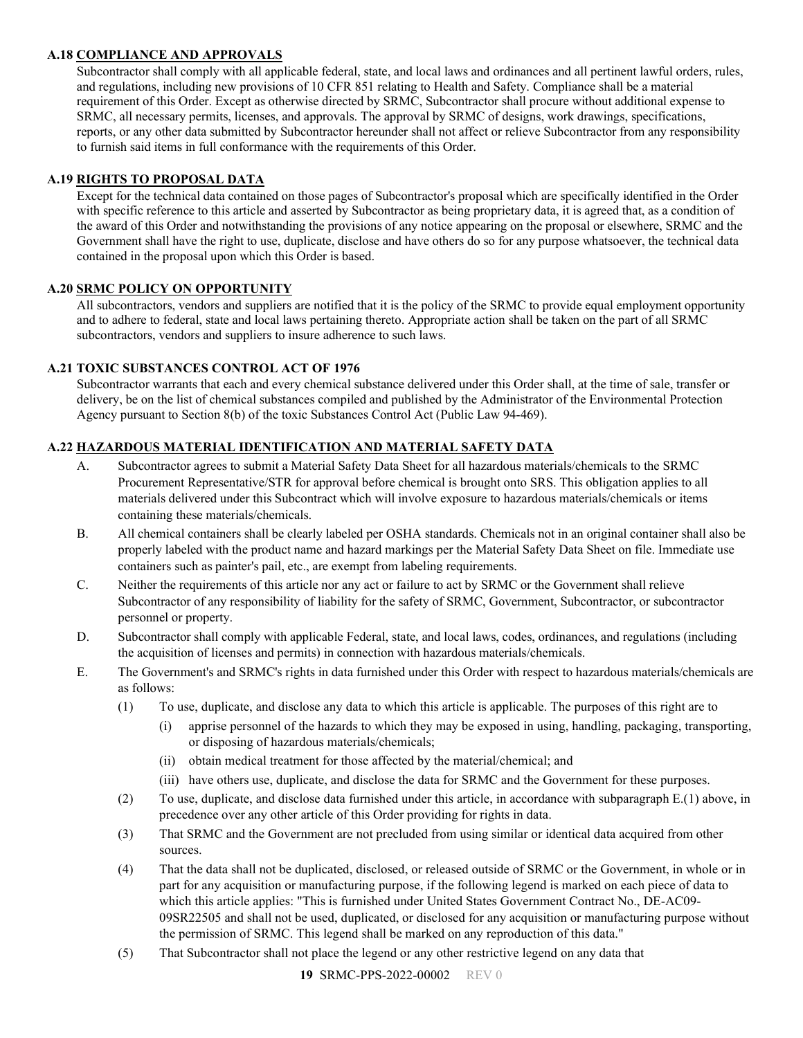### <span id="page-18-0"></span>**A.18 COMPLIANCE AND APPROVALS**

Subcontractor shall comply with all applicable federal, state, and local laws and ordinances and all pertinent lawful orders, rules, and regulations, including new provisions of 10 CFR 851 relating to Health and Safety. Compliance shall be a material requirement of this Order. Except as otherwise directed by SRMC, Subcontractor shall procure without additional expense to SRMC, all necessary permits, licenses, and approvals. The approval by SRMC of designs, work drawings, specifications, reports, or any other data submitted by Subcontractor hereunder shall not affect or relieve Subcontractor from any responsibility to furnish said items in full conformance with the requirements of this Order.

### <span id="page-18-1"></span>**A.19 RIGHTS TO PROPOSAL DATA**

Except for the technical data contained on those pages of Subcontractor's proposal which are specifically identified in the Order with specific reference to this article and asserted by Subcontractor as being proprietary data, it is agreed that, as a condition of the award of this Order and notwithstanding the provisions of any notice appearing on the proposal or elsewhere, SRMC and the Government shall have the right to use, duplicate, disclose and have others do so for any purpose whatsoever, the technical data contained in the proposal upon which this Order is based.

### <span id="page-18-2"></span>**A.20 SRMC POLICY ON OPPORTUNITY**

All subcontractors, vendors and suppliers are notified that it is the policy of the SRMC to provide equal employment opportunity and to adhere to federal, state and local laws pertaining thereto. Appropriate action shall be taken on the part of all SRMC subcontractors, vendors and suppliers to insure adherence to such laws.

#### <span id="page-18-3"></span>**A.21 TOXIC SUBSTANCES CONTROL ACT OF 1976**

Subcontractor warrants that each and every chemical substance delivered under this Order shall, at the time of sale, transfer or delivery, be on the list of chemical substances compiled and published by the Administrator of the Environmental Protection Agency pursuant to Section 8(b) of the toxic Substances Control Act (Public Law 94-469).

# <span id="page-18-4"></span>**A.22 HAZARDOUS MATERIAL IDENTIFICATION AND MATERIAL SAFETY DATA**

- A. Subcontractor agrees to submit a Material Safety Data Sheet for all hazardous materials/chemicals to the SRMC Procurement Representative/STR for approval before chemical is brought onto SRS. This obligation applies to all materials delivered under this Subcontract which will involve exposure to hazardous materials/chemicals or items containing these materials/chemicals.
- B. All chemical containers shall be clearly labeled per OSHA standards. Chemicals not in an original container shall also be properly labeled with the product name and hazard markings per the Material Safety Data Sheet on file. Immediate use containers such as painter's pail, etc., are exempt from labeling requirements.
- C. Neither the requirements of this article nor any act or failure to act by SRMC or the Government shall relieve Subcontractor of any responsibility of liability for the safety of SRMC, Government, Subcontractor, or subcontractor personnel or property.
- D. Subcontractor shall comply with applicable Federal, state, and local laws, codes, ordinances, and regulations (including the acquisition of licenses and permits) in connection with hazardous materials/chemicals.
- E. The Government's and SRMC's rights in data furnished under this Order with respect to hazardous materials/chemicals are as follows:
	- (1) To use, duplicate, and disclose any data to which this article is applicable. The purposes of this right are to
		- (i) apprise personnel of the hazards to which they may be exposed in using, handling, packaging, transporting, or disposing of hazardous materials/chemicals;
		- (ii) obtain medical treatment for those affected by the material/chemical; and
		- (iii) have others use, duplicate, and disclose the data for SRMC and the Government for these purposes.
	- (2) To use, duplicate, and disclose data furnished under this article, in accordance with subparagraph E.(1) above, in precedence over any other article of this Order providing for rights in data.
	- (3) That SRMC and the Government are not precluded from using similar or identical data acquired from other sources.
	- (4) That the data shall not be duplicated, disclosed, or released outside of SRMC or the Government, in whole or in part for any acquisition or manufacturing purpose, if the following legend is marked on each piece of data to which this article applies: "This is furnished under United States Government Contract No., DE-AC09- 09SR22505 and shall not be used, duplicated, or disclosed for any acquisition or manufacturing purpose without the permission of SRMC. This legend shall be marked on any reproduction of this data."
	- (5) That Subcontractor shall not place the legend or any other restrictive legend on any data that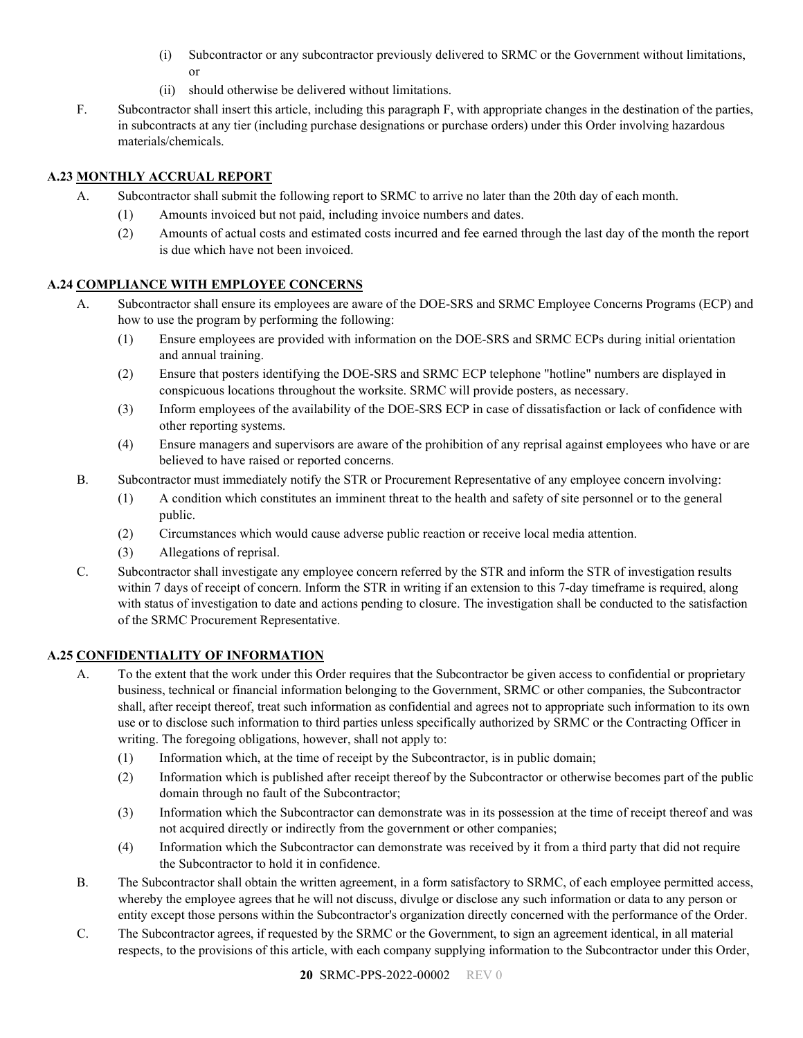- (i) Subcontractor or any subcontractor previously delivered to SRMC or the Government without limitations, or
- (ii) should otherwise be delivered without limitations.
- F. Subcontractor shall insert this article, including this paragraph F, with appropriate changes in the destination of the parties, in subcontracts at any tier (including purchase designations or purchase orders) under this Order involving hazardous materials/chemicals.

# <span id="page-19-0"></span>**A.23 MONTHLY ACCRUAL REPORT**

- A. Subcontractor shall submit the following report to SRMC to arrive no later than the 20th day of each month.
	- (1) Amounts invoiced but not paid, including invoice numbers and dates.
	- (2) Amounts of actual costs and estimated costs incurred and fee earned through the last day of the month the report is due which have not been invoiced.

# <span id="page-19-1"></span>**A.24 COMPLIANCE WITH EMPLOYEE CONCERNS**

- A. Subcontractor shall ensure its employees are aware of the DOE-SRS and SRMC Employee Concerns Programs (ECP) and how to use the program by performing the following:
	- (1) Ensure employees are provided with information on the DOE-SRS and SRMC ECPs during initial orientation and annual training.
	- (2) Ensure that posters identifying the DOE-SRS and SRMC ECP telephone "hotline" numbers are displayed in conspicuous locations throughout the worksite. SRMC will provide posters, as necessary.
	- (3) Inform employees of the availability of the DOE-SRS ECP in case of dissatisfaction or lack of confidence with other reporting systems.
	- (4) Ensure managers and supervisors are aware of the prohibition of any reprisal against employees who have or are believed to have raised or reported concerns.
- B. Subcontractor must immediately notify the STR or Procurement Representative of any employee concern involving:
	- (1) A condition which constitutes an imminent threat to the health and safety of site personnel or to the general public.
	- (2) Circumstances which would cause adverse public reaction or receive local media attention.
	- (3) Allegations of reprisal.
- C. Subcontractor shall investigate any employee concern referred by the STR and inform the STR of investigation results within 7 days of receipt of concern. Inform the STR in writing if an extension to this 7-day timeframe is required, along with status of investigation to date and actions pending to closure. The investigation shall be conducted to the satisfaction of the SRMC Procurement Representative.

# <span id="page-19-2"></span>**A.25 CONFIDENTIALITY OF INFORMATION**

- A. To the extent that the work under this Order requires that the Subcontractor be given access to confidential or proprietary business, technical or financial information belonging to the Government, SRMC or other companies, the Subcontractor shall, after receipt thereof, treat such information as confidential and agrees not to appropriate such information to its own use or to disclose such information to third parties unless specifically authorized by SRMC or the Contracting Officer in writing. The foregoing obligations, however, shall not apply to:
	- (1) Information which, at the time of receipt by the Subcontractor, is in public domain;
	- (2) Information which is published after receipt thereof by the Subcontractor or otherwise becomes part of the public domain through no fault of the Subcontractor;
	- (3) Information which the Subcontractor can demonstrate was in its possession at the time of receipt thereof and was not acquired directly or indirectly from the government or other companies;
	- (4) Information which the Subcontractor can demonstrate was received by it from a third party that did not require the Subcontractor to hold it in confidence.
- B. The Subcontractor shall obtain the written agreement, in a form satisfactory to SRMC, of each employee permitted access, whereby the employee agrees that he will not discuss, divulge or disclose any such information or data to any person or entity except those persons within the Subcontractor's organization directly concerned with the performance of the Order.
- C. The Subcontractor agrees, if requested by the SRMC or the Government, to sign an agreement identical, in all material respects, to the provisions of this article, with each company supplying information to the Subcontractor under this Order,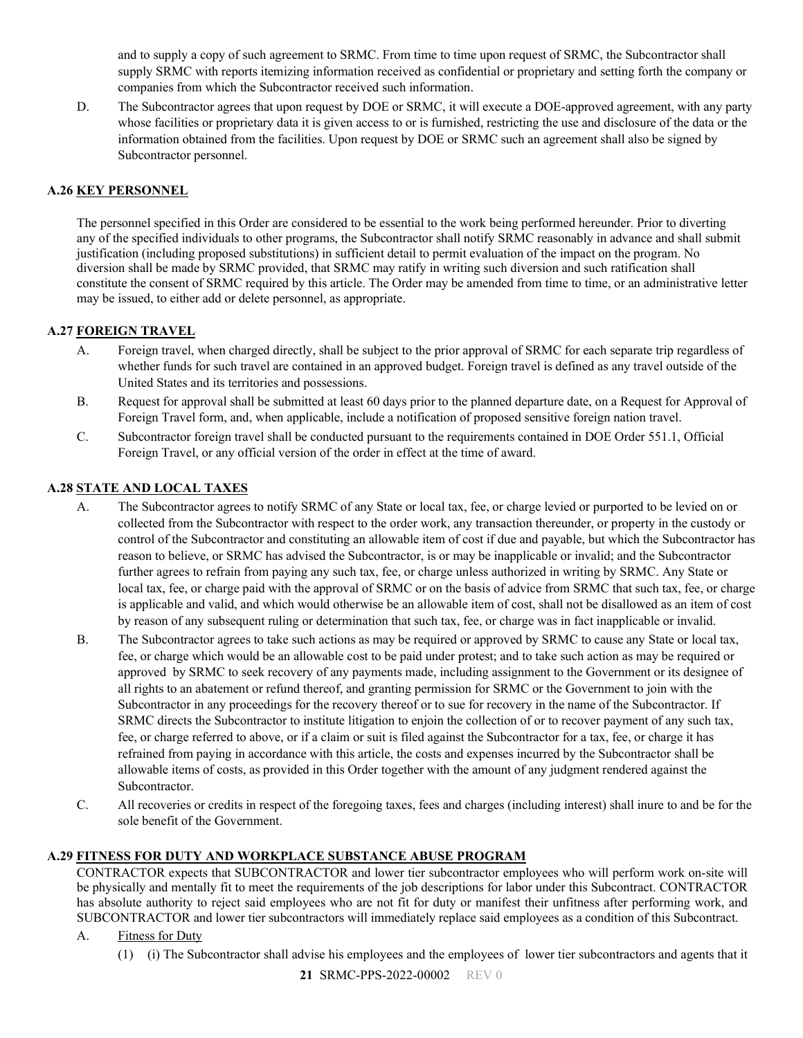and to supply a copy of such agreement to SRMC. From time to time upon request of SRMC, the Subcontractor shall supply SRMC with reports itemizing information received as confidential or proprietary and setting forth the company or companies from which the Subcontractor received such information.

D. The Subcontractor agrees that upon request by DOE or SRMC, it will execute a DOE-approved agreement, with any party whose facilities or proprietary data it is given access to or is furnished, restricting the use and disclosure of the data or the information obtained from the facilities. Upon request by DOE or SRMC such an agreement shall also be signed by Subcontractor personnel.

# <span id="page-20-0"></span>**A.26 KEY PERSONNEL**

The personnel specified in this Order are considered to be essential to the work being performed hereunder. Prior to diverting any of the specified individuals to other programs, the Subcontractor shall notify SRMC reasonably in advance and shall submit justification (including proposed substitutions) in sufficient detail to permit evaluation of the impact on the program. No diversion shall be made by SRMC provided, that SRMC may ratify in writing such diversion and such ratification shall constitute the consent of SRMC required by this article. The Order may be amended from time to time, or an administrative letter may be issued, to either add or delete personnel, as appropriate.

# <span id="page-20-1"></span>**A.27 FOREIGN TRAVEL**

- A. Foreign travel, when charged directly, shall be subject to the prior approval of SRMC for each separate trip regardless of whether funds for such travel are contained in an approved budget. Foreign travel is defined as any travel outside of the United States and its territories and possessions.
- B. Request for approval shall be submitted at least 60 days prior to the planned departure date, on a Request for Approval of Foreign Travel form, and, when applicable, include a notification of proposed sensitive foreign nation travel.
- C. Subcontractor foreign travel shall be conducted pursuant to the requirements contained in DOE Order 551.1, Official Foreign Travel, or any official version of the order in effect at the time of award.

#### <span id="page-20-2"></span>**A.28 STATE AND LOCAL TAXES**

- A. The Subcontractor agrees to notify SRMC of any State or local tax, fee, or charge levied or purported to be levied on or collected from the Subcontractor with respect to the order work, any transaction thereunder, or property in the custody or control of the Subcontractor and constituting an allowable item of cost if due and payable, but which the Subcontractor has reason to believe, or SRMC has advised the Subcontractor, is or may be inapplicable or invalid; and the Subcontractor further agrees to refrain from paying any such tax, fee, or charge unless authorized in writing by SRMC. Any State or local tax, fee, or charge paid with the approval of SRMC or on the basis of advice from SRMC that such tax, fee, or charge is applicable and valid, and which would otherwise be an allowable item of cost, shall not be disallowed as an item of cost by reason of any subsequent ruling or determination that such tax, fee, or charge was in fact inapplicable or invalid.
- B. The Subcontractor agrees to take such actions as may be required or approved by SRMC to cause any State or local tax, fee, or charge which would be an allowable cost to be paid under protest; and to take such action as may be required or approved by SRMC to seek recovery of any payments made, including assignment to the Government or its designee of all rights to an abatement or refund thereof, and granting permission for SRMC or the Government to join with the Subcontractor in any proceedings for the recovery thereof or to sue for recovery in the name of the Subcontractor. If SRMC directs the Subcontractor to institute litigation to enjoin the collection of or to recover payment of any such tax, fee, or charge referred to above, or if a claim or suit is filed against the Subcontractor for a tax, fee, or charge it has refrained from paying in accordance with this article, the costs and expenses incurred by the Subcontractor shall be allowable items of costs, as provided in this Order together with the amount of any judgment rendered against the Subcontractor.
- C. All recoveries or credits in respect of the foregoing taxes, fees and charges (including interest) shall inure to and be for the sole benefit of the Government.

# <span id="page-20-3"></span>**A.29 FITNESS FOR DUTY AND WORKPLACE SUBSTANCE ABUSE PROGRAM**

CONTRACTOR expects that SUBCONTRACTOR and lower tier subcontractor employees who will perform work on-site will be physically and mentally fit to meet the requirements of the job descriptions for labor under this Subcontract. CONTRACTOR has absolute authority to reject said employees who are not fit for duty or manifest their unfitness after performing work, and SUBCONTRACTOR and lower tier subcontractors will immediately replace said employees as a condition of this Subcontract.

# A. Fitness for Duty

(1) (i) The Subcontractor shall advise his employees and the employees of lower tier subcontractors and agents that it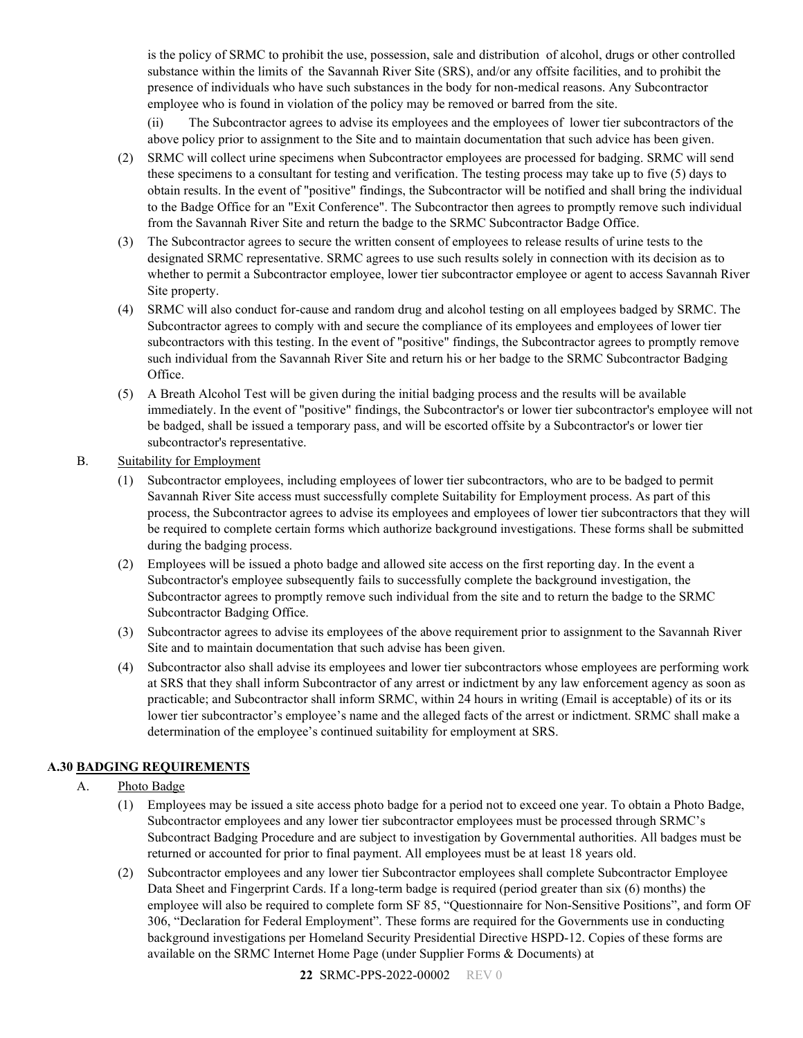is the policy of SRMC to prohibit the use, possession, sale and distribution of alcohol, drugs or other controlled substance within the limits of the Savannah River Site (SRS), and/or any offsite facilities, and to prohibit the presence of individuals who have such substances in the body for non-medical reasons. Any Subcontractor employee who is found in violation of the policy may be removed or barred from the site.

(ii) The Subcontractor agrees to advise its employees and the employees of lower tier subcontractors of the above policy prior to assignment to the Site and to maintain documentation that such advice has been given.

- (2) SRMC will collect urine specimens when Subcontractor employees are processed for badging. SRMC will send these specimens to a consultant for testing and verification. The testing process may take up to five (5) days to obtain results. In the event of "positive" findings, the Subcontractor will be notified and shall bring the individual to the Badge Office for an "Exit Conference". The Subcontractor then agrees to promptly remove such individual from the Savannah River Site and return the badge to the SRMC Subcontractor Badge Office.
- (3) The Subcontractor agrees to secure the written consent of employees to release results of urine tests to the designated SRMC representative. SRMC agrees to use such results solely in connection with its decision as to whether to permit a Subcontractor employee, lower tier subcontractor employee or agent to access Savannah River Site property.
- (4) SRMC will also conduct for-cause and random drug and alcohol testing on all employees badged by SRMC. The Subcontractor agrees to comply with and secure the compliance of its employees and employees of lower tier subcontractors with this testing. In the event of "positive" findings, the Subcontractor agrees to promptly remove such individual from the Savannah River Site and return his or her badge to the SRMC Subcontractor Badging Office.
- (5) A Breath Alcohol Test will be given during the initial badging process and the results will be available immediately. In the event of "positive" findings, the Subcontractor's or lower tier subcontractor's employee will not be badged, shall be issued a temporary pass, and will be escorted offsite by a Subcontractor's or lower tier subcontractor's representative.

# B. Suitability for Employment

- (1) Subcontractor employees, including employees of lower tier subcontractors, who are to be badged to permit Savannah River Site access must successfully complete Suitability for Employment process. As part of this process, the Subcontractor agrees to advise its employees and employees of lower tier subcontractors that they will be required to complete certain forms which authorize background investigations. These forms shall be submitted during the badging process.
- (2) Employees will be issued a photo badge and allowed site access on the first reporting day. In the event a Subcontractor's employee subsequently fails to successfully complete the background investigation, the Subcontractor agrees to promptly remove such individual from the site and to return the badge to the SRMC Subcontractor Badging Office.
- (3) Subcontractor agrees to advise its employees of the above requirement prior to assignment to the Savannah River Site and to maintain documentation that such advise has been given.
- (4) Subcontractor also shall advise its employees and lower tier subcontractors whose employees are performing work at SRS that they shall inform Subcontractor of any arrest or indictment by any law enforcement agency as soon as practicable; and Subcontractor shall inform SRMC, within 24 hours in writing (Email is acceptable) of its or its lower tier subcontractor's employee's name and the alleged facts of the arrest or indictment. SRMC shall make a determination of the employee's continued suitability for employment at SRS.

# <span id="page-21-0"></span>**A.30 BADGING REQUIREMENTS**

# A. Photo Badge

- (1) Employees may be issued a site access photo badge for a period not to exceed one year. To obtain a Photo Badge, Subcontractor employees and any lower tier subcontractor employees must be processed through SRMC's Subcontract Badging Procedure and are subject to investigation by Governmental authorities. All badges must be returned or accounted for prior to final payment. All employees must be at least 18 years old.
- (2) Subcontractor employees and any lower tier Subcontractor employees shall complete Subcontractor Employee Data Sheet and Fingerprint Cards. If a long-term badge is required (period greater than six (6) months) the employee will also be required to complete form SF 85, "Questionnaire for Non-Sensitive Positions", and form OF 306, "Declaration for Federal Employment". These forms are required for the Governments use in conducting background investigations per Homeland Security Presidential Directive HSPD-12. Copies of these forms are available on the SRMC Internet Home Page (under Supplier Forms & Documents) at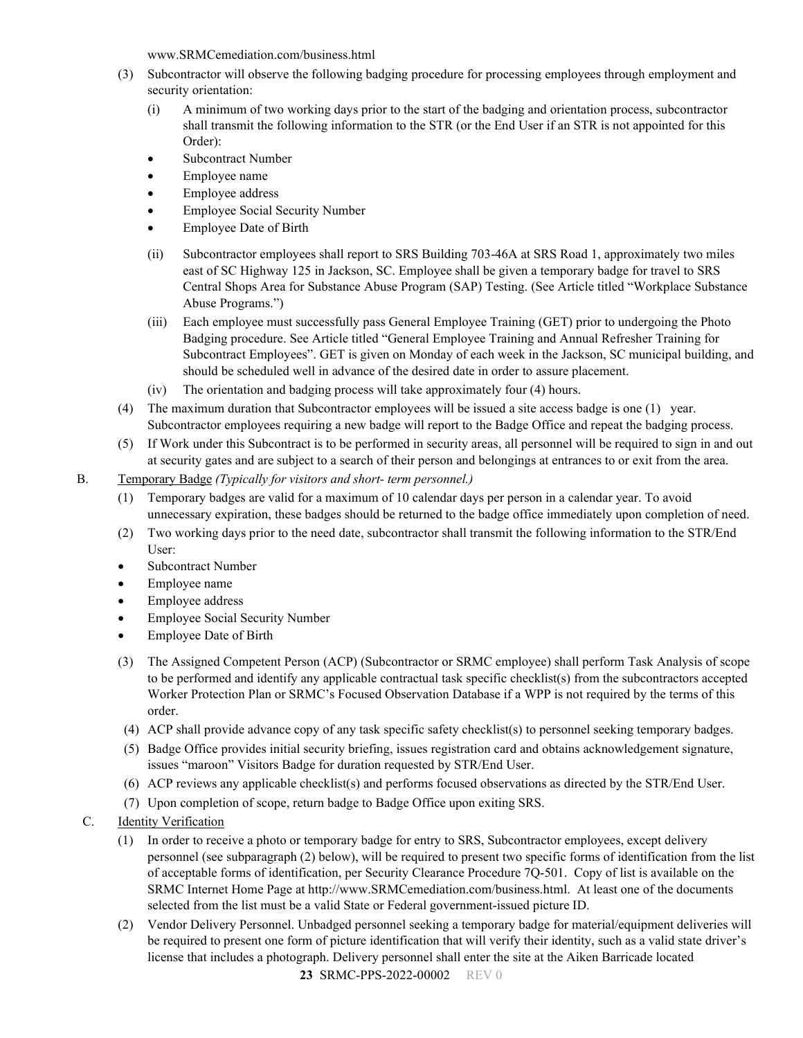www.SRMCemediation.com/business.html

- (3) Subcontractor will observe the following badging procedure for processing employees through employment and security orientation:
	- (i) A minimum of two working days prior to the start of the badging and orientation process, subcontractor shall transmit the following information to the STR (or the End User if an STR is not appointed for this Order):
	- Subcontract Number
	- Employee name
	- Employee address
	- Employee Social Security Number
	- Employee Date of Birth
	- (ii) Subcontractor employees shall report to SRS Building 703-46A at SRS Road 1, approximately two miles east of SC Highway 125 in Jackson, SC. Employee shall be given a temporary badge for travel to SRS Central Shops Area for Substance Abuse Program (SAP) Testing. (See Article titled "Workplace Substance Abuse Programs.")
	- (iii) Each employee must successfully pass General Employee Training (GET) prior to undergoing the Photo Badging procedure. See Article titled "General Employee Training and Annual Refresher Training for Subcontract Employees". GET is given on Monday of each week in the Jackson, SC municipal building, and should be scheduled well in advance of the desired date in order to assure placement.
	- (iv) The orientation and badging process will take approximately four (4) hours.
- (4) The maximum duration that Subcontractor employees will be issued a site access badge is one (1) year. Subcontractor employees requiring a new badge will report to the Badge Office and repeat the badging process.
- (5) If Work under this Subcontract is to be performed in security areas, all personnel will be required to sign in and out at security gates and are subject to a search of their person and belongings at entrances to or exit from the area.
- B. Temporary Badge *(Typically for visitors and short- term personnel.)*
	- (1) Temporary badges are valid for a maximum of 10 calendar days per person in a calendar year. To avoid unnecessary expiration, these badges should be returned to the badge office immediately upon completion of need.
	- (2) Two working days prior to the need date, subcontractor shall transmit the following information to the STR/End User:
	- Subcontract Number
	- Employee name
	- Employee address
	- Employee Social Security Number
	- Employee Date of Birth
	- (3) The Assigned Competent Person (ACP) (Subcontractor or SRMC employee) shall perform Task Analysis of scope to be performed and identify any applicable contractual task specific checklist(s) from the subcontractors accepted Worker Protection Plan or SRMC's Focused Observation Database if a WPP is not required by the terms of this order.
	- (4) ACP shall provide advance copy of any task specific safety checklist(s) to personnel seeking temporary badges.
	- (5) Badge Office provides initial security briefing, issues registration card and obtains acknowledgement signature, issues "maroon" Visitors Badge for duration requested by STR/End User.
	- (6) ACP reviews any applicable checklist(s) and performs focused observations as directed by the STR/End User.
	- (7) Upon completion of scope, return badge to Badge Office upon exiting SRS.
- C. Identity Verification
	- (1) In order to receive a photo or temporary badge for entry to SRS, Subcontractor employees, except delivery personnel (see subparagraph (2) below), will be required to present two specific forms of identification from the list of acceptable forms of identification, per Security Clearance Procedure 7Q-501. Copy of list is available on the SRMC Internet Home Page at http://www.SRMCemediation.com/business.html. At least one of the documents selected from the list must be a valid State or Federal government-issued picture ID.
	- (2) Vendor Delivery Personnel. Unbadged personnel seeking a temporary badge for material/equipment deliveries will be required to present one form of picture identification that will verify their identity, such as a valid state driver's license that includes a photograph. Delivery personnel shall enter the site at the Aiken Barricade located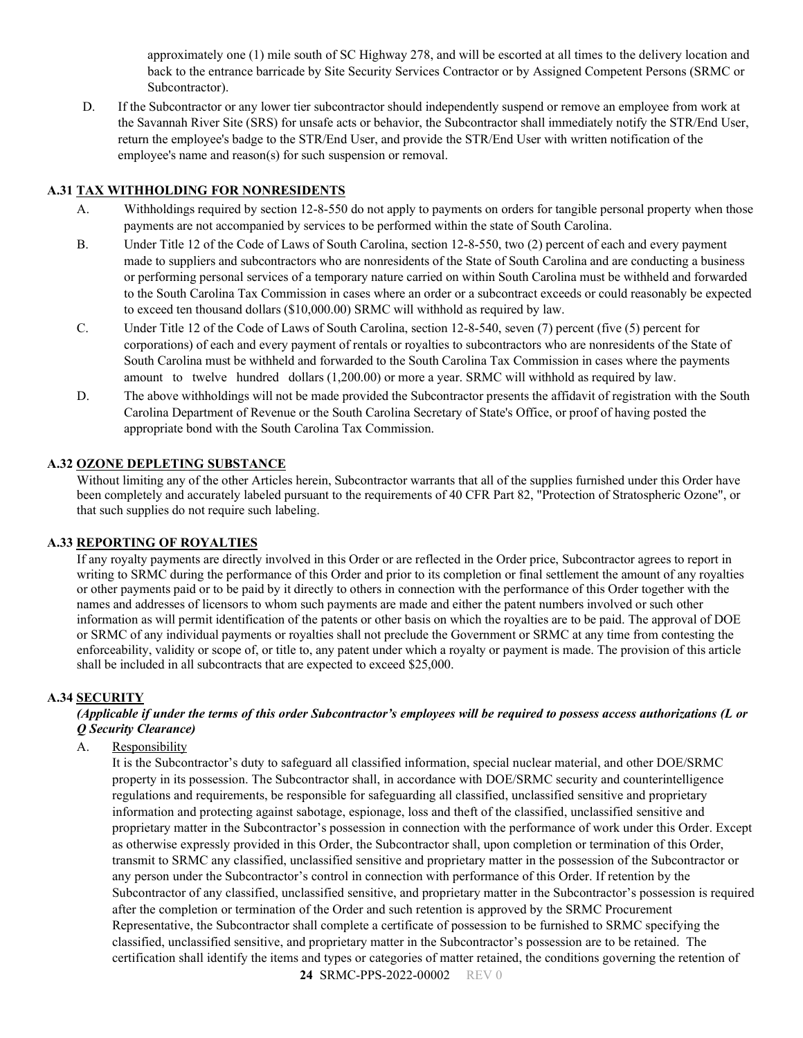approximately one (1) mile south of SC Highway 278, and will be escorted at all times to the delivery location and back to the entrance barricade by Site Security Services Contractor or by Assigned Competent Persons (SRMC or Subcontractor).

D. If the Subcontractor or any lower tier subcontractor should independently suspend or remove an employee from work at the Savannah River Site (SRS) for unsafe acts or behavior, the Subcontractor shall immediately notify the STR/End User, return the employee's badge to the STR/End User, and provide the STR/End User with written notification of the employee's name and reason(s) for such suspension or removal.

# <span id="page-23-0"></span>**A.31 TAX WITHHOLDING FOR NONRESIDENTS**

- A. Withholdings required by section 12-8-550 do not apply to payments on orders for tangible personal property when those payments are not accompanied by services to be performed within the state of South Carolina.
- B. Under Title 12 of the Code of Laws of South Carolina, section 12-8-550, two (2) percent of each and every payment made to suppliers and subcontractors who are nonresidents of the State of South Carolina and are conducting a business or performing personal services of a temporary nature carried on within South Carolina must be withheld and forwarded to the South Carolina Tax Commission in cases where an order or a subcontract exceeds or could reasonably be expected to exceed ten thousand dollars (\$10,000.00) SRMC will withhold as required by law.
- C. Under Title 12 of the Code of Laws of South Carolina, section 12-8-540, seven (7) percent (five (5) percent for corporations) of each and every payment of rentals or royalties to subcontractors who are nonresidents of the State of South Carolina must be withheld and forwarded to the South Carolina Tax Commission in cases where the payments amount to twelve hundred dollars (1,200.00) or more a year. SRMC will withhold as required by law.
- D. The above withholdings will not be made provided the Subcontractor presents the affidavit of registration with the South Carolina Department of Revenue or the South Carolina Secretary of State's Office, or proof of having posted the appropriate bond with the South Carolina Tax Commission.

#### <span id="page-23-1"></span>**A.32 OZONE DEPLETING SUBSTANCE**

Without limiting any of the other Articles herein, Subcontractor warrants that all of the supplies furnished under this Order have been completely and accurately labeled pursuant to the requirements of 40 CFR Part 82, "Protection of Stratospheric Ozone", or that such supplies do not require such labeling.

#### <span id="page-23-2"></span>**A.33 REPORTING OF ROYALTIES**

If any royalty payments are directly involved in this Order or are reflected in the Order price, Subcontractor agrees to report in writing to SRMC during the performance of this Order and prior to its completion or final settlement the amount of any royalties or other payments paid or to be paid by it directly to others in connection with the performance of this Order together with the names and addresses of licensors to whom such payments are made and either the patent numbers involved or such other information as will permit identification of the patents or other basis on which the royalties are to be paid. The approval of DOE or SRMC of any individual payments or royalties shall not preclude the Government or SRMC at any time from contesting the enforceability, validity or scope of, or title to, any patent under which a royalty or payment is made. The provision of this article shall be included in all subcontracts that are expected to exceed \$25,000.

# <span id="page-23-3"></span>**A.34 SECURITY**

#### *(Applicable if under the terms of this order Subcontractor's employees will be required to possess access authorizations (L or Q Security Clearance)*

#### A. Responsibility

It is the Subcontractor's duty to safeguard all classified information, special nuclear material, and other DOE/SRMC property in its possession. The Subcontractor shall, in accordance with DOE/SRMC security and counterintelligence regulations and requirements, be responsible for safeguarding all classified, unclassified sensitive and proprietary information and protecting against sabotage, espionage, loss and theft of the classified, unclassified sensitive and proprietary matter in the Subcontractor's possession in connection with the performance of work under this Order. Except as otherwise expressly provided in this Order, the Subcontractor shall, upon completion or termination of this Order, transmit to SRMC any classified, unclassified sensitive and proprietary matter in the possession of the Subcontractor or any person under the Subcontractor's control in connection with performance of this Order. If retention by the Subcontractor of any classified, unclassified sensitive, and proprietary matter in the Subcontractor's possession is required after the completion or termination of the Order and such retention is approved by the SRMC Procurement Representative, the Subcontractor shall complete a certificate of possession to be furnished to SRMC specifying the classified, unclassified sensitive, and proprietary matter in the Subcontractor's possession are to be retained. The certification shall identify the items and types or categories of matter retained, the conditions governing the retention of

**24** SRMC-PPS-2022-00002 REV 0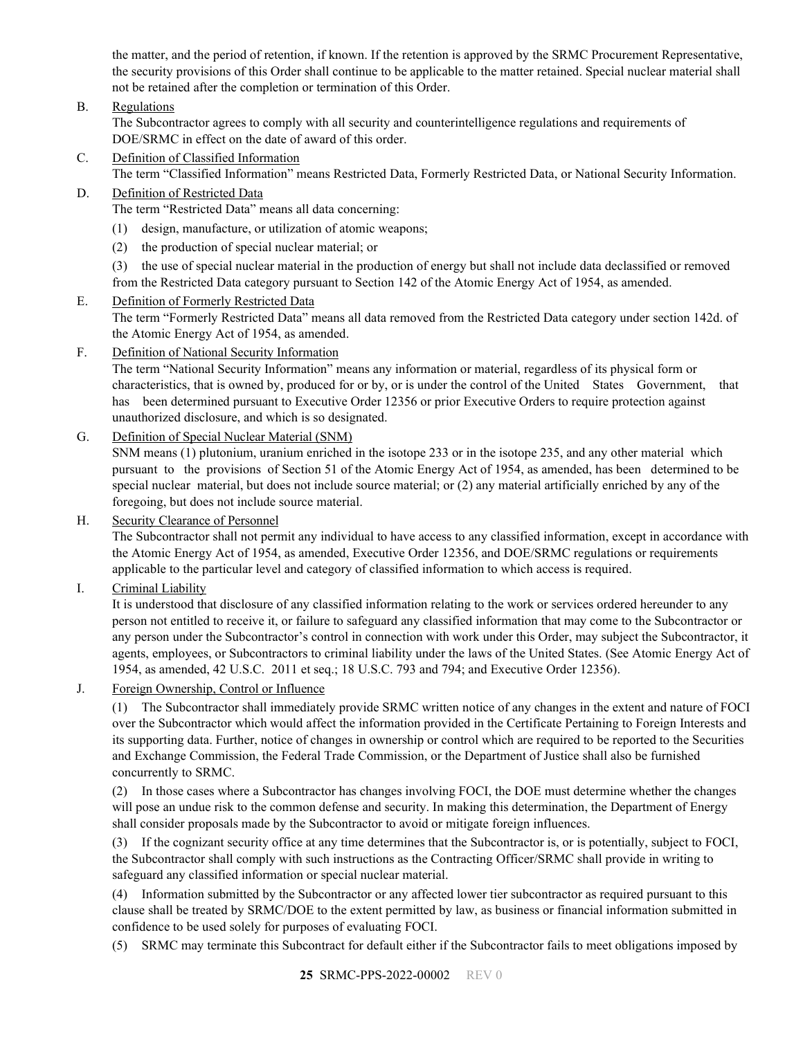the matter, and the period of retention, if known. If the retention is approved by the SRMC Procurement Representative, the security provisions of this Order shall continue to be applicable to the matter retained. Special nuclear material shall not be retained after the completion or termination of this Order.

# B. Regulations

The Subcontractor agrees to comply with all security and counterintelligence regulations and requirements of DOE/SRMC in effect on the date of award of this order.

C. Definition of Classified Information

The term "Classified Information" means Restricted Data, Formerly Restricted Data, or National Security Information.

# D. Definition of Restricted Data

The term "Restricted Data" means all data concerning:

- (1) design, manufacture, or utilization of atomic weapons;
- (2) the production of special nuclear material; or

(3) the use of special nuclear material in the production of energy but shall not include data declassified or removed from the Restricted Data category pursuant to Section 142 of the Atomic Energy Act of 1954, as amended.

#### E. Definition of Formerly Restricted Data

The term "Formerly Restricted Data" means all data removed from the Restricted Data category under section 142d. of the Atomic Energy Act of 1954, as amended.

F. Definition of National Security Information

The term "National Security Information" means any information or material, regardless of its physical form or characteristics, that is owned by, produced for or by, or is under the control of the United States Government, that has been determined pursuant to Executive Order 12356 or prior Executive Orders to require protection against unauthorized disclosure, and which is so designated.

### G. Definition of Special Nuclear Material (SNM)

SNM means (1) plutonium, uranium enriched in the isotope 233 or in the isotope 235, and any other material which pursuant to the provisions of Section 51 of the Atomic Energy Act of 1954, as amended, has been determined to be special nuclear material, but does not include source material; or (2) any material artificially enriched by any of the foregoing, but does not include source material.

#### H. Security Clearance of Personnel

The Subcontractor shall not permit any individual to have access to any classified information, except in accordance with the Atomic Energy Act of 1954, as amended, Executive Order 12356, and DOE/SRMC regulations or requirements applicable to the particular level and category of classified information to which access is required.

# I. Criminal Liability

It is understood that disclosure of any classified information relating to the work or services ordered hereunder to any person not entitled to receive it, or failure to safeguard any classified information that may come to the Subcontractor or any person under the Subcontractor's control in connection with work under this Order, may subject the Subcontractor, it agents, employees, or Subcontractors to criminal liability under the laws of the United States. (See Atomic Energy Act of 1954, as amended, 42 U.S.C. 2011 et seq.; 18 U.S.C. 793 and 794; and Executive Order 12356).

# J. Foreign Ownership, Control or Influence

(1) The Subcontractor shall immediately provide SRMC written notice of any changes in the extent and nature of FOCI over the Subcontractor which would affect the information provided in the Certificate Pertaining to Foreign Interests and its supporting data. Further, notice of changes in ownership or control which are required to be reported to the Securities and Exchange Commission, the Federal Trade Commission, or the Department of Justice shall also be furnished concurrently to SRMC.

(2) In those cases where a Subcontractor has changes involving FOCI, the DOE must determine whether the changes will pose an undue risk to the common defense and security. In making this determination, the Department of Energy shall consider proposals made by the Subcontractor to avoid or mitigate foreign influences.

(3) If the cognizant security office at any time determines that the Subcontractor is, or is potentially, subject to FOCI, the Subcontractor shall comply with such instructions as the Contracting Officer/SRMC shall provide in writing to safeguard any classified information or special nuclear material.

(4) Information submitted by the Subcontractor or any affected lower tier subcontractor as required pursuant to this clause shall be treated by SRMC/DOE to the extent permitted by law, as business or financial information submitted in confidence to be used solely for purposes of evaluating FOCI.

(5) SRMC may terminate this Subcontract for default either if the Subcontractor fails to meet obligations imposed by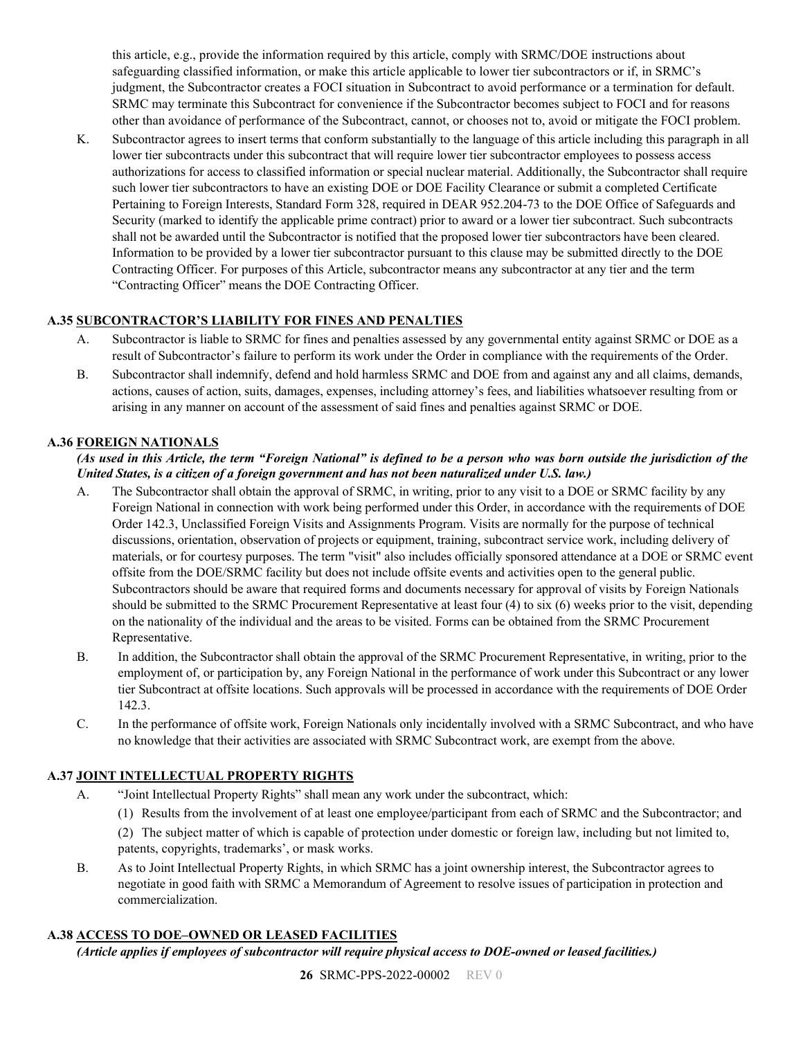this article, e.g., provide the information required by this article, comply with SRMC/DOE instructions about safeguarding classified information, or make this article applicable to lower tier subcontractors or if, in SRMC's judgment, the Subcontractor creates a FOCI situation in Subcontract to avoid performance or a termination for default. SRMC may terminate this Subcontract for convenience if the Subcontractor becomes subject to FOCI and for reasons other than avoidance of performance of the Subcontract, cannot, or chooses not to, avoid or mitigate the FOCI problem.

K. Subcontractor agrees to insert terms that conform substantially to the language of this article including this paragraph in all lower tier subcontracts under this subcontract that will require lower tier subcontractor employees to possess access authorizations for access to classified information or special nuclear material. Additionally, the Subcontractor shall require such lower tier subcontractors to have an existing DOE or DOE Facility Clearance or submit a completed Certificate Pertaining to Foreign Interests, Standard Form 328, required in DEAR 952.204-73 to the DOE Office of Safeguards and Security (marked to identify the applicable prime contract) prior to award or a lower tier subcontract. Such subcontracts shall not be awarded until the Subcontractor is notified that the proposed lower tier subcontractors have been cleared. Information to be provided by a lower tier subcontractor pursuant to this clause may be submitted directly to the DOE Contracting Officer. For purposes of this Article, subcontractor means any subcontractor at any tier and the term "Contracting Officer" means the DOE Contracting Officer.

# <span id="page-25-0"></span>**A.35 SUBCONTRACTOR'S LIABILITY FOR FINES AND PENALTIES**

- A. Subcontractor is liable to SRMC for fines and penalties assessed by any governmental entity against SRMC or DOE as a result of Subcontractor's failure to perform its work under the Order in compliance with the requirements of the Order.
- B. Subcontractor shall indemnify, defend and hold harmless SRMC and DOE from and against any and all claims, demands, actions, causes of action, suits, damages, expenses, including attorney's fees, and liabilities whatsoever resulting from or arising in any manner on account of the assessment of said fines and penalties against SRMC or DOE.

#### <span id="page-25-1"></span>**A.36 FOREIGN NATIONALS**

#### *(As used in this Article, the term "Foreign National" is defined to be a person who was born outside the jurisdiction of the United States, is a citizen of a foreign government and has not been naturalized under U.S. law.)*

- A. The Subcontractor shall obtain the approval of SRMC, in writing, prior to any visit to a DOE or SRMC facility by any Foreign National in connection with work being performed under this Order, in accordance with the requirements of DOE Order 142.3, Unclassified Foreign Visits and Assignments Program. Visits are normally for the purpose of technical discussions, orientation, observation of projects or equipment, training, subcontract service work, including delivery of materials, or for courtesy purposes. The term "visit" also includes officially sponsored attendance at a DOE or SRMC event offsite from the DOE/SRMC facility but does not include offsite events and activities open to the general public. Subcontractors should be aware that required forms and documents necessary for approval of visits by Foreign Nationals should be submitted to the SRMC Procurement Representative at least four (4) to six (6) weeks prior to the visit, depending on the nationality of the individual and the areas to be visited. Forms can be obtained from the SRMC Procurement Representative.
- B. In addition, the Subcontractor shall obtain the approval of the SRMC Procurement Representative, in writing, prior to the employment of, or participation by, any Foreign National in the performance of work under this Subcontract or any lower tier Subcontract at offsite locations. Such approvals will be processed in accordance with the requirements of DOE Order 142.3.
- C. In the performance of offsite work, Foreign Nationals only incidentally involved with a SRMC Subcontract, and who have no knowledge that their activities are associated with SRMC Subcontract work, are exempt from the above.

#### <span id="page-25-2"></span>**A.37 JOINT INTELLECTUAL PROPERTY RIGHTS**

- A. "Joint Intellectual Property Rights" shall mean any work under the subcontract, which:
	- (1) Results from the involvement of at least one employee/participant from each of SRMC and the Subcontractor; and
	- (2) The subject matter of which is capable of protection under domestic or foreign law, including but not limited to, patents, copyrights, trademarks', or mask works.
- B. As to Joint Intellectual Property Rights, in which SRMC has a joint ownership interest, the Subcontractor agrees to negotiate in good faith with SRMC a Memorandum of Agreement to resolve issues of participation in protection and commercialization.

#### <span id="page-25-3"></span>**A.38 ACCESS TO DOE–OWNED OR LEASED FACILITIES**

*(Article applies if employees of subcontractor will require physical access to DOE-owned or leased facilities.)*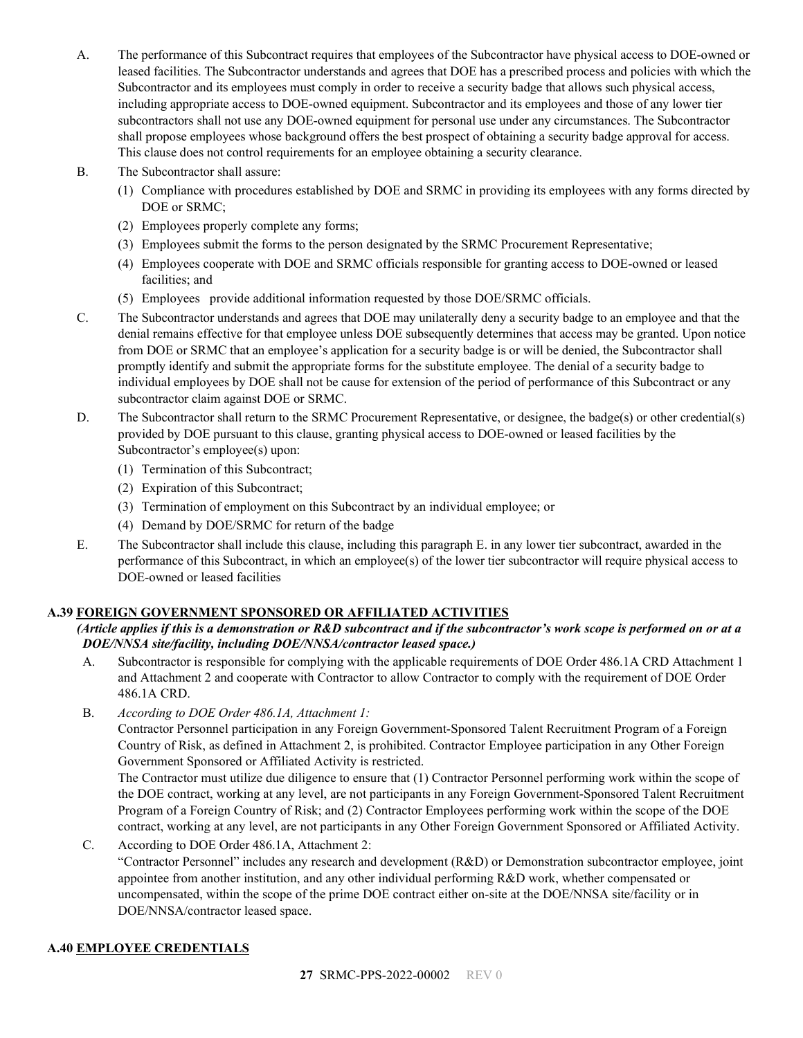- A. The performance of this Subcontract requires that employees of the Subcontractor have physical access to DOE-owned or leased facilities. The Subcontractor understands and agrees that DOE has a prescribed process and policies with which the Subcontractor and its employees must comply in order to receive a security badge that allows such physical access, including appropriate access to DOE-owned equipment. Subcontractor and its employees and those of any lower tier subcontractors shall not use any DOE-owned equipment for personal use under any circumstances. The Subcontractor shall propose employees whose background offers the best prospect of obtaining a security badge approval for access. This clause does not control requirements for an employee obtaining a security clearance.
- B. The Subcontractor shall assure:
	- (1) Compliance with procedures established by DOE and SRMC in providing its employees with any forms directed by DOE or SRMC;
	- (2) Employees properly complete any forms;
	- (3) Employees submit the forms to the person designated by the SRMC Procurement Representative;
	- (4) Employees cooperate with DOE and SRMC officials responsible for granting access to DOE-owned or leased facilities; and
	- (5) Employees provide additional information requested by those DOE/SRMC officials.
- C. The Subcontractor understands and agrees that DOE may unilaterally deny a security badge to an employee and that the denial remains effective for that employee unless DOE subsequently determines that access may be granted. Upon notice from DOE or SRMC that an employee's application for a security badge is or will be denied, the Subcontractor shall promptly identify and submit the appropriate forms for the substitute employee. The denial of a security badge to individual employees by DOE shall not be cause for extension of the period of performance of this Subcontract or any subcontractor claim against DOE or SRMC.
- D. The Subcontractor shall return to the SRMC Procurement Representative, or designee, the badge(s) or other credential(s) provided by DOE pursuant to this clause, granting physical access to DOE-owned or leased facilities by the Subcontractor's employee(s) upon:
	- (1) Termination of this Subcontract;
	- (2) Expiration of this Subcontract;
	- (3) Termination of employment on this Subcontract by an individual employee; or
	- (4) Demand by DOE/SRMC for return of the badge
- E. The Subcontractor shall include this clause, including this paragraph E. in any lower tier subcontract, awarded in the performance of this Subcontract, in which an employee(s) of the lower tier subcontractor will require physical access to DOE-owned or leased facilities

# <span id="page-26-0"></span>**A.39 FOREIGN GOVERNMENT SPONSORED OR AFFILIATED ACTIVITIES**

*(Article applies if this is a demonstration or R&D subcontract and if the subcontractor's work scope is performed on or at a DOE/NNSA site/facility, including DOE/NNSA/contractor leased space.)*

- A. Subcontractor is responsible for complying with the applicable requirements of DOE Order 486.1A CRD Attachment 1 and Attachment 2 and cooperate with Contractor to allow Contractor to comply with the requirement of DOE Order 486.1A CRD.
- B. *According to DOE Order 486.1A, Attachment 1:*

Contractor Personnel participation in any Foreign Government-Sponsored Talent Recruitment Program of a Foreign Country of Risk, as defined in Attachment 2, is prohibited. Contractor Employee participation in any Other Foreign Government Sponsored or Affiliated Activity is restricted.

The Contractor must utilize due diligence to ensure that (1) Contractor Personnel performing work within the scope of the DOE contract, working at any level, are not participants in any Foreign Government-Sponsored Talent Recruitment Program of a Foreign Country of Risk; and (2) Contractor Employees performing work within the scope of the DOE contract, working at any level, are not participants in any Other Foreign Government Sponsored or Affiliated Activity.

C. According to DOE Order 486.1A, Attachment 2: "Contractor Personnel" includes any research and development (R&D) or Demonstration subcontractor employee, joint appointee from another institution, and any other individual performing R&D work, whether compensated or uncompensated, within the scope of the prime DOE contract either on-site at the DOE/NNSA site/facility or in DOE/NNSA/contractor leased space.

#### <span id="page-26-1"></span>**A.40 EMPLOYEE CREDENTIALS**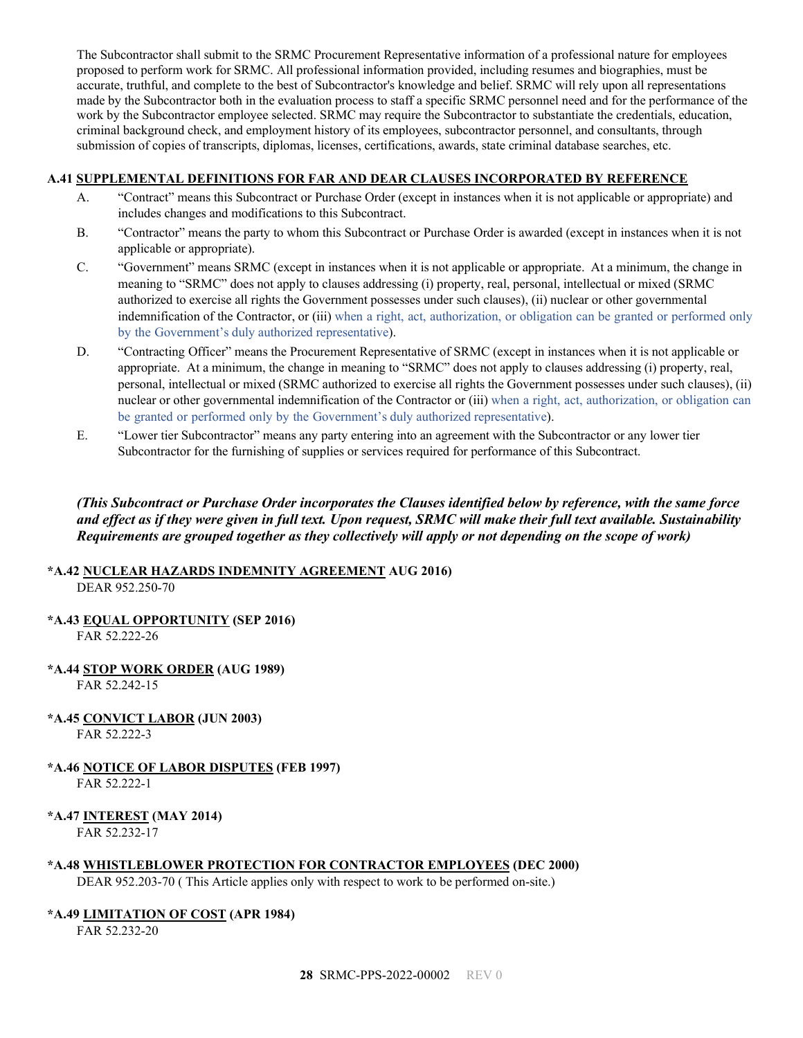The Subcontractor shall submit to the SRMC Procurement Representative information of a professional nature for employees proposed to perform work for SRMC. All professional information provided, including resumes and biographies, must be accurate, truthful, and complete to the best of Subcontractor's knowledge and belief. SRMC will rely upon all representations made by the Subcontractor both in the evaluation process to staff a specific SRMC personnel need and for the performance of the work by the Subcontractor employee selected. SRMC may require the Subcontractor to substantiate the credentials, education, criminal background check, and employment history of its employees, subcontractor personnel, and consultants, through submission of copies of transcripts, diplomas, licenses, certifications, awards, state criminal database searches, etc.

#### <span id="page-27-0"></span>**A.41 SUPPLEMENTAL DEFINITIONS FOR FAR AND DEAR CLAUSES INCORPORATED BY REFERENCE**

- A. "Contract" means this Subcontract or Purchase Order (except in instances when it is not applicable or appropriate) and includes changes and modifications to this Subcontract.
- B. "Contractor" means the party to whom this Subcontract or Purchase Order is awarded (except in instances when it is not applicable or appropriate).
- C. "Government" means SRMC (except in instances when it is not applicable or appropriate. At a minimum, the change in meaning to "SRMC" does not apply to clauses addressing (i) property, real, personal, intellectual or mixed (SRMC authorized to exercise all rights the Government possesses under such clauses), (ii) nuclear or other governmental indemnification of the Contractor, or (iii) when a right, act, authorization, or obligation can be granted or performed only by the Government's duly authorized representative).
- D. "Contracting Officer" means the Procurement Representative of SRMC (except in instances when it is not applicable or appropriate. At a minimum, the change in meaning to "SRMC" does not apply to clauses addressing (i) property, real, personal, intellectual or mixed (SRMC authorized to exercise all rights the Government possesses under such clauses), (ii) nuclear or other governmental indemnification of the Contractor or (iii) when a right, act, authorization, or obligation can be granted or performed only by the Government's duly authorized representative).
- E. "Lower tier Subcontractor" means any party entering into an agreement with the Subcontractor or any lower tier Subcontractor for the furnishing of supplies or services required for performance of this Subcontract.

*(This Subcontract or Purchase Order incorporates the Clauses identified below by reference, with the same force and effect as if they were given in full text. Upon request, SRMC will make their full text available. Sustainability Requirements are grouped together as they collectively will apply or not depending on the scope of work)*

#### <span id="page-27-1"></span>**\*A.42 NUCLEAR HAZARDS INDEMNITY AGREEMENT AUG 2016)**

DEAR 952.250-70

# <span id="page-27-2"></span>**\*A.43 EQUAL OPPORTUNITY (SEP 2016)**

FAR 52.222-26

# <span id="page-27-3"></span>**\*A.44 STOP WORK ORDER (AUG 1989)**

FAR 52.242-15

<span id="page-27-4"></span>**\*A.45 CONVICT LABOR (JUN 2003)**

FAR 52.222-3

<span id="page-27-5"></span>**\*A.46 NOTICE OF LABOR DISPUTES (FEB 1997)** FAR 52.222-1

# <span id="page-27-6"></span>**\*A.47 INTEREST (MAY 2014)**

FAR 52.232-17

<span id="page-27-7"></span>**\*A.48 WHISTLEBLOWER PROTECTION FOR CONTRACTOR EMPLOYEES (DEC 2000)**

DEAR 952.203-70 ( This Article applies only with respect to work to be performed on-site.)

#### <span id="page-27-8"></span>**\*A.49 LIMITATION OF COST (APR 1984)**

FAR 52.232-20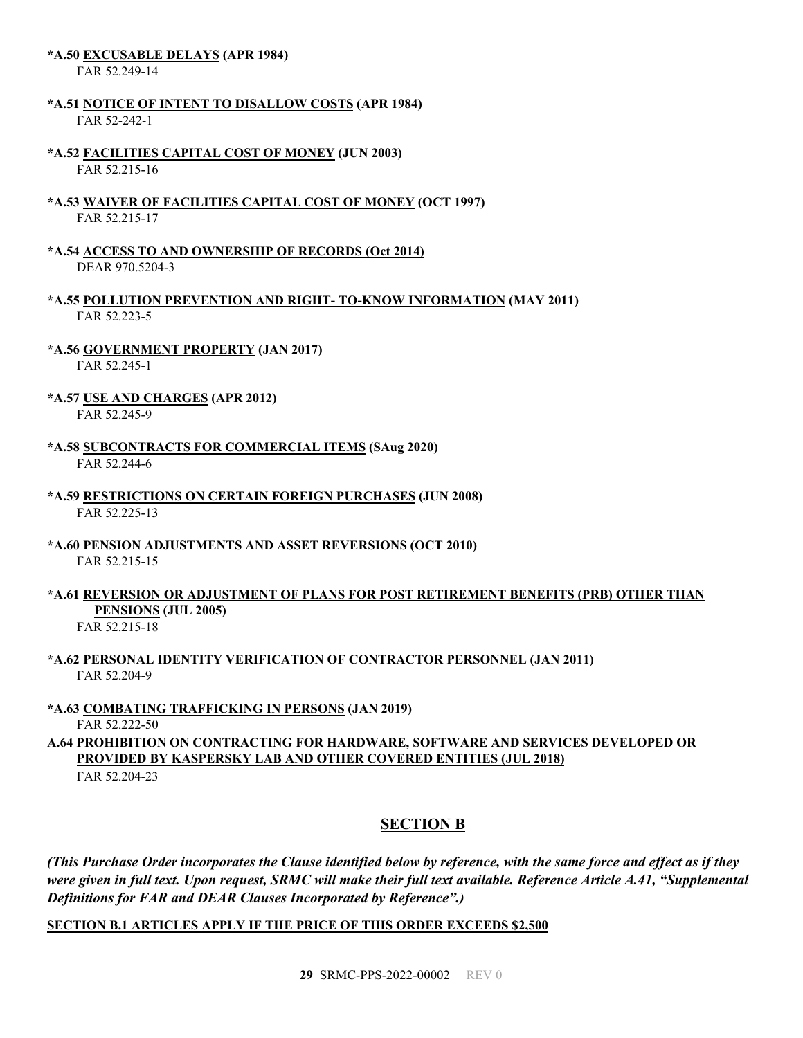#### <span id="page-28-0"></span>**\*A.50 EXCUSABLE DELAYS (APR 1984)**

FAR 52.249-14

- <span id="page-28-1"></span>**\*A.51 NOTICE OF INTENT TO DISALLOW COSTS (APR 1984)** FAR 52-242-1
- <span id="page-28-2"></span>**\*A.52 FACILITIES CAPITAL COST OF MONEY (JUN 2003)** FAR 52.215-16
- <span id="page-28-3"></span>**\*A.53 WAIVER OF FACILITIES CAPITAL COST OF MONEY (OCT 1997)** FAR 52.215-17
- <span id="page-28-4"></span>**\*A.54 ACCESS TO AND OWNERSHIP OF RECORDS (Oct 2014)** DEAR 970.5204-3
- <span id="page-28-5"></span>**\*A.55 POLLUTION PREVENTION AND RIGHT- TO-KNOW INFORMATION (MAY 2011)** FAR 52.223-5
- <span id="page-28-6"></span>**\*A.56 GOVERNMENT PROPERTY (JAN 2017)**

FAR 52.245-1

<span id="page-28-7"></span>**\*A.57 USE AND CHARGES (APR 2012)**

FAR 52.245-9

- <span id="page-28-8"></span>**\*A.58 SUBCONTRACTS FOR COMMERCIAL ITEMS (SAug 2020)** FAR 52.244-6
- <span id="page-28-9"></span>**\*A.59 RESTRICTIONS ON CERTAIN FOREIGN PURCHASES (JUN 2008)** FAR 52.225-13
- <span id="page-28-10"></span>**\*A.60 PENSION ADJUSTMENTS AND ASSET REVERSIONS (OCT 2010)** FAR 52.215-15
- <span id="page-28-11"></span>**\*A.61 REVERSION OR ADJUSTMENT OF PLANS FOR POST RETIREMENT BENEFITS (PRB) OTHER THAN PENSIONS (JUL 2005)** FAR 52.215-18
- <span id="page-28-12"></span>**\*A.62 PERSONAL IDENTITY VERIFICATION OF CONTRACTOR PERSONNEL (JAN 2011)** FAR 52.204-9
- <span id="page-28-13"></span>**\*A.63 COMBATING TRAFFICKING IN PERSONS (JAN 2019)**

FAR 52.222-50

<span id="page-28-14"></span>**A.64 PROHIBITION ON CONTRACTING FOR HARDWARE, SOFTWARE AND SERVICES DEVELOPED OR PROVIDED BY KASPERSKY LAB AND OTHER COVERED ENTITIES (JUL 2018)** FAR 52.204-23

# **SECTION B**

<span id="page-28-15"></span>*(This Purchase Order incorporates the Clause identified below by reference, with the same force and effect as if they were given in full text. Upon request, SRMC will make their full text available. Reference Article A.41, "Supplemental Definitions for FAR and DEAR Clauses Incorporated by Reference".)*

#### <span id="page-28-16"></span>**SECTION B.1 ARTICLES APPLY IF THE PRICE OF THIS ORDER EXCEEDS \$2,500**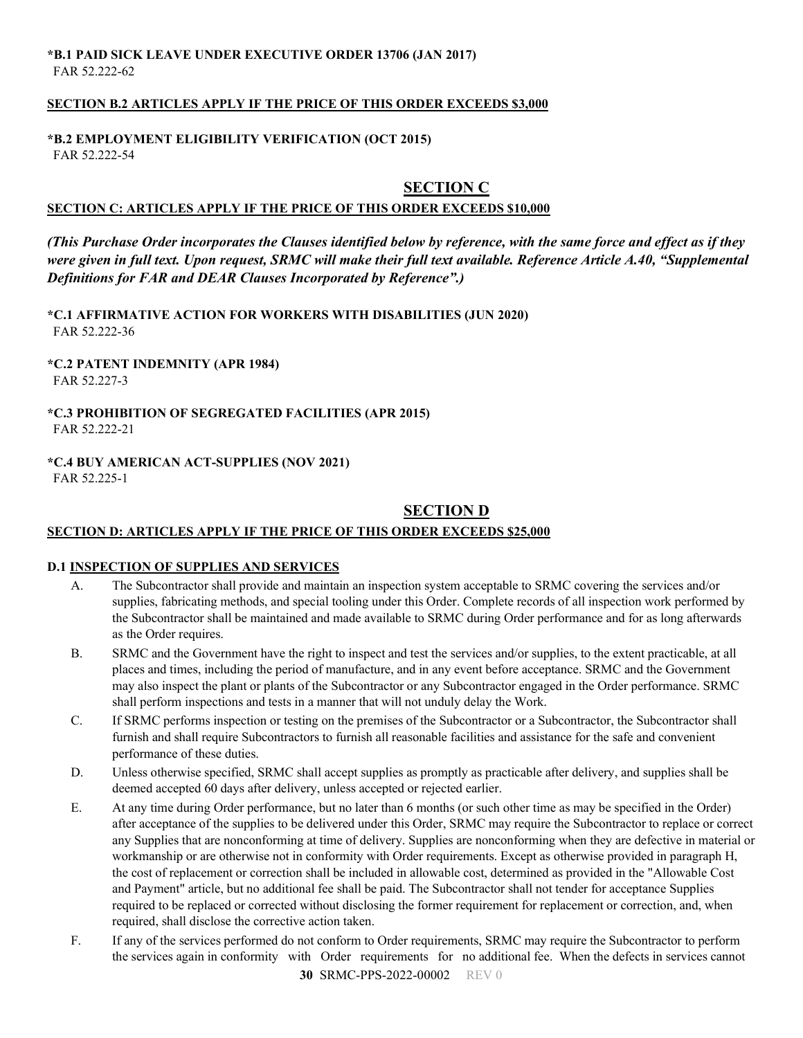### <span id="page-29-0"></span>**\*B.1 PAID SICK LEAVE UNDER EXECUTIVE ORDER 13706 (JAN 2017)** FAR 52.222-62

# <span id="page-29-1"></span>**SECTION B.2 ARTICLES APPLY IF THE PRICE OF THIS ORDER EXCEEDS \$3,000**

#### <span id="page-29-3"></span><span id="page-29-2"></span>**\*B.2 EMPLOYMENT ELIGIBILITY VERIFICATION (OCT 2015)** FAR 52.222-54

# **SECTION C**

# <span id="page-29-4"></span>**SECTION C: ARTICLES APPLY IF THE PRICE OF THIS ORDER EXCEEDS \$10,000**

*(This Purchase Order incorporates the Clauses identified below by reference, with the same force and effect as if they were given in full text. Upon request, SRMC will make their full text available. Reference Article A.40, "Supplemental Definitions for FAR and DEAR Clauses Incorporated by Reference".)*

<span id="page-29-5"></span>**\*C.1 AFFIRMATIVE ACTION FOR WORKERS WITH DISABILITIES (JUN 2020)** FAR 52.222-36

<span id="page-29-6"></span>**\*C.2 PATENT INDEMNITY (APR 1984)** FAR 52.227-3

<span id="page-29-7"></span>**\*C.3 PROHIBITION OF SEGREGATED FACILITIES (APR 2015)** FAR 52.222-21

<span id="page-29-8"></span>**\*C.4 BUY AMERICAN ACT-SUPPLIES (NOV 2021)** FAR 52.225-1

# <span id="page-29-10"></span><span id="page-29-9"></span>**SECTION D SECTION D: ARTICLES APPLY IF THE PRICE OF THIS ORDER EXCEEDS \$25,000**

#### <span id="page-29-11"></span>**D.1 INSPECTION OF SUPPLIES AND SERVICES**

- A. The Subcontractor shall provide and maintain an inspection system acceptable to SRMC covering the services and/or supplies, fabricating methods, and special tooling under this Order. Complete records of all inspection work performed by the Subcontractor shall be maintained and made available to SRMC during Order performance and for as long afterwards as the Order requires.
- B. SRMC and the Government have the right to inspect and test the services and/or supplies, to the extent practicable, at all places and times, including the period of manufacture, and in any event before acceptance. SRMC and the Government may also inspect the plant or plants of the Subcontractor or any Subcontractor engaged in the Order performance. SRMC shall perform inspections and tests in a manner that will not unduly delay the Work.
- C. If SRMC performs inspection or testing on the premises of the Subcontractor or a Subcontractor, the Subcontractor shall furnish and shall require Subcontractors to furnish all reasonable facilities and assistance for the safe and convenient performance of these duties.
- D. Unless otherwise specified, SRMC shall accept supplies as promptly as practicable after delivery, and supplies shall be deemed accepted 60 days after delivery, unless accepted or rejected earlier.
- E. At any time during Order performance, but no later than 6 months (or such other time as may be specified in the Order) after acceptance of the supplies to be delivered under this Order, SRMC may require the Subcontractor to replace or correct any Supplies that are nonconforming at time of delivery. Supplies are nonconforming when they are defective in material or workmanship or are otherwise not in conformity with Order requirements. Except as otherwise provided in paragraph H, the cost of replacement or correction shall be included in allowable cost, determined as provided in the "Allowable Cost and Payment" article, but no additional fee shall be paid. The Subcontractor shall not tender for acceptance Supplies required to be replaced or corrected without disclosing the former requirement for replacement or correction, and, when required, shall disclose the corrective action taken.
- F. If any of the services performed do not conform to Order requirements, SRMC may require the Subcontractor to perform the services again in conformity with Order requirements for no additional fee. When the defects in services cannot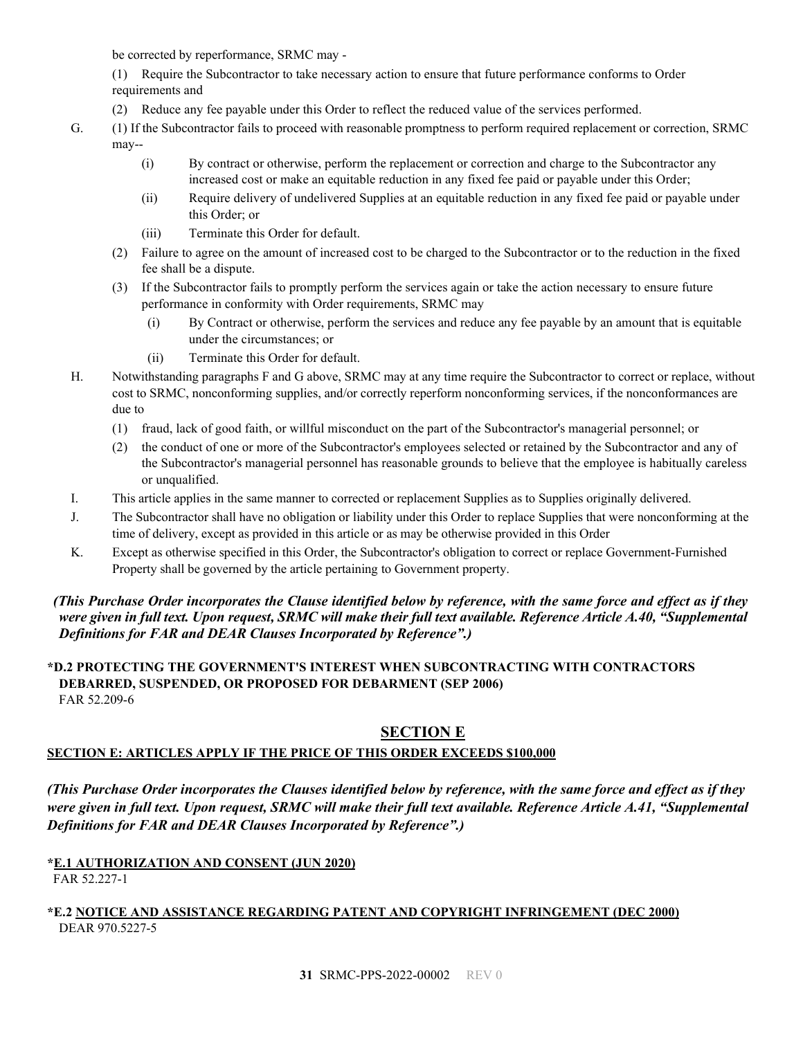be corrected by reperformance, SRMC may -

(1) Require the Subcontractor to take necessary action to ensure that future performance conforms to Order requirements and

- (2) Reduce any fee payable under this Order to reflect the reduced value of the services performed.
- G. (1) If the Subcontractor fails to proceed with reasonable promptness to perform required replacement or correction, SRMC may--
	- (i) By contract or otherwise, perform the replacement or correction and charge to the Subcontractor any increased cost or make an equitable reduction in any fixed fee paid or payable under this Order;
	- (ii) Require delivery of undelivered Supplies at an equitable reduction in any fixed fee paid or payable under this Order; or
	- (iii) Terminate this Order for default.
	- (2) Failure to agree on the amount of increased cost to be charged to the Subcontractor or to the reduction in the fixed fee shall be a dispute.
	- (3) If the Subcontractor fails to promptly perform the services again or take the action necessary to ensure future performance in conformity with Order requirements, SRMC may
		- (i) By Contract or otherwise, perform the services and reduce any fee payable by an amount that is equitable under the circumstances; or
		- (ii) Terminate this Order for default.
- H. Notwithstanding paragraphs F and G above, SRMC may at any time require the Subcontractor to correct or replace, without cost to SRMC, nonconforming supplies, and/or correctly reperform nonconforming services, if the nonconformances are due to
	- (1) fraud, lack of good faith, or willful misconduct on the part of the Subcontractor's managerial personnel; or
	- (2) the conduct of one or more of the Subcontractor's employees selected or retained by the Subcontractor and any of the Subcontractor's managerial personnel has reasonable grounds to believe that the employee is habitually careless or unqualified.
- I. This article applies in the same manner to corrected or replacement Supplies as to Supplies originally delivered.
- J. The Subcontractor shall have no obligation or liability under this Order to replace Supplies that were nonconforming at the time of delivery, except as provided in this article or as may be otherwise provided in this Order
- K. Except as otherwise specified in this Order, the Subcontractor's obligation to correct or replace Government-Furnished Property shall be governed by the article pertaining to Government property.

# *(This Purchase Order incorporates the Clause identified below by reference, with the same force and effect as if they were given in full text. Upon request, SRMC will make their full text available. Reference Article A.40, "Supplemental Definitions for FAR and DEAR Clauses Incorporated by Reference".)*

#### <span id="page-30-0"></span>**\*D.2 PROTECTING THE GOVERNMENT'S INTEREST WHEN SUBCONTRACTING WITH CONTRACTORS DEBARRED, SUSPENDED, OR PROPOSED FOR DEBARMENT (SEP 2006)** FAR 52.209-6

# **SECTION E**

# <span id="page-30-2"></span><span id="page-30-1"></span>**SECTION E: ARTICLES APPLY IF THE PRICE OF THIS ORDER EXCEEDS \$100,000**

*(This Purchase Order incorporates the Clauses identified below by reference, with the same force and effect as if they were given in full text. Upon request, SRMC will make their full text available. Reference Article A.41, "Supplemental Definitions for FAR and DEAR Clauses Incorporated by Reference".)*

# <span id="page-30-3"></span>**\*E.1 AUTHORIZATION AND CONSENT (JUN 2020)**

FAR 52.227-1

# <span id="page-30-4"></span>**\*E.2 NOTICE AND ASSISTANCE REGARDING PATENT AND COPYRIGHT INFRINGEMENT (DEC 2000)** DEAR 970.5227-5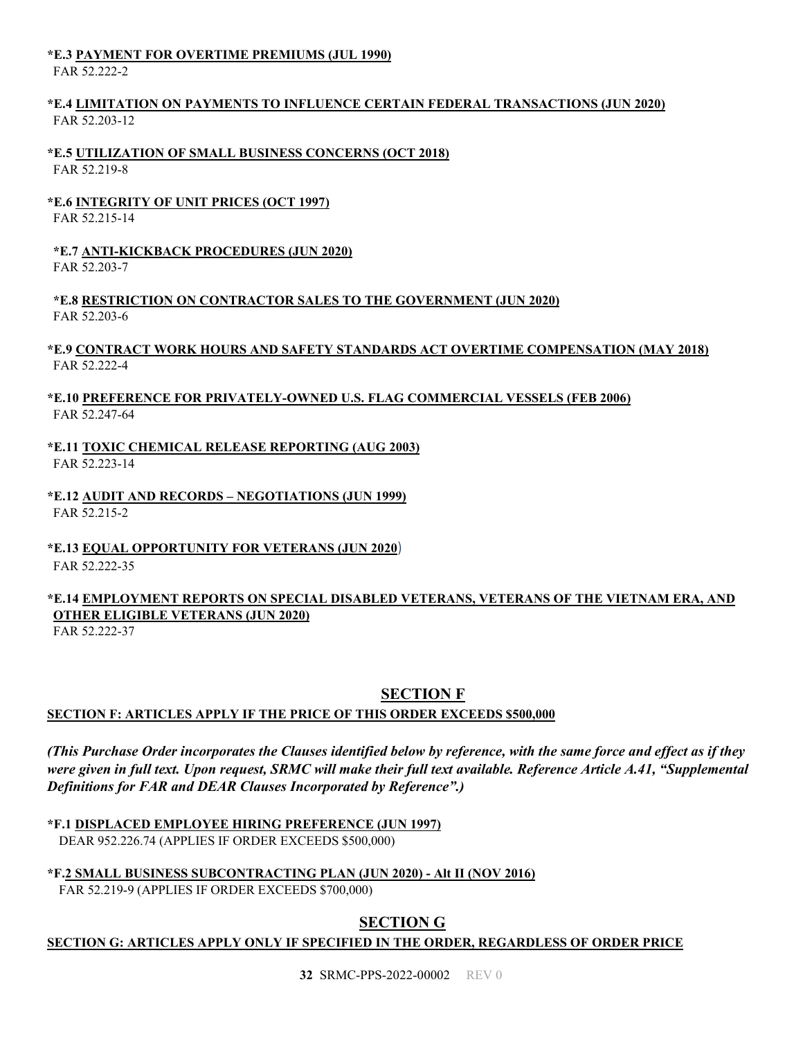#### <span id="page-31-0"></span>**\*E.3 PAYMENT FOR OVERTIME PREMIUMS (JUL 1990)** FAR 52.222-2

### <span id="page-31-1"></span>**\*E.4 LIMITATION ON PAYMENTS TO INFLUENCE CERTAIN FEDERAL TRANSACTIONS (JUN 2020)** FAR 52.203-12

#### <span id="page-31-2"></span>**\*E.5 UTILIZATION OF SMALL BUSINESS CONCERNS (OCT 2018)** FAR 52.219-8

# <span id="page-31-3"></span>**\*E.6 INTEGRITY OF UNIT PRICES (OCT 1997)**

FAR 52.215-14

#### <span id="page-31-4"></span>**\*E.7 ANTI-KICKBACK PROCEDURES (JUN 2020)** FAR 52.203-7

# <span id="page-31-5"></span>**\*E.8 RESTRICTION ON CONTRACTOR SALES TO THE GOVERNMENT (JUN 2020)** FAR 52.203-6

# <span id="page-31-6"></span>**\*E.9 CONTRACT WORK HOURS AND SAFETY STANDARDS ACT OVERTIME COMPENSATION (MAY 2018)** FAR 52.222-4

# <span id="page-31-7"></span>**\*E.10 PREFERENCE FOR PRIVATELY-OWNED U.S. FLAG COMMERCIAL VESSELS (FEB 2006)** FAR 52.247-64

# <span id="page-31-8"></span>**\*E.11 TOXIC CHEMICAL RELEASE REPORTING (AUG 2003)** FAR 52.223-14

<span id="page-31-9"></span>**\*E.12 AUDIT AND RECORDS – NEGOTIATIONS (JUN 1999)** FAR 52.215-2

### <span id="page-31-10"></span>**\*E.13 EQUAL OPPORTUNITY FOR VETERANS (JUN 2020**) FAR 52.222-35

# <span id="page-31-11"></span>**\*E.14 EMPLOYMENT REPORTS ON SPECIAL DISABLED VETERANS, VETERANS OF THE VIETNAM ERA, AND OTHER ELIGIBLE VETERANS (JUN 2020)**

FAR 52.222-37

# **SECTION F**

# <span id="page-31-13"></span><span id="page-31-12"></span>**SECTION F: ARTICLES APPLY IF THE PRICE OF THIS ORDER EXCEEDS \$500,000**

*(This Purchase Order incorporates the Clauses identified below by reference, with the same force and effect as if they were given in full text. Upon request, SRMC will make their full text available. Reference Article A.41, "Supplemental Definitions for FAR and DEAR Clauses Incorporated by Reference".)*

# <span id="page-31-14"></span>**\*F.1 DISPLACED EMPLOYEE HIRING PREFERENCE (JUN 1997)**

DEAR 952.226.74 (APPLIES IF ORDER EXCEEDS \$500,000)

# <span id="page-31-15"></span>**\*F.2 SMALL BUSINESS SUBCONTRACTING PLAN (JUN 2020) - Alt II (NOV 2016)**

<span id="page-31-16"></span>FAR 52.219-9 (APPLIES IF ORDER EXCEEDS \$700,000)

# **SECTION G**

# <span id="page-31-17"></span>**SECTION G: ARTICLES APPLY ONLY IF SPECIFIED IN THE ORDER, REGARDLESS OF ORDER PRICE**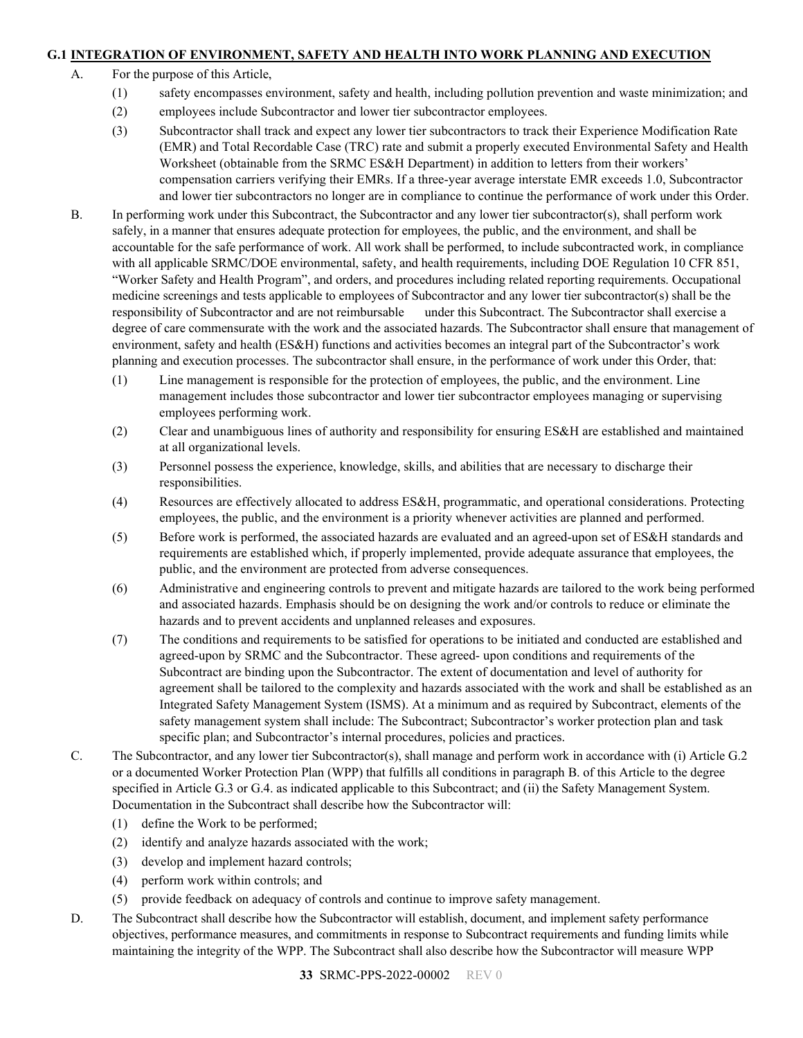#### <span id="page-32-0"></span>**G.1 INTEGRATION OF ENVIRONMENT, SAFETY AND HEALTH INTO WORK PLANNING AND EXECUTION**

- A. For the purpose of this Article,
	- (1) safety encompasses environment, safety and health, including pollution prevention and waste minimization; and
	- (2) employees include Subcontractor and lower tier subcontractor employees.
	- (3) Subcontractor shall track and expect any lower tier subcontractors to track their Experience Modification Rate (EMR) and Total Recordable Case (TRC) rate and submit a properly executed Environmental Safety and Health Worksheet (obtainable from the SRMC ES&H Department) in addition to letters from their workers' compensation carriers verifying their EMRs. If a three-year average interstate EMR exceeds 1.0, Subcontractor and lower tier subcontractors no longer are in compliance to continue the performance of work under this Order.
- B. In performing work under this Subcontract, the Subcontractor and any lower tier subcontractor(s), shall perform work safely, in a manner that ensures adequate protection for employees, the public, and the environment, and shall be accountable for the safe performance of work. All work shall be performed, to include subcontracted work, in compliance with all applicable SRMC/DOE environmental, safety, and health requirements, including DOE Regulation 10 CFR 851, "Worker Safety and Health Program", and orders, and procedures including related reporting requirements. Occupational medicine screenings and tests applicable to employees of Subcontractor and any lower tier subcontractor(s) shall be the responsibility of Subcontractor and are not reimbursable under this Subcontract. The Subcontractor shall exercise a degree of care commensurate with the work and the associated hazards. The Subcontractor shall ensure that management of environment, safety and health (ES&H) functions and activities becomes an integral part of the Subcontractor's work planning and execution processes. The subcontractor shall ensure, in the performance of work under this Order, that:
	- (1) Line management is responsible for the protection of employees, the public, and the environment. Line management includes those subcontractor and lower tier subcontractor employees managing or supervising employees performing work.
	- (2) Clear and unambiguous lines of authority and responsibility for ensuring ES&H are established and maintained at all organizational levels.
	- (3) Personnel possess the experience, knowledge, skills, and abilities that are necessary to discharge their responsibilities.
	- (4) Resources are effectively allocated to address ES&H, programmatic, and operational considerations. Protecting employees, the public, and the environment is a priority whenever activities are planned and performed.
	- (5) Before work is performed, the associated hazards are evaluated and an agreed-upon set of ES&H standards and requirements are established which, if properly implemented, provide adequate assurance that employees, the public, and the environment are protected from adverse consequences.
	- (6) Administrative and engineering controls to prevent and mitigate hazards are tailored to the work being performed and associated hazards. Emphasis should be on designing the work and/or controls to reduce or eliminate the hazards and to prevent accidents and unplanned releases and exposures.
	- (7) The conditions and requirements to be satisfied for operations to be initiated and conducted are established and agreed-upon by SRMC and the Subcontractor. These agreed- upon conditions and requirements of the Subcontract are binding upon the Subcontractor. The extent of documentation and level of authority for agreement shall be tailored to the complexity and hazards associated with the work and shall be established as an Integrated Safety Management System (ISMS). At a minimum and as required by Subcontract, elements of the safety management system shall include: The Subcontract; Subcontractor's worker protection plan and task specific plan; and Subcontractor's internal procedures, policies and practices.
- C. The Subcontractor, and any lower tier Subcontractor(s), shall manage and perform work in accordance with (i) Article G.2 or a documented Worker Protection Plan (WPP) that fulfills all conditions in paragraph B. of this Article to the degree specified in Article G.3 or G.4. as indicated applicable to this Subcontract; and (ii) the Safety Management System. Documentation in the Subcontract shall describe how the Subcontractor will:
	- (1) define the Work to be performed;
	- (2) identify and analyze hazards associated with the work;
	- (3) develop and implement hazard controls;
	- (4) perform work within controls; and
	- (5) provide feedback on adequacy of controls and continue to improve safety management.
- D. The Subcontract shall describe how the Subcontractor will establish, document, and implement safety performance objectives, performance measures, and commitments in response to Subcontract requirements and funding limits while maintaining the integrity of the WPP. The Subcontract shall also describe how the Subcontractor will measure WPP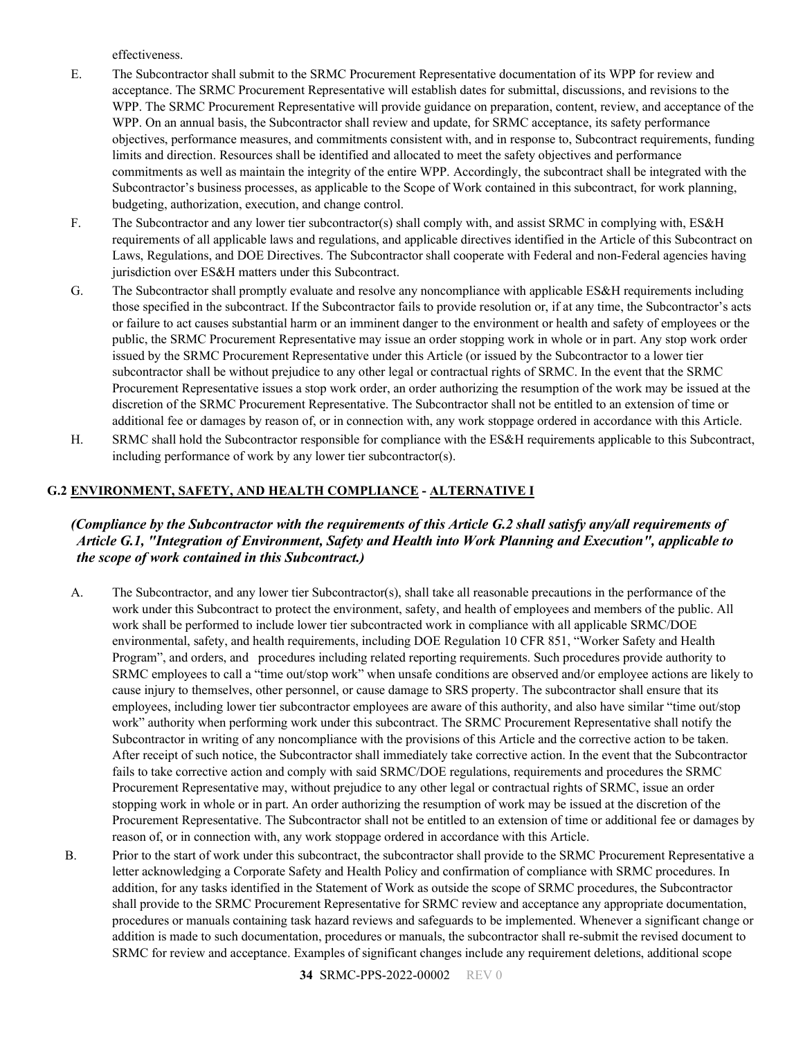effectiveness.

- E. The Subcontractor shall submit to the SRMC Procurement Representative documentation of its WPP for review and acceptance. The SRMC Procurement Representative will establish dates for submittal, discussions, and revisions to the WPP. The SRMC Procurement Representative will provide guidance on preparation, content, review, and acceptance of the WPP. On an annual basis, the Subcontractor shall review and update, for SRMC acceptance, its safety performance objectives, performance measures, and commitments consistent with, and in response to, Subcontract requirements, funding limits and direction. Resources shall be identified and allocated to meet the safety objectives and performance commitments as well as maintain the integrity of the entire WPP. Accordingly, the subcontract shall be integrated with the Subcontractor's business processes, as applicable to the Scope of Work contained in this subcontract, for work planning, budgeting, authorization, execution, and change control.
- F. The Subcontractor and any lower tier subcontractor(s) shall comply with, and assist SRMC in complying with, ES&H requirements of all applicable laws and regulations, and applicable directives identified in the Article of this Subcontract on Laws, Regulations, and DOE Directives. The Subcontractor shall cooperate with Federal and non-Federal agencies having jurisdiction over ES&H matters under this Subcontract.
- G. The Subcontractor shall promptly evaluate and resolve any noncompliance with applicable ES&H requirements including those specified in the subcontract. If the Subcontractor fails to provide resolution or, if at any time, the Subcontractor's acts or failure to act causes substantial harm or an imminent danger to the environment or health and safety of employees or the public, the SRMC Procurement Representative may issue an order stopping work in whole or in part. Any stop work order issued by the SRMC Procurement Representative under this Article (or issued by the Subcontractor to a lower tier subcontractor shall be without prejudice to any other legal or contractual rights of SRMC. In the event that the SRMC Procurement Representative issues a stop work order, an order authorizing the resumption of the work may be issued at the discretion of the SRMC Procurement Representative. The Subcontractor shall not be entitled to an extension of time or additional fee or damages by reason of, or in connection with, any work stoppage ordered in accordance with this Article.
- H. SRMC shall hold the Subcontractor responsible for compliance with the ES&H requirements applicable to this Subcontract, including performance of work by any lower tier subcontractor(s).

#### <span id="page-33-0"></span>**G.2 ENVIRONMENT, SAFETY, AND HEALTH COMPLIANCE - ALTERNATIVE I**

# *(Compliance by the Subcontractor with the requirements of this Article G.2 shall satisfy any/all requirements of Article G.1, "Integration of Environment, Safety and Health into Work Planning and Execution", applicable to the scope of work contained in this Subcontract.)*

- A. The Subcontractor, and any lower tier Subcontractor(s), shall take all reasonable precautions in the performance of the work under this Subcontract to protect the environment, safety, and health of employees and members of the public. All work shall be performed to include lower tier subcontracted work in compliance with all applicable SRMC/DOE environmental, safety, and health requirements, including DOE Regulation 10 CFR 851, "Worker Safety and Health Program", and orders, and procedures including related reporting requirements. Such procedures provide authority to SRMC employees to call a "time out/stop work" when unsafe conditions are observed and/or employee actions are likely to cause injury to themselves, other personnel, or cause damage to SRS property. The subcontractor shall ensure that its employees, including lower tier subcontractor employees are aware of this authority, and also have similar "time out/stop work" authority when performing work under this subcontract. The SRMC Procurement Representative shall notify the Subcontractor in writing of any noncompliance with the provisions of this Article and the corrective action to be taken. After receipt of such notice, the Subcontractor shall immediately take corrective action. In the event that the Subcontractor fails to take corrective action and comply with said SRMC/DOE regulations, requirements and procedures the SRMC Procurement Representative may, without prejudice to any other legal or contractual rights of SRMC, issue an order stopping work in whole or in part. An order authorizing the resumption of work may be issued at the discretion of the Procurement Representative. The Subcontractor shall not be entitled to an extension of time or additional fee or damages by reason of, or in connection with, any work stoppage ordered in accordance with this Article.
- B. Prior to the start of work under this subcontract, the subcontractor shall provide to the SRMC Procurement Representative a letter acknowledging a Corporate Safety and Health Policy and confirmation of compliance with SRMC procedures. In addition, for any tasks identified in the Statement of Work as outside the scope of SRMC procedures, the Subcontractor shall provide to the SRMC Procurement Representative for SRMC review and acceptance any appropriate documentation, procedures or manuals containing task hazard reviews and safeguards to be implemented. Whenever a significant change or addition is made to such documentation, procedures or manuals, the subcontractor shall re-submit the revised document to SRMC for review and acceptance. Examples of significant changes include any requirement deletions, additional scope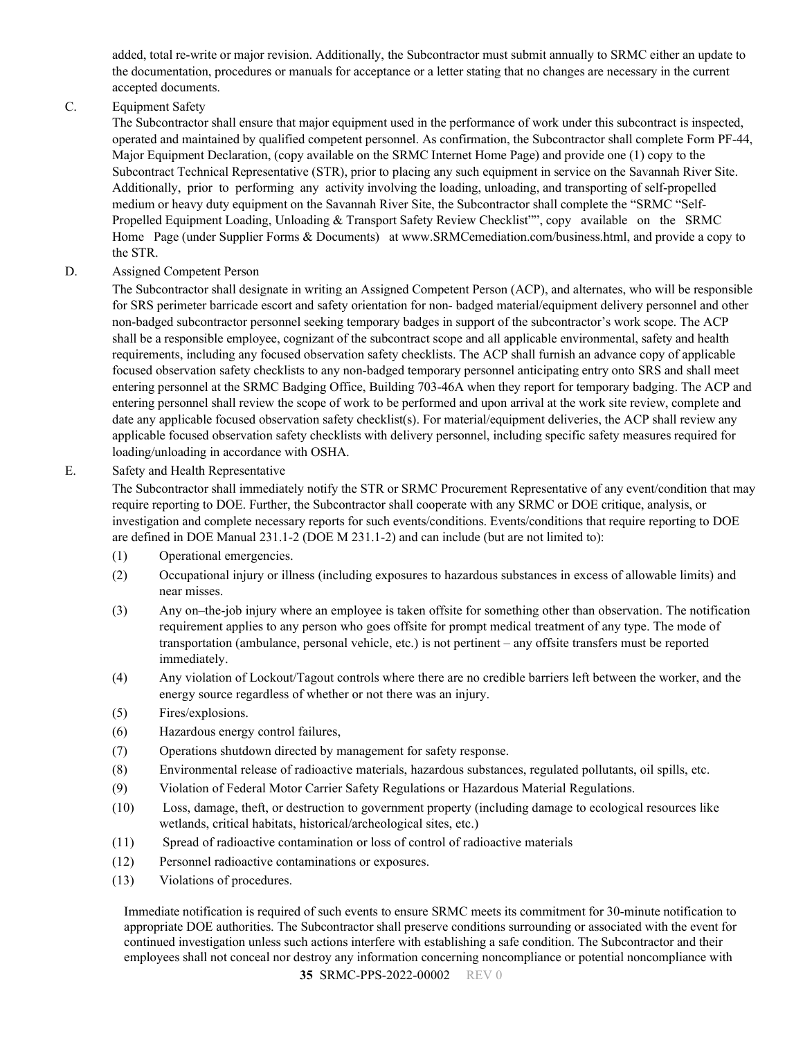added, total re-write or major revision. Additionally, the Subcontractor must submit annually to SRMC either an update to the documentation, procedures or manuals for acceptance or a letter stating that no changes are necessary in the current accepted documents.

### C. Equipment Safety

The Subcontractor shall ensure that major equipment used in the performance of work under this subcontract is inspected, operated and maintained by qualified competent personnel. As confirmation, the Subcontractor shall complete Form PF-44, Major Equipment Declaration, (copy available on the SRMC Internet Home Page) and provide one (1) copy to the Subcontract Technical Representative (STR), prior to placing any such equipment in service on the Savannah River Site. Additionally, prior to performing any activity involving the loading, unloading, and transporting of self-propelled medium or heavy duty equipment on the Savannah River Site, the Subcontractor shall complete the "SRMC "Self-Propelled Equipment Loading, Unloading & Transport Safety Review Checklist"", copy available on the SRMC Home Page (under Supplier Forms & Documents) at www.SRMCemediation.com/business.html, and provide a copy to the STR.

#### D. Assigned Competent Person

The Subcontractor shall designate in writing an Assigned Competent Person (ACP), and alternates, who will be responsible for SRS perimeter barricade escort and safety orientation for non- badged material/equipment delivery personnel and other non-badged subcontractor personnel seeking temporary badges in support of the subcontractor's work scope. The ACP shall be a responsible employee, cognizant of the subcontract scope and all applicable environmental, safety and health requirements, including any focused observation safety checklists. The ACP shall furnish an advance copy of applicable focused observation safety checklists to any non-badged temporary personnel anticipating entry onto SRS and shall meet entering personnel at the SRMC Badging Office, Building 703-46A when they report for temporary badging. The ACP and entering personnel shall review the scope of work to be performed and upon arrival at the work site review, complete and date any applicable focused observation safety checklist(s). For material/equipment deliveries, the ACP shall review any applicable focused observation safety checklists with delivery personnel, including specific safety measures required for loading/unloading in accordance with OSHA.

#### E. Safety and Health Representative

The Subcontractor shall immediately notify the STR or SRMC Procurement Representative of any event/condition that may require reporting to DOE. Further, the Subcontractor shall cooperate with any SRMC or DOE critique, analysis, or investigation and complete necessary reports for such events/conditions. Events/conditions that require reporting to DOE are defined in DOE Manual 231.1-2 (DOE M 231.1-2) and can include (but are not limited to):

- (1) Operational emergencies.
- (2) Occupational injury or illness (including exposures to hazardous substances in excess of allowable limits) and near misses.
- (3) Any on–the-job injury where an employee is taken offsite for something other than observation. The notification requirement applies to any person who goes offsite for prompt medical treatment of any type. The mode of transportation (ambulance, personal vehicle, etc.) is not pertinent – any offsite transfers must be reported immediately.
- (4) Any violation of Lockout/Tagout controls where there are no credible barriers left between the worker, and the energy source regardless of whether or not there was an injury.
- (5) Fires/explosions.
- (6) Hazardous energy control failures,
- (7) Operations shutdown directed by management for safety response.
- (8) Environmental release of radioactive materials, hazardous substances, regulated pollutants, oil spills, etc.
- (9) Violation of Federal Motor Carrier Safety Regulations or Hazardous Material Regulations.
- (10) Loss, damage, theft, or destruction to government property (including damage to ecological resources like wetlands, critical habitats, historical/archeological sites, etc.)
- (11) Spread of radioactive contamination or loss of control of radioactive materials
- (12) Personnel radioactive contaminations or exposures.
- (13) Violations of procedures.

Immediate notification is required of such events to ensure SRMC meets its commitment for 30-minute notification to appropriate DOE authorities. The Subcontractor shall preserve conditions surrounding or associated with the event for continued investigation unless such actions interfere with establishing a safe condition. The Subcontractor and their employees shall not conceal nor destroy any information concerning noncompliance or potential noncompliance with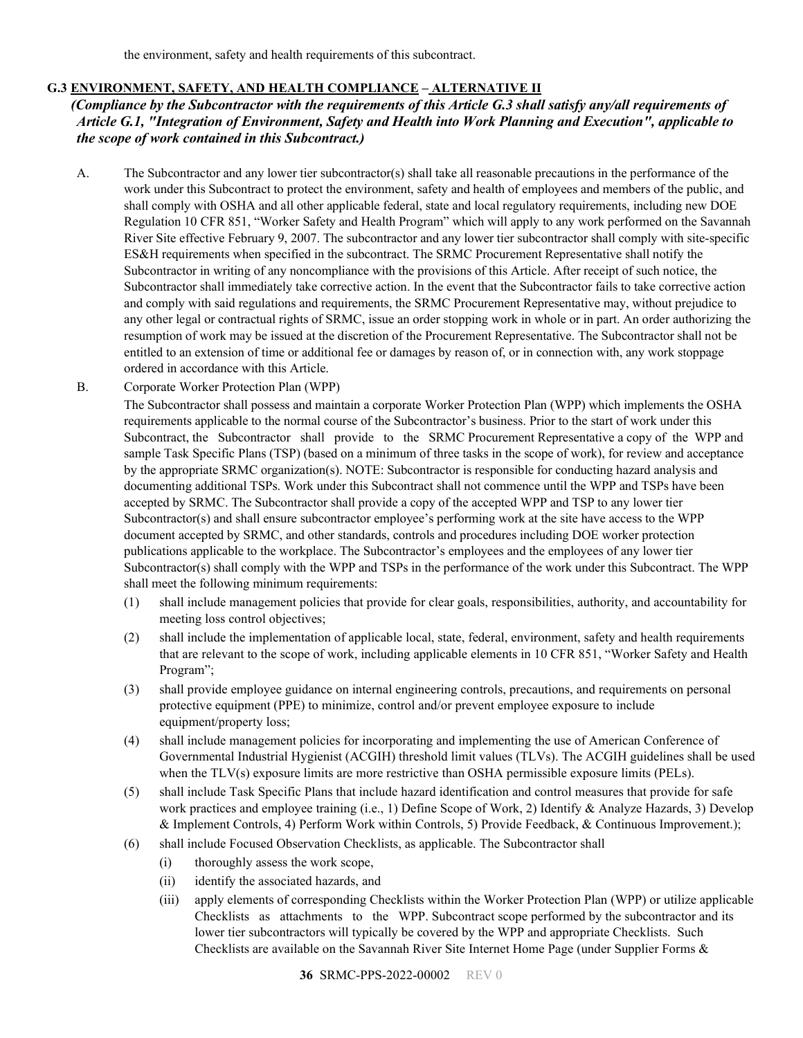### <span id="page-35-0"></span>**G.3 ENVIRONMENT, SAFETY, AND HEALTH COMPLIANCE – ALTERNATIVE II**

# *(Compliance by the Subcontractor with the requirements of this Article G.3 shall satisfy any/all requirements of Article G.1, "Integration of Environment, Safety and Health into Work Planning and Execution", applicable to the scope of work contained in this Subcontract.)*

- A. The Subcontractor and any lower tier subcontractor(s) shall take all reasonable precautions in the performance of the work under this Subcontract to protect the environment, safety and health of employees and members of the public, and shall comply with OSHA and all other applicable federal, state and local regulatory requirements, including new DOE Regulation 10 CFR 851, "Worker Safety and Health Program" which will apply to any work performed on the Savannah River Site effective February 9, 2007. The subcontractor and any lower tier subcontractor shall comply with site-specific ES&H requirements when specified in the subcontract. The SRMC Procurement Representative shall notify the Subcontractor in writing of any noncompliance with the provisions of this Article. After receipt of such notice, the Subcontractor shall immediately take corrective action. In the event that the Subcontractor fails to take corrective action and comply with said regulations and requirements, the SRMC Procurement Representative may, without prejudice to any other legal or contractual rights of SRMC, issue an order stopping work in whole or in part. An order authorizing the resumption of work may be issued at the discretion of the Procurement Representative. The Subcontractor shall not be entitled to an extension of time or additional fee or damages by reason of, or in connection with, any work stoppage ordered in accordance with this Article.
- B. Corporate Worker Protection Plan (WPP)

The Subcontractor shall possess and maintain a corporate Worker Protection Plan (WPP) which implements the OSHA requirements applicable to the normal course of the Subcontractor's business. Prior to the start of work under this Subcontract, the Subcontractor shall provide to the SRMC Procurement Representative a copy of the WPP and sample Task Specific Plans (TSP) (based on a minimum of three tasks in the scope of work), for review and acceptance by the appropriate SRMC organization(s). NOTE: Subcontractor is responsible for conducting hazard analysis and documenting additional TSPs. Work under this Subcontract shall not commence until the WPP and TSPs have been accepted by SRMC. The Subcontractor shall provide a copy of the accepted WPP and TSP to any lower tier Subcontractor(s) and shall ensure subcontractor employee's performing work at the site have access to the WPP document accepted by SRMC, and other standards, controls and procedures including DOE worker protection publications applicable to the workplace. The Subcontractor's employees and the employees of any lower tier Subcontractor(s) shall comply with the WPP and TSPs in the performance of the work under this Subcontract. The WPP shall meet the following minimum requirements:

- (1) shall include management policies that provide for clear goals, responsibilities, authority, and accountability for meeting loss control objectives;
- (2) shall include the implementation of applicable local, state, federal, environment, safety and health requirements that are relevant to the scope of work, including applicable elements in 10 CFR 851, "Worker Safety and Health Program";
- (3) shall provide employee guidance on internal engineering controls, precautions, and requirements on personal protective equipment (PPE) to minimize, control and/or prevent employee exposure to include equipment/property loss;
- (4) shall include management policies for incorporating and implementing the use of American Conference of Governmental Industrial Hygienist (ACGIH) threshold limit values (TLVs). The ACGIH guidelines shall be used when the TLV(s) exposure limits are more restrictive than OSHA permissible exposure limits (PELs).
- (5) shall include Task Specific Plans that include hazard identification and control measures that provide for safe work practices and employee training (i.e., 1) Define Scope of Work, 2) Identify & Analyze Hazards, 3) Develop & Implement Controls, 4) Perform Work within Controls, 5) Provide Feedback, & Continuous Improvement.);
- (6) shall include Focused Observation Checklists, as applicable. The Subcontractor shall
	- (i) thoroughly assess the work scope,
	- (ii) identify the associated hazards, and
	- (iii) apply elements of corresponding Checklists within the Worker Protection Plan (WPP) or utilize applicable Checklists as attachments to the WPP. Subcontract scope performed by the subcontractor and its lower tier subcontractors will typically be covered by the WPP and appropriate Checklists. Such Checklists are available on the Savannah River Site Internet Home Page (under Supplier Forms &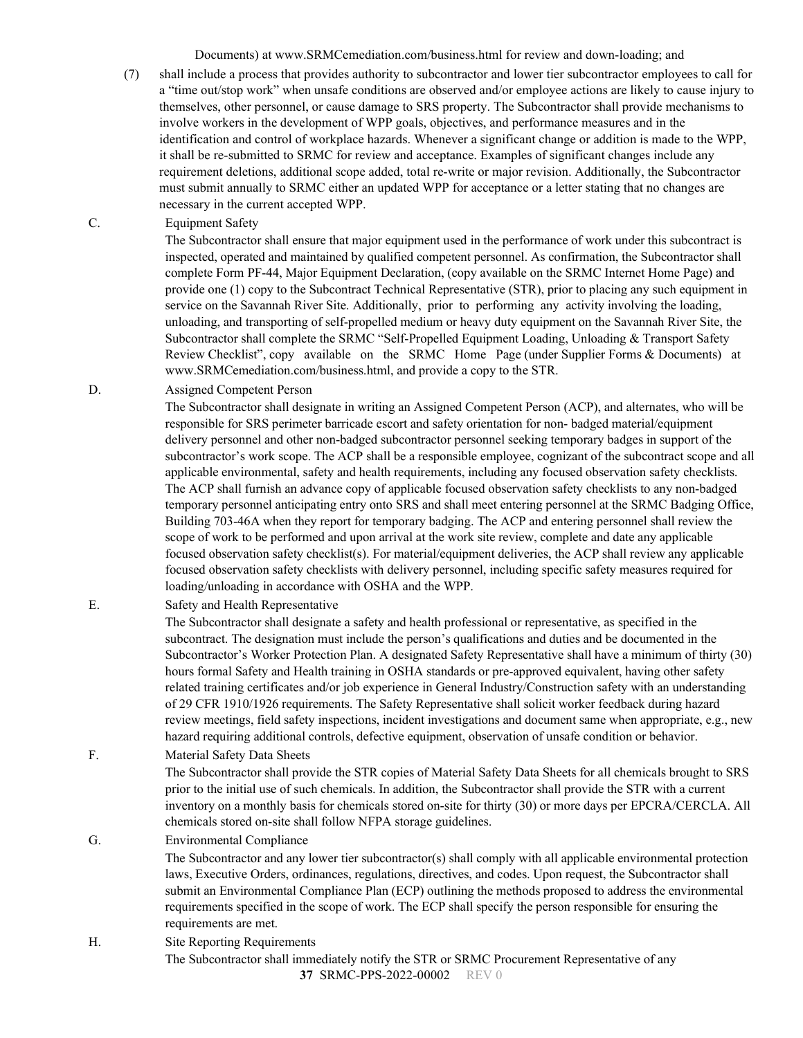Documents) at www.SRMCemediation.com/business.html for review and down-loading; and

(7) shall include a process that provides authority to subcontractor and lower tier subcontractor employees to call for a "time out/stop work" when unsafe conditions are observed and/or employee actions are likely to cause injury to themselves, other personnel, or cause damage to SRS property. The Subcontractor shall provide mechanisms to involve workers in the development of WPP goals, objectives, and performance measures and in the identification and control of workplace hazards. Whenever a significant change or addition is made to the WPP, it shall be re-submitted to SRMC for review and acceptance. Examples of significant changes include any requirement deletions, additional scope added, total re-write or major revision. Additionally, the Subcontractor must submit annually to SRMC either an updated WPP for acceptance or a letter stating that no changes are necessary in the current accepted WPP.

#### C. Equipment Safety

The Subcontractor shall ensure that major equipment used in the performance of work under this subcontract is inspected, operated and maintained by qualified competent personnel. As confirmation, the Subcontractor shall complete Form PF-44, Major Equipment Declaration, (copy available on the SRMC Internet Home Page) and provide one (1) copy to the Subcontract Technical Representative (STR), prior to placing any such equipment in service on the Savannah River Site. Additionally, prior to performing any activity involving the loading, unloading, and transporting of self-propelled medium or heavy duty equipment on the Savannah River Site, the Subcontractor shall complete the SRMC "Self-Propelled Equipment Loading, Unloading & Transport Safety Review Checklist", copy available on the SRMC Home Page (under Supplier Forms & Documents) at www.SRMCemediation.com/business.html, and provide a copy to the STR.

D. Assigned Competent Person

The Subcontractor shall designate in writing an Assigned Competent Person (ACP), and alternates, who will be responsible for SRS perimeter barricade escort and safety orientation for non- badged material/equipment delivery personnel and other non-badged subcontractor personnel seeking temporary badges in support of the subcontractor's work scope. The ACP shall be a responsible employee, cognizant of the subcontract scope and all applicable environmental, safety and health requirements, including any focused observation safety checklists. The ACP shall furnish an advance copy of applicable focused observation safety checklists to any non-badged temporary personnel anticipating entry onto SRS and shall meet entering personnel at the SRMC Badging Office, Building 703-46A when they report for temporary badging. The ACP and entering personnel shall review the scope of work to be performed and upon arrival at the work site review, complete and date any applicable focused observation safety checklist(s). For material/equipment deliveries, the ACP shall review any applicable focused observation safety checklists with delivery personnel, including specific safety measures required for loading/unloading in accordance with OSHA and the WPP.

E. Safety and Health Representative

The Subcontractor shall designate a safety and health professional or representative, as specified in the subcontract. The designation must include the person's qualifications and duties and be documented in the Subcontractor's Worker Protection Plan. A designated Safety Representative shall have a minimum of thirty (30) hours formal Safety and Health training in OSHA standards or pre-approved equivalent, having other safety related training certificates and/or job experience in General Industry/Construction safety with an understanding of 29 CFR 1910/1926 requirements. The Safety Representative shall solicit worker feedback during hazard review meetings, field safety inspections, incident investigations and document same when appropriate, e.g., new hazard requiring additional controls, defective equipment, observation of unsafe condition or behavior.

F. Material Safety Data Sheets

The Subcontractor shall provide the STR copies of Material Safety Data Sheets for all chemicals brought to SRS prior to the initial use of such chemicals. In addition, the Subcontractor shall provide the STR with a current inventory on a monthly basis for chemicals stored on-site for thirty (30) or more days per EPCRA/CERCLA. All chemicals stored on-site shall follow NFPA storage guidelines.

G. Environmental Compliance

The Subcontractor and any lower tier subcontractor(s) shall comply with all applicable environmental protection laws, Executive Orders, ordinances, regulations, directives, and codes. Upon request, the Subcontractor shall submit an Environmental Compliance Plan (ECP) outlining the methods proposed to address the environmental requirements specified in the scope of work. The ECP shall specify the person responsible for ensuring the requirements are met.

H. Site Reporting Requirements

**37** SRMC-PPS-2022-00002 REV 0 The Subcontractor shall immediately notify the STR or SRMC Procurement Representative of any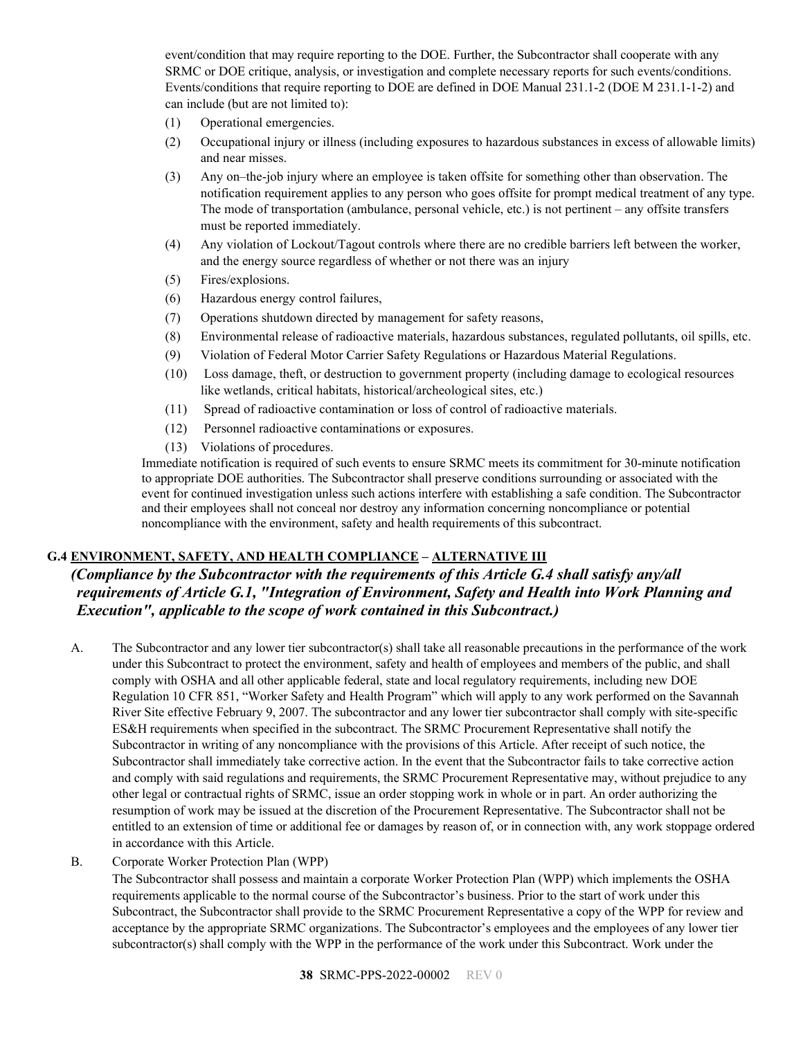event/condition that may require reporting to the DOE. Further, the Subcontractor shall cooperate with any SRMC or DOE critique, analysis, or investigation and complete necessary reports for such events/conditions. Events/conditions that require reporting to DOE are defined in DOE Manual 231.1-2 (DOE M 231.1-1-2) and can include (but are not limited to):

- (1) Operational emergencies.
- (2) Occupational injury or illness (including exposures to hazardous substances in excess of allowable limits) and near misses.
- (3) Any on–the-job injury where an employee is taken offsite for something other than observation. The notification requirement applies to any person who goes offsite for prompt medical treatment of any type. The mode of transportation (ambulance, personal vehicle, etc.) is not pertinent – any offsite transfers must be reported immediately.
- (4) Any violation of Lockout/Tagout controls where there are no credible barriers left between the worker, and the energy source regardless of whether or not there was an injury
- (5) Fires/explosions.
- (6) Hazardous energy control failures,
- (7) Operations shutdown directed by management for safety reasons,
- (8) Environmental release of radioactive materials, hazardous substances, regulated pollutants, oil spills, etc.
- (9) Violation of Federal Motor Carrier Safety Regulations or Hazardous Material Regulations.
- (10) Loss damage, theft, or destruction to government property (including damage to ecological resources like wetlands, critical habitats, historical/archeological sites, etc.)
- (11) Spread of radioactive contamination or loss of control of radioactive materials.
- (12) Personnel radioactive contaminations or exposures.
- (13) Violations of procedures.

Immediate notification is required of such events to ensure SRMC meets its commitment for 30-minute notification to appropriate DOE authorities. The Subcontractor shall preserve conditions surrounding or associated with the event for continued investigation unless such actions interfere with establishing a safe condition. The Subcontractor and their employees shall not conceal nor destroy any information concerning noncompliance or potential noncompliance with the environment, safety and health requirements of this subcontract.

# <span id="page-37-0"></span>**G.4 ENVIRONMENT, SAFETY, AND HEALTH COMPLIANCE – ALTERNATIVE III**

*(Compliance by the Subcontractor with the requirements of this Article G.4 shall satisfy any/all requirements of Article G.1, "Integration of Environment, Safety and Health into Work Planning and Execution", applicable to the scope of work contained in this Subcontract.)*

- A. The Subcontractor and any lower tier subcontractor(s) shall take all reasonable precautions in the performance of the work under this Subcontract to protect the environment, safety and health of employees and members of the public, and shall comply with OSHA and all other applicable federal, state and local regulatory requirements, including new DOE Regulation 10 CFR 851, "Worker Safety and Health Program" which will apply to any work performed on the Savannah River Site effective February 9, 2007. The subcontractor and any lower tier subcontractor shall comply with site-specific ES&H requirements when specified in the subcontract. The SRMC Procurement Representative shall notify the Subcontractor in writing of any noncompliance with the provisions of this Article. After receipt of such notice, the Subcontractor shall immediately take corrective action. In the event that the Subcontractor fails to take corrective action and comply with said regulations and requirements, the SRMC Procurement Representative may, without prejudice to any other legal or contractual rights of SRMC, issue an order stopping work in whole or in part. An order authorizing the resumption of work may be issued at the discretion of the Procurement Representative. The Subcontractor shall not be entitled to an extension of time or additional fee or damages by reason of, or in connection with, any work stoppage ordered in accordance with this Article.
- B. Corporate Worker Protection Plan (WPP)

The Subcontractor shall possess and maintain a corporate Worker Protection Plan (WPP) which implements the OSHA requirements applicable to the normal course of the Subcontractor's business. Prior to the start of work under this Subcontract, the Subcontractor shall provide to the SRMC Procurement Representative a copy of the WPP for review and acceptance by the appropriate SRMC organizations. The Subcontractor's employees and the employees of any lower tier subcontractor(s) shall comply with the WPP in the performance of the work under this Subcontract. Work under the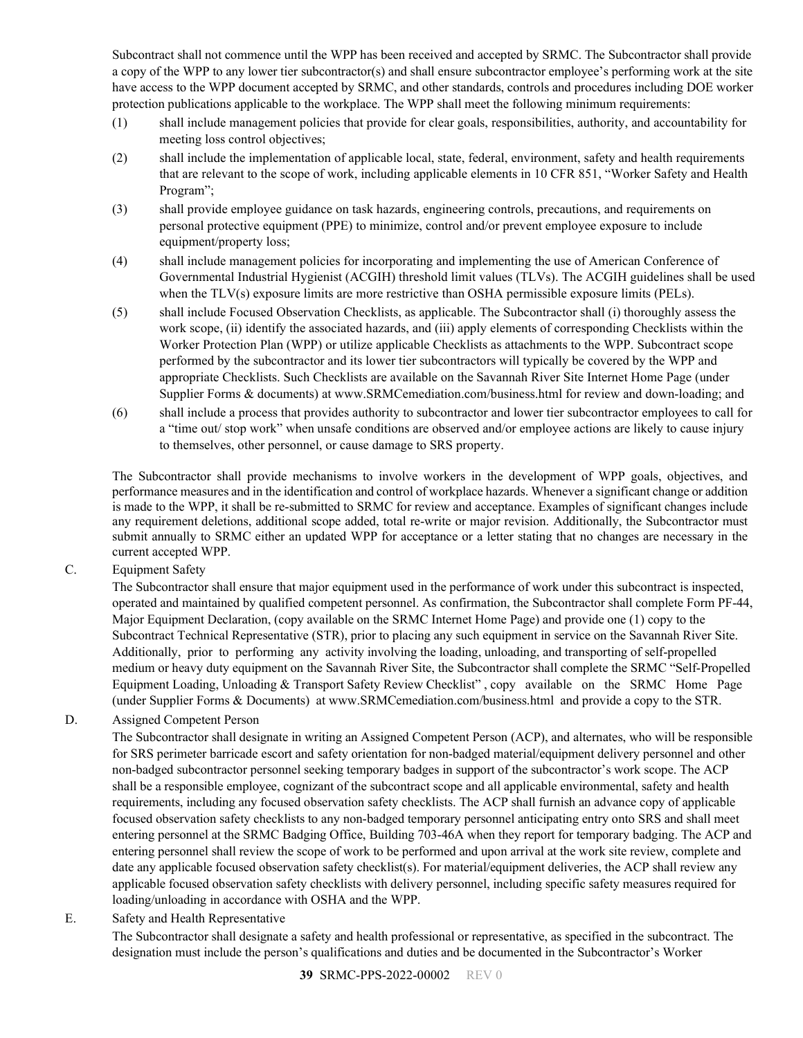Subcontract shall not commence until the WPP has been received and accepted by SRMC. The Subcontractor shall provide a copy of the WPP to any lower tier subcontractor(s) and shall ensure subcontractor employee's performing work at the site have access to the WPP document accepted by SRMC, and other standards, controls and procedures including DOE worker protection publications applicable to the workplace. The WPP shall meet the following minimum requirements:

- (1) shall include management policies that provide for clear goals, responsibilities, authority, and accountability for meeting loss control objectives;
- (2) shall include the implementation of applicable local, state, federal, environment, safety and health requirements that are relevant to the scope of work, including applicable elements in 10 CFR 851, "Worker Safety and Health Program";
- (3) shall provide employee guidance on task hazards, engineering controls, precautions, and requirements on personal protective equipment (PPE) to minimize, control and/or prevent employee exposure to include equipment/property loss;
- (4) shall include management policies for incorporating and implementing the use of American Conference of Governmental Industrial Hygienist (ACGIH) threshold limit values (TLVs). The ACGIH guidelines shall be used when the TLV(s) exposure limits are more restrictive than OSHA permissible exposure limits (PELs).
- (5) shall include Focused Observation Checklists, as applicable. The Subcontractor shall (i) thoroughly assess the work scope, (ii) identify the associated hazards, and (iii) apply elements of corresponding Checklists within the Worker Protection Plan (WPP) or utilize applicable Checklists as attachments to the WPP. Subcontract scope performed by the subcontractor and its lower tier subcontractors will typically be covered by the WPP and appropriate Checklists. Such Checklists are available on the Savannah River Site Internet Home Page (under Supplier Forms & documents) at www.SRMCemediation.com/business.html for review and down-loading; and
- (6) shall include a process that provides authority to subcontractor and lower tier subcontractor employees to call for a "time out/ stop work" when unsafe conditions are observed and/or employee actions are likely to cause injury to themselves, other personnel, or cause damage to SRS property.

The Subcontractor shall provide mechanisms to involve workers in the development of WPP goals, objectives, and performance measures and in the identification and control of workplace hazards. Whenever a significant change or addition is made to the WPP, it shall be re-submitted to SRMC for review and acceptance. Examples of significant changes include any requirement deletions, additional scope added, total re-write or major revision. Additionally, the Subcontractor must submit annually to SRMC either an updated WPP for acceptance or a letter stating that no changes are necessary in the current accepted WPP.

C. Equipment Safety

The Subcontractor shall ensure that major equipment used in the performance of work under this subcontract is inspected, operated and maintained by qualified competent personnel. As confirmation, the Subcontractor shall complete Form PF-44, Major Equipment Declaration, (copy available on the SRMC Internet Home Page) and provide one (1) copy to the Subcontract Technical Representative (STR), prior to placing any such equipment in service on the Savannah River Site. Additionally, prior to performing any activity involving the loading, unloading, and transporting of self-propelled medium or heavy duty equipment on the Savannah River Site, the Subcontractor shall complete the SRMC "Self-Propelled Equipment Loading, Unloading & Transport Safety Review Checklist" , copy available on the SRMC Home Page (under Supplier Forms & Documents) at www.SRMCemediation.com/business.html and provide a copy to the STR.

D. Assigned Competent Person

The Subcontractor shall designate in writing an Assigned Competent Person (ACP), and alternates, who will be responsible for SRS perimeter barricade escort and safety orientation for non-badged material/equipment delivery personnel and other non-badged subcontractor personnel seeking temporary badges in support of the subcontractor's work scope. The ACP shall be a responsible employee, cognizant of the subcontract scope and all applicable environmental, safety and health requirements, including any focused observation safety checklists. The ACP shall furnish an advance copy of applicable focused observation safety checklists to any non-badged temporary personnel anticipating entry onto SRS and shall meet entering personnel at the SRMC Badging Office, Building 703-46A when they report for temporary badging. The ACP and entering personnel shall review the scope of work to be performed and upon arrival at the work site review, complete and date any applicable focused observation safety checklist(s). For material/equipment deliveries, the ACP shall review any applicable focused observation safety checklists with delivery personnel, including specific safety measures required for loading/unloading in accordance with OSHA and the WPP.

E. Safety and Health Representative

The Subcontractor shall designate a safety and health professional or representative, as specified in the subcontract. The designation must include the person's qualifications and duties and be documented in the Subcontractor's Worker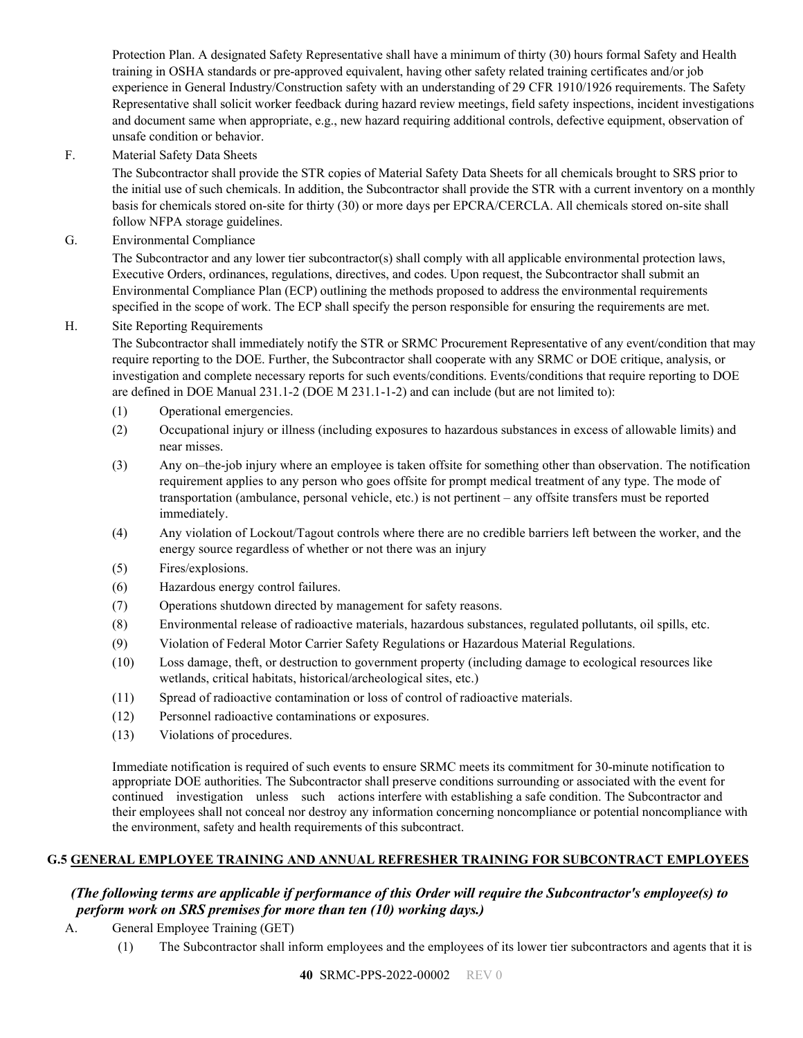Protection Plan. A designated Safety Representative shall have a minimum of thirty (30) hours formal Safety and Health training in OSHA standards or pre-approved equivalent, having other safety related training certificates and/or job experience in General Industry/Construction safety with an understanding of 29 CFR 1910/1926 requirements. The Safety Representative shall solicit worker feedback during hazard review meetings, field safety inspections, incident investigations and document same when appropriate, e.g., new hazard requiring additional controls, defective equipment, observation of unsafe condition or behavior.

F. Material Safety Data Sheets

The Subcontractor shall provide the STR copies of Material Safety Data Sheets for all chemicals brought to SRS prior to the initial use of such chemicals. In addition, the Subcontractor shall provide the STR with a current inventory on a monthly basis for chemicals stored on-site for thirty (30) or more days per EPCRA/CERCLA. All chemicals stored on-site shall follow NFPA storage guidelines.

G. Environmental Compliance

The Subcontractor and any lower tier subcontractor(s) shall comply with all applicable environmental protection laws, Executive Orders, ordinances, regulations, directives, and codes. Upon request, the Subcontractor shall submit an Environmental Compliance Plan (ECP) outlining the methods proposed to address the environmental requirements specified in the scope of work. The ECP shall specify the person responsible for ensuring the requirements are met.

#### H. Site Reporting Requirements

The Subcontractor shall immediately notify the STR or SRMC Procurement Representative of any event/condition that may require reporting to the DOE. Further, the Subcontractor shall cooperate with any SRMC or DOE critique, analysis, or investigation and complete necessary reports for such events/conditions. Events/conditions that require reporting to DOE are defined in DOE Manual 231.1-2 (DOE M 231.1-1-2) and can include (but are not limited to):

- (1) Operational emergencies.
- (2) Occupational injury or illness (including exposures to hazardous substances in excess of allowable limits) and near misses.
- (3) Any on–the-job injury where an employee is taken offsite for something other than observation. The notification requirement applies to any person who goes offsite for prompt medical treatment of any type. The mode of transportation (ambulance, personal vehicle, etc.) is not pertinent – any offsite transfers must be reported immediately.
- (4) Any violation of Lockout/Tagout controls where there are no credible barriers left between the worker, and the energy source regardless of whether or not there was an injury
- (5) Fires/explosions.
- (6) Hazardous energy control failures.
- (7) Operations shutdown directed by management for safety reasons.
- (8) Environmental release of radioactive materials, hazardous substances, regulated pollutants, oil spills, etc.
- (9) Violation of Federal Motor Carrier Safety Regulations or Hazardous Material Regulations.
- (10) Loss damage, theft, or destruction to government property (including damage to ecological resources like wetlands, critical habitats, historical/archeological sites, etc.)
- (11) Spread of radioactive contamination or loss of control of radioactive materials.
- (12) Personnel radioactive contaminations or exposures.
- (13) Violations of procedures.

Immediate notification is required of such events to ensure SRMC meets its commitment for 30-minute notification to appropriate DOE authorities. The Subcontractor shall preserve conditions surrounding or associated with the event for continued investigation unless such actions interfere with establishing a safe condition. The Subcontractor and their employees shall not conceal nor destroy any information concerning noncompliance or potential noncompliance with the environment, safety and health requirements of this subcontract.

# <span id="page-39-0"></span>**G.5 GENERAL EMPLOYEE TRAINING AND ANNUAL REFRESHER TRAINING FOR SUBCONTRACT EMPLOYEES**

# *(The following terms are applicable if performance of this Order will require the Subcontractor's employee(s) to perform work on SRS premises for more than ten (10) working days.)*

- A. General Employee Training (GET)
	- (1) The Subcontractor shall inform employees and the employees of its lower tier subcontractors and agents that it is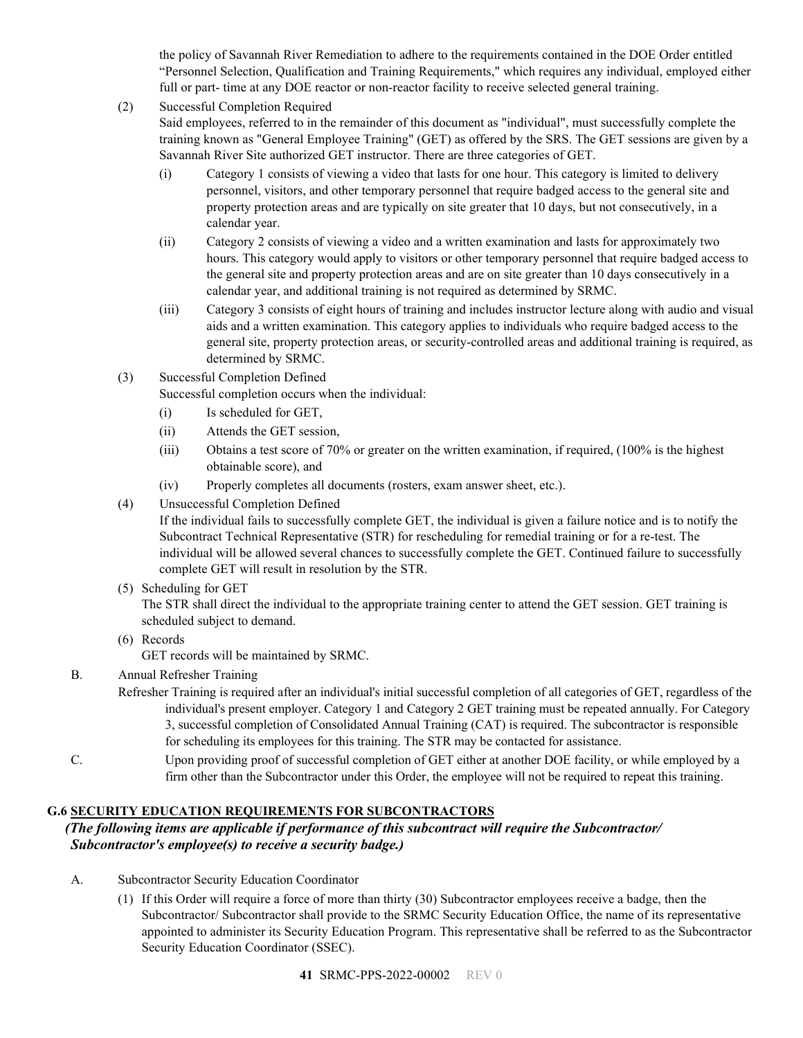the policy of Savannah River Remediation to adhere to the requirements contained in the DOE Order entitled "Personnel Selection, Qualification and Training Requirements," which requires any individual, employed either full or part- time at any DOE reactor or non-reactor facility to receive selected general training.

(2) Successful Completion Required

Said employees, referred to in the remainder of this document as "individual", must successfully complete the training known as "General Employee Training" (GET) as offered by the SRS. The GET sessions are given by a Savannah River Site authorized GET instructor. There are three categories of GET.

- (i) Category 1 consists of viewing a video that lasts for one hour. This category is limited to delivery personnel, visitors, and other temporary personnel that require badged access to the general site and property protection areas and are typically on site greater that 10 days, but not consecutively, in a calendar year.
- (ii) Category 2 consists of viewing a video and a written examination and lasts for approximately two hours. This category would apply to visitors or other temporary personnel that require badged access to the general site and property protection areas and are on site greater than 10 days consecutively in a calendar year, and additional training is not required as determined by SRMC.
- (iii) Category 3 consists of eight hours of training and includes instructor lecture along with audio and visual aids and a written examination. This category applies to individuals who require badged access to the general site, property protection areas, or security-controlled areas and additional training is required, as determined by SRMC.
- (3) Successful Completion Defined

Successful completion occurs when the individual:

- (i) Is scheduled for GET,
- (ii) Attends the GET session,
- (iii) Obtains a test score of 70% or greater on the written examination, if required, (100% is the highest obtainable score), and
- (iv) Properly completes all documents (rosters, exam answer sheet, etc.).
- (4) Unsuccessful Completion Defined

If the individual fails to successfully complete GET, the individual is given a failure notice and is to notify the Subcontract Technical Representative (STR) for rescheduling for remedial training or for a re-test. The individual will be allowed several chances to successfully complete the GET. Continued failure to successfully complete GET will result in resolution by the STR.

(5) Scheduling for GET

The STR shall direct the individual to the appropriate training center to attend the GET session. GET training is scheduled subject to demand.

(6) Records

GET records will be maintained by SRMC.

- B. Annual Refresher Training
	- Refresher Training is required after an individual's initial successful completion of all categories of GET, regardless of the individual's present employer. Category 1 and Category 2 GET training must be repeated annually. For Category 3, successful completion of Consolidated Annual Training (CAT) is required. The subcontractor is responsible for scheduling its employees for this training. The STR may be contacted for assistance.
- C. Upon providing proof of successful completion of GET either at another DOE facility, or while employed by a firm other than the Subcontractor under this Order, the employee will not be required to repeat this training.

# <span id="page-40-0"></span>**G.6 SECURITY EDUCATION REQUIREMENTS FOR SUBCONTRACTORS**

# *(The following items are applicable if performance of this subcontract will require the Subcontractor/ Subcontractor's employee(s) to receive a security badge.)*

- A. Subcontractor Security Education Coordinator
	- (1) If this Order will require a force of more than thirty (30) Subcontractor employees receive a badge, then the Subcontractor/ Subcontractor shall provide to the SRMC Security Education Office, the name of its representative appointed to administer its Security Education Program. This representative shall be referred to as the Subcontractor Security Education Coordinator (SSEC).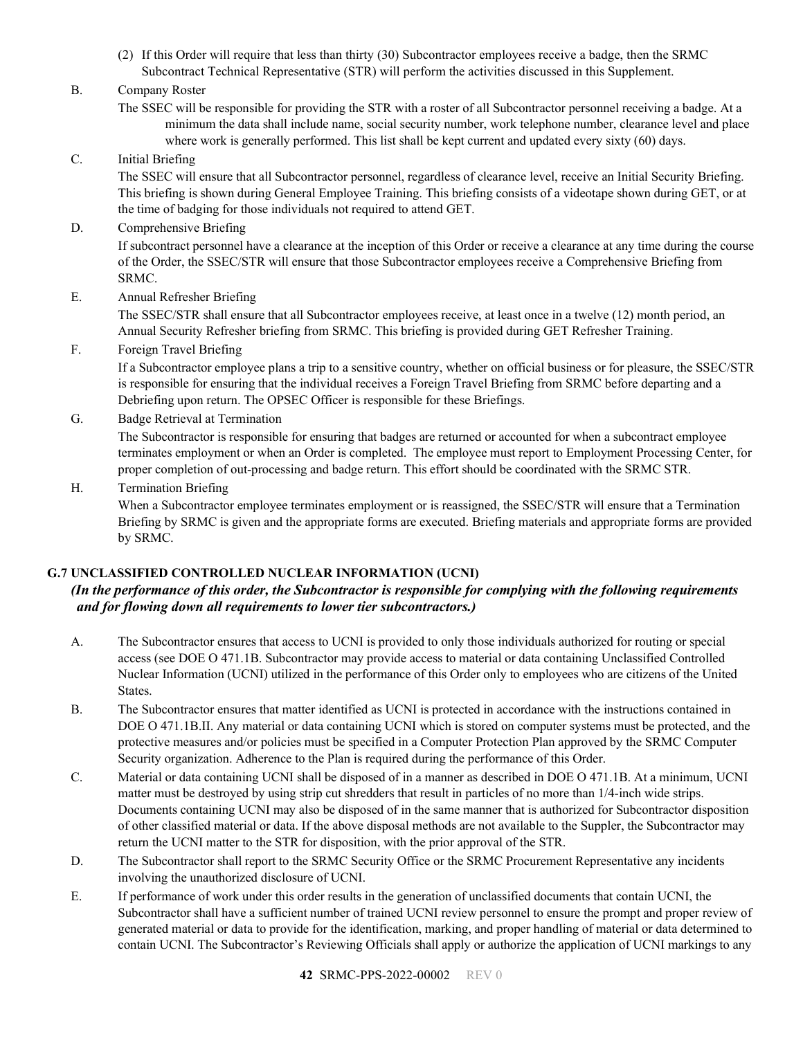(2) If this Order will require that less than thirty (30) Subcontractor employees receive a badge, then the SRMC Subcontract Technical Representative (STR) will perform the activities discussed in this Supplement.

# B. Company Roster

The SSEC will be responsible for providing the STR with a roster of all Subcontractor personnel receiving a badge. At a minimum the data shall include name, social security number, work telephone number, clearance level and place where work is generally performed. This list shall be kept current and updated every sixty (60) days.

# C. Initial Briefing

The SSEC will ensure that all Subcontractor personnel, regardless of clearance level, receive an Initial Security Briefing. This briefing is shown during General Employee Training. This briefing consists of a videotape shown during GET, or at the time of badging for those individuals not required to attend GET.

### D. Comprehensive Briefing

If subcontract personnel have a clearance at the inception of this Order or receive a clearance at any time during the course of the Order, the SSEC/STR will ensure that those Subcontractor employees receive a Comprehensive Briefing from SRMC.

E. Annual Refresher Briefing

The SSEC/STR shall ensure that all Subcontractor employees receive, at least once in a twelve (12) month period, an Annual Security Refresher briefing from SRMC. This briefing is provided during GET Refresher Training.

F. Foreign Travel Briefing

If a Subcontractor employee plans a trip to a sensitive country, whether on official business or for pleasure, the SSEC/STR is responsible for ensuring that the individual receives a Foreign Travel Briefing from SRMC before departing and a Debriefing upon return. The OPSEC Officer is responsible for these Briefings.

#### G. Badge Retrieval at Termination

The Subcontractor is responsible for ensuring that badges are returned or accounted for when a subcontract employee terminates employment or when an Order is completed. The employee must report to Employment Processing Center, for proper completion of out-processing and badge return. This effort should be coordinated with the SRMC STR.

H. Termination Briefing

When a Subcontractor employee terminates employment or is reassigned, the SSEC/STR will ensure that a Termination Briefing by SRMC is given and the appropriate forms are executed. Briefing materials and appropriate forms are provided by SRMC.

# <span id="page-41-0"></span>**G.7 UNCLASSIFIED CONTROLLED NUCLEAR INFORMATION (UCNI)**

# *(In the performance of this order, the Subcontractor is responsible for complying with the following requirements and for flowing down all requirements to lower tier subcontractors.)*

- A. The Subcontractor ensures that access to UCNI is provided to only those individuals authorized for routing or special access (see DOE O 471.1B. Subcontractor may provide access to material or data containing Unclassified Controlled Nuclear Information (UCNI) utilized in the performance of this Order only to employees who are citizens of the United States.
- B. The Subcontractor ensures that matter identified as UCNI is protected in accordance with the instructions contained in DOE O 471.1B.II. Any material or data containing UCNI which is stored on computer systems must be protected, and the protective measures and/or policies must be specified in a Computer Protection Plan approved by the SRMC Computer Security organization. Adherence to the Plan is required during the performance of this Order.
- C. Material or data containing UCNI shall be disposed of in a manner as described in DOE O 471.1B. At a minimum, UCNI matter must be destroyed by using strip cut shredders that result in particles of no more than 1/4-inch wide strips. Documents containing UCNI may also be disposed of in the same manner that is authorized for Subcontractor disposition of other classified material or data. If the above disposal methods are not available to the Suppler, the Subcontractor may return the UCNI matter to the STR for disposition, with the prior approval of the STR.
- D. The Subcontractor shall report to the SRMC Security Office or the SRMC Procurement Representative any incidents involving the unauthorized disclosure of UCNI.
- E. If performance of work under this order results in the generation of unclassified documents that contain UCNI, the Subcontractor shall have a sufficient number of trained UCNI review personnel to ensure the prompt and proper review of generated material or data to provide for the identification, marking, and proper handling of material or data determined to contain UCNI. The Subcontractor's Reviewing Officials shall apply or authorize the application of UCNI markings to any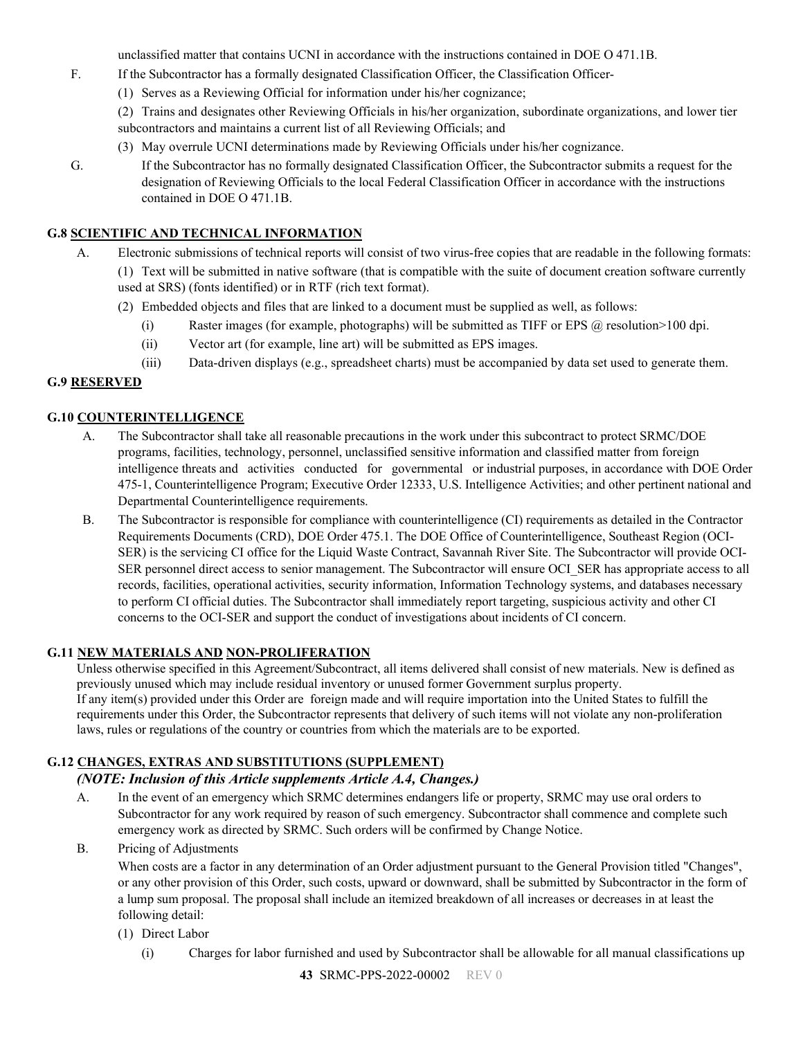unclassified matter that contains UCNI in accordance with the instructions contained in DOE O 471.1B.

- F. If the Subcontractor has a formally designated Classification Officer, the Classification Officer-
	- (1) Serves as a Reviewing Official for information under his/her cognizance;
	- (2) Trains and designates other Reviewing Officials in his/her organization, subordinate organizations, and lower tier subcontractors and maintains a current list of all Reviewing Officials; and
	- (3) May overrule UCNI determinations made by Reviewing Officials under his/her cognizance.
- G. If the Subcontractor has no formally designated Classification Officer, the Subcontractor submits a request for the designation of Reviewing Officials to the local Federal Classification Officer in accordance with the instructions contained in DOE O 471.1B.

# <span id="page-42-0"></span>**G.8 SCIENTIFIC AND TECHNICAL INFORMATION**

- A. Electronic submissions of technical reports will consist of two virus-free copies that are readable in the following formats: (1) Text will be submitted in native software (that is compatible with the suite of document creation software currently used at SRS) (fonts identified) or in RTF (rich text format).
	- (2) Embedded objects and files that are linked to a document must be supplied as well, as follows:
		- (i) Raster images (for example, photographs) will be submitted as TIFF or EPS  $\omega$  resolution>100 dpi.
		- (ii) Vector art (for example, line art) will be submitted as EPS images.
		- (iii) Data-driven displays (e.g., spreadsheet charts) must be accompanied by data set used to generate them.

# <span id="page-42-1"></span>**G.9 RESERVED**

# <span id="page-42-2"></span>**G.10 COUNTERINTELLIGENCE**

- A. The Subcontractor shall take all reasonable precautions in the work under this subcontract to protect SRMC/DOE programs, facilities, technology, personnel, unclassified sensitive information and classified matter from foreign intelligence threats and activities conducted for governmental or industrial purposes, in accordance with DOE Order 475-1, Counterintelligence Program; Executive Order 12333, U.S. Intelligence Activities; and other pertinent national and Departmental Counterintelligence requirements.
- B. The Subcontractor is responsible for compliance with counterintelligence (CI) requirements as detailed in the Contractor Requirements Documents (CRD), DOE Order 475.1. The DOE Office of Counterintelligence, Southeast Region (OCI-SER) is the servicing CI office for the Liquid Waste Contract, Savannah River Site. The Subcontractor will provide OCI-SER personnel direct access to senior management. The Subcontractor will ensure OCI\_SER has appropriate access to all records, facilities, operational activities, security information, Information Technology systems, and databases necessary to perform CI official duties. The Subcontractor shall immediately report targeting, suspicious activity and other CI concerns to the OCI-SER and support the conduct of investigations about incidents of CI concern.

# <span id="page-42-3"></span>**G.11 NEW MATERIALS AND NON-PROLIFERATION**

Unless otherwise specified in this Agreement/Subcontract, all items delivered shall consist of new materials. New is defined as previously unused which may include residual inventory or unused former Government surplus property. If any item(s) provided under this Order are foreign made and will require importation into the United States to fulfill the requirements under this Order, the Subcontractor represents that delivery of such items will not violate any non-proliferation laws, rules or regulations of the country or countries from which the materials are to be exported.

# <span id="page-42-4"></span>**G.12 CHANGES, EXTRAS AND SUBSTITUTIONS (SUPPLEMENT)**

# *(NOTE: Inclusion of this Article supplements Article A.4, Changes.)*

- A. In the event of an emergency which SRMC determines endangers life or property, SRMC may use oral orders to Subcontractor for any work required by reason of such emergency. Subcontractor shall commence and complete such emergency work as directed by SRMC. Such orders will be confirmed by Change Notice.
- B. Pricing of Adjustments

When costs are a factor in any determination of an Order adjustment pursuant to the General Provision titled "Changes", or any other provision of this Order, such costs, upward or downward, shall be submitted by Subcontractor in the form of a lump sum proposal. The proposal shall include an itemized breakdown of all increases or decreases in at least the following detail:

- (1) Direct Labor
	- (i) Charges for labor furnished and used by Subcontractor shall be allowable for all manual classifications up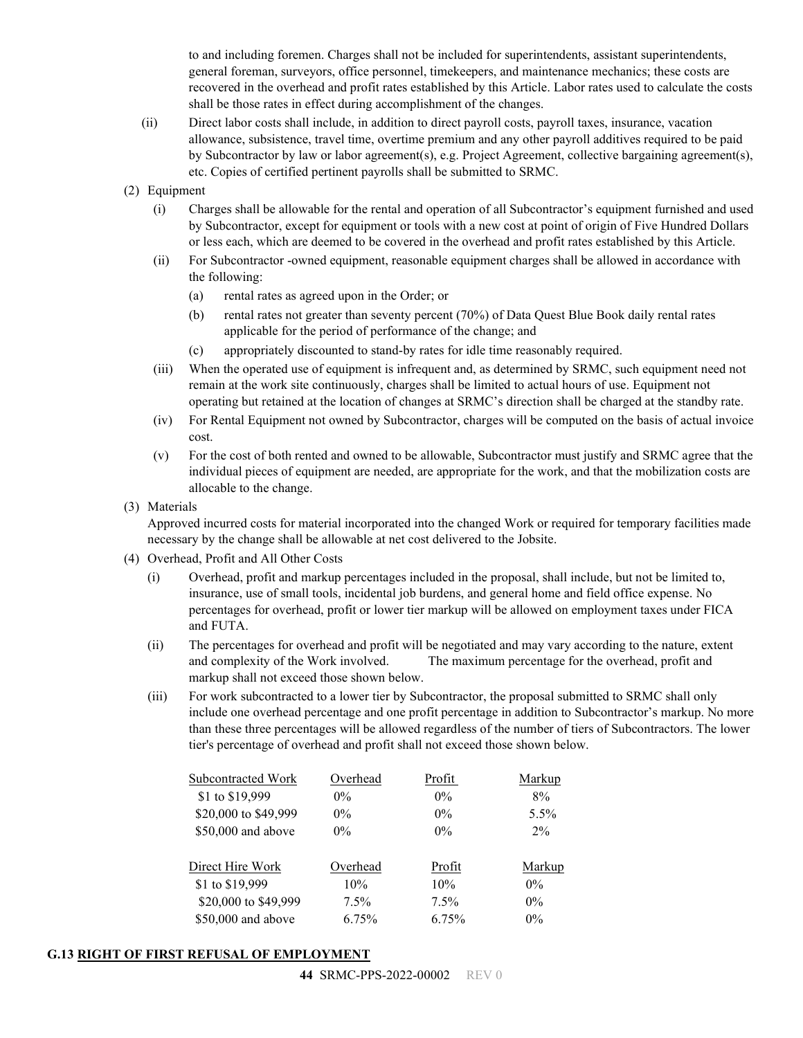to and including foremen. Charges shall not be included for superintendents, assistant superintendents, general foreman, surveyors, office personnel, timekeepers, and maintenance mechanics; these costs are recovered in the overhead and profit rates established by this Article. Labor rates used to calculate the costs shall be those rates in effect during accomplishment of the changes.

- (ii) Direct labor costs shall include, in addition to direct payroll costs, payroll taxes, insurance, vacation allowance, subsistence, travel time, overtime premium and any other payroll additives required to be paid by Subcontractor by law or labor agreement(s), e.g. Project Agreement, collective bargaining agreement(s), etc. Copies of certified pertinent payrolls shall be submitted to SRMC.
- (2) Equipment
	- (i) Charges shall be allowable for the rental and operation of all Subcontractor's equipment furnished and used by Subcontractor, except for equipment or tools with a new cost at point of origin of Five Hundred Dollars or less each, which are deemed to be covered in the overhead and profit rates established by this Article.
	- (ii) For Subcontractor -owned equipment, reasonable equipment charges shall be allowed in accordance with the following:
		- (a) rental rates as agreed upon in the Order; or
		- (b) rental rates not greater than seventy percent (70%) of Data Quest Blue Book daily rental rates applicable for the period of performance of the change; and
		- (c) appropriately discounted to stand-by rates for idle time reasonably required.
	- (iii) When the operated use of equipment is infrequent and, as determined by SRMC, such equipment need not remain at the work site continuously, charges shall be limited to actual hours of use. Equipment not operating but retained at the location of changes at SRMC's direction shall be charged at the standby rate.
	- (iv) For Rental Equipment not owned by Subcontractor, charges will be computed on the basis of actual invoice cost.
	- (v) For the cost of both rented and owned to be allowable, Subcontractor must justify and SRMC agree that the individual pieces of equipment are needed, are appropriate for the work, and that the mobilization costs are allocable to the change.
- (3) Materials

Approved incurred costs for material incorporated into the changed Work or required for temporary facilities made necessary by the change shall be allowable at net cost delivered to the Jobsite.

- (4) Overhead, Profit and All Other Costs
	- (i) Overhead, profit and markup percentages included in the proposal, shall include, but not be limited to, insurance, use of small tools, incidental job burdens, and general home and field office expense. No percentages for overhead, profit or lower tier markup will be allowed on employment taxes under FICA and FUTA.
	- (ii) The percentages for overhead and profit will be negotiated and may vary according to the nature, extent and complexity of the Work involved. The maximum percentage for the overhead, profit and markup shall not exceed those shown below.
	- (iii) For work subcontracted to a lower tier by Subcontractor, the proposal submitted to SRMC shall only include one overhead percentage and one profit percentage in addition to Subcontractor's markup. No more than these three percentages will be allowed regardless of the number of tiers of Subcontractors. The lower tier's percentage of overhead and profit shall not exceed those shown below.

| Subcontracted Work   | Overhead | Profit | <b>Markup</b> |
|----------------------|----------|--------|---------------|
| \$1 to \$19,999      | $0\%$    | $0\%$  | 8%            |
| \$20,000 to \$49,999 | $0\%$    | $0\%$  | 5.5%          |
| \$50,000 and above   | $0\%$    | $0\%$  | $2\%$         |
| Direct Hire Work     | Overhead | Profit | Markup        |
| \$1 to \$19,999      | 10%      | 10%    | $0\%$         |
| \$20,000 to \$49,999 | $7.5\%$  | 7.5%   | $0\%$         |
| \$50,000 and above   | 6.75%    | 6.75%  | $0\%$         |

#### <span id="page-43-0"></span>**G.13 RIGHT OF FIRST REFUSAL OF EMPLOYMENT**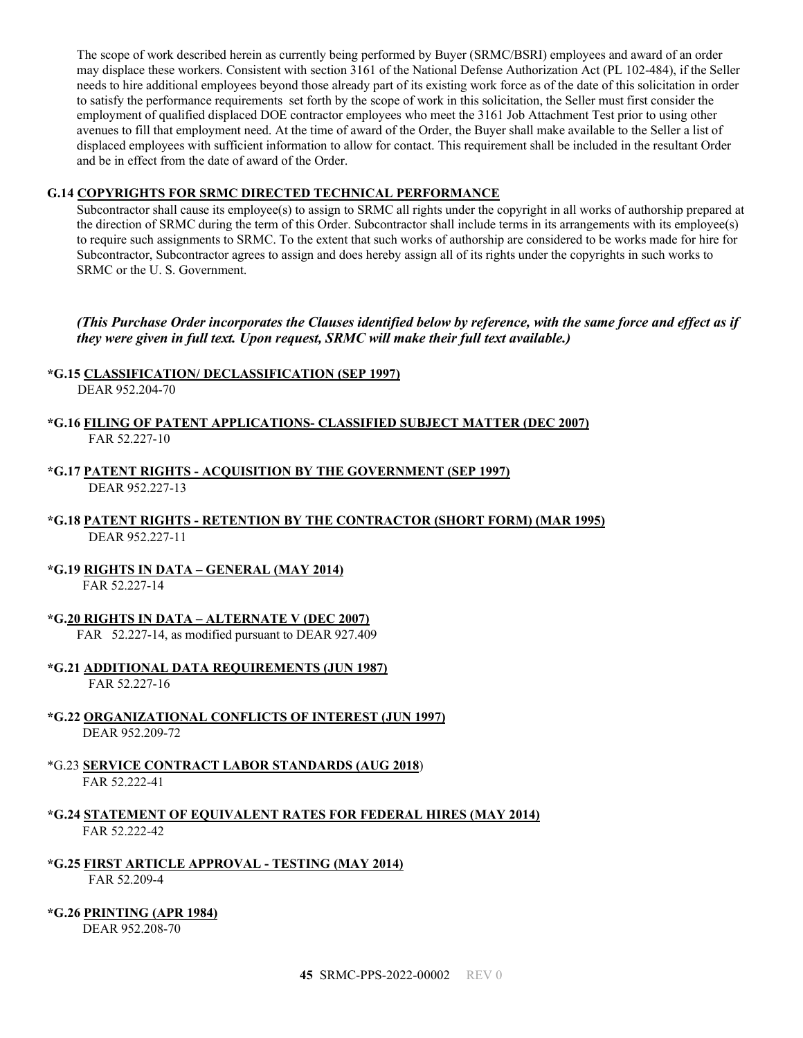The scope of work described herein as currently being performed by Buyer (SRMC/BSRI) employees and award of an order may displace these workers. Consistent with section 3161 of the National Defense Authorization Act (PL 102-484), if the Seller needs to hire additional employees beyond those already part of its existing work force as of the date of this solicitation in order to satisfy the performance requirements set forth by the scope of work in this solicitation, the Seller must first consider the employment of qualified displaced DOE contractor employees who meet the 3161 Job Attachment Test prior to using other avenues to fill that employment need. At the time of award of the Order, the Buyer shall make available to the Seller a list of displaced employees with sufficient information to allow for contact. This requirement shall be included in the resultant Order and be in effect from the date of award of the Order.

#### <span id="page-44-0"></span>**G.14 COPYRIGHTS FOR SRMC DIRECTED TECHNICAL PERFORMANCE**

Subcontractor shall cause its employee(s) to assign to SRMC all rights under the copyright in all works of authorship prepared at the direction of SRMC during the term of this Order. Subcontractor shall include terms in its arrangements with its employee(s) to require such assignments to SRMC. To the extent that such works of authorship are considered to be works made for hire for Subcontractor, Subcontractor agrees to assign and does hereby assign all of its rights under the copyrights in such works to SRMC or the U. S. Government.

### *(This Purchase Order incorporates the Clauses identified below by reference, with the same force and effect as if they were given in full text. Upon request, SRMC will make their full text available.)*

#### <span id="page-44-1"></span>**\*G.15 CLASSIFICATION/ DECLASSIFICATION (SEP 1997)**

DEAR 952.204-70

#### <span id="page-44-2"></span>**\*G.16 FILING OF PATENT APPLICATIONS- CLASSIFIED SUBJECT MATTER (DEC 2007)** FAR 52.227-10

<span id="page-44-3"></span>**\*G.17 PATENT RIGHTS - ACQUISITION BY THE GOVERNMENT (SEP 1997)** DEAR 952.227-13

#### <span id="page-44-4"></span>**\*G.18 PATENT RIGHTS - RETENTION BY THE CONTRACTOR (SHORT FORM) (MAR 1995)** DEAR 952.227-11

- <span id="page-44-5"></span>**\*G.19 RIGHTS IN DATA – GENERAL (MAY 2014)** FAR 52.227-14
- <span id="page-44-6"></span>**\*G.20 RIGHTS IN DATA – ALTERNATE V (DEC 2007)** FAR 52.227-14, as modified pursuant to DEAR 927.409
- <span id="page-44-7"></span>**\*G.21 ADDITIONAL DATA REQUIREMENTS (JUN 1987)** FAR 52.227-16
- <span id="page-44-8"></span>**\*G.22 ORGANIZATIONAL CONFLICTS OF INTEREST (JUN 1997)** DEAR 952.209-72
- <span id="page-44-9"></span>\*G.23 **SERVICE CONTRACT LABOR STANDARDS (AUG 2018**) FAR 52.222-41
- <span id="page-44-10"></span>**\*G.24 STATEMENT OF EQUIVALENT RATES FOR FEDERAL HIRES (MAY 2014)** FAR 52.222-42
- <span id="page-44-11"></span>**\*G.25 FIRST ARTICLE APPROVAL - TESTING (MAY 2014)** FAR 52.209-4
- <span id="page-44-12"></span>**\*G.26 PRINTING (APR 1984)**

DEAR 952.208-70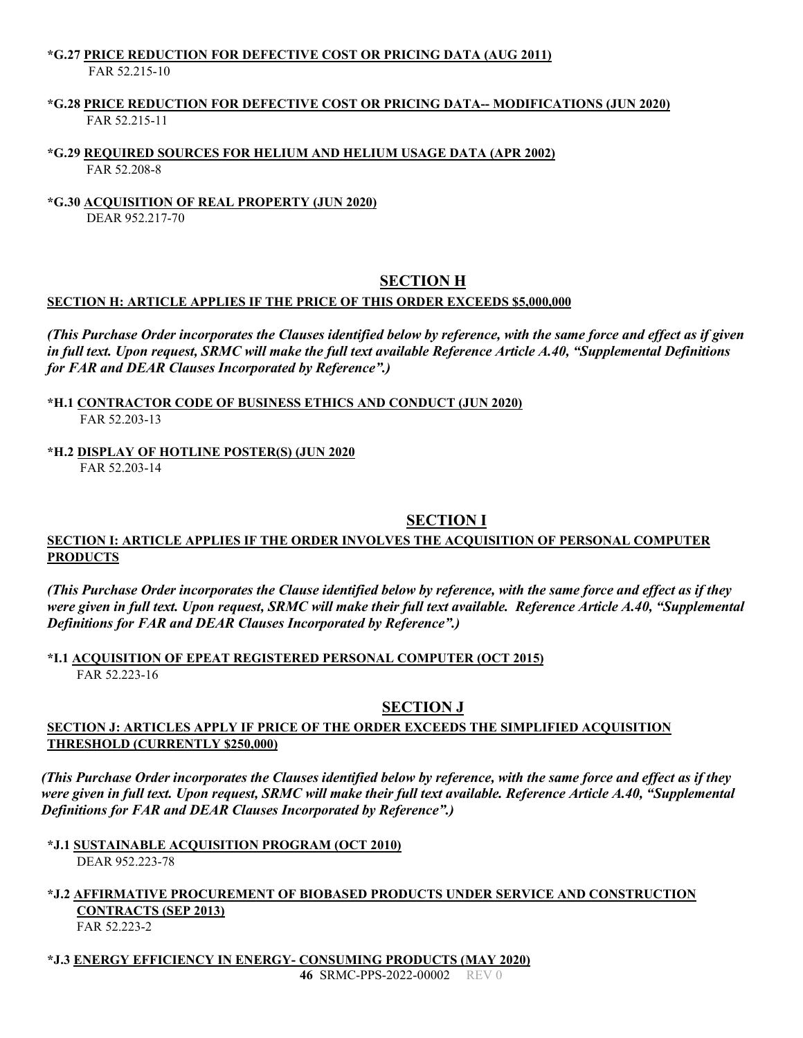# <span id="page-45-0"></span>**\*G.27 PRICE REDUCTION FOR DEFECTIVE COST OR PRICING DATA (AUG 2011)**

FAR 52.215-10

# <span id="page-45-1"></span>**\*G.28 PRICE REDUCTION FOR DEFECTIVE COST OR PRICING DATA-- MODIFICATIONS (JUN 2020)** FAR 52.215-11

<span id="page-45-2"></span>**\*G.29 REQUIRED SOURCES FOR HELIUM AND HELIUM USAGE DATA (APR 2002)** FAR 52.208-8

<span id="page-45-3"></span>**\*G.30 ACQUISITION OF REAL PROPERTY (JUN 2020)**

DEAR 952.217-70

# **SECTION H**

# <span id="page-45-5"></span><span id="page-45-4"></span>**SECTION H: ARTICLE APPLIES IF THE PRICE OF THIS ORDER EXCEEDS \$5,000,000**

*(This Purchase Order incorporates the Clauses identified below by reference, with the same force and effect as if given in full text. Upon request, SRMC will make the full text available Reference Article A.40, "Supplemental Definitions for FAR and DEAR Clauses Incorporated by Reference".)*

# <span id="page-45-6"></span>**\*H.1 CONTRACTOR CODE OF BUSINESS ETHICS AND CONDUCT (JUN 2020)**

FAR 52.203-13

<span id="page-45-7"></span>**\*H.2 DISPLAY OF HOTLINE POSTER(S) (JUN 2020** FAR 52.203-14

# **SECTION I**

# <span id="page-45-9"></span><span id="page-45-8"></span>**SECTION I: ARTICLE APPLIES IF THE ORDER INVOLVES THE ACQUISITION OF PERSONAL COMPUTER PRODUCTS**

*(This Purchase Order incorporates the Clause identified below by reference, with the same force and effect as if they were given in full text. Upon request, SRMC will make their full text available. Reference Article A.40, "Supplemental Definitions for FAR and DEAR Clauses Incorporated by Reference".)*

<span id="page-45-11"></span><span id="page-45-10"></span>**\*I.1 ACQUISITION OF EPEAT REGISTERED PERSONAL COMPUTER (OCT 2015)** FAR 52.223-16

# **SECTION J**

# <span id="page-45-12"></span>**SECTION J: ARTICLES APPLY IF PRICE OF THE ORDER EXCEEDS THE SIMPLIFIED ACQUISITION THRESHOLD (CURRENTLY \$250,000)**

*(This Purchase Order incorporates the Clauses identified below by reference, with the same force and effect as if they were given in full text. Upon request, SRMC will make their full text available. Reference Article A.40, "Supplemental Definitions for FAR and DEAR Clauses Incorporated by Reference".)*

<span id="page-45-13"></span>**\*J.1 SUSTAINABLE ACQUISITION PROGRAM (OCT 2010)** DEAR 952.223-78

#### <span id="page-45-14"></span>**\*J.2 AFFIRMATIVE PROCUREMENT OF BIOBASED PRODUCTS UNDER SERVICE AND CONSTRUCTION CONTRACTS (SEP 2013)** FAR 52.223-2

<span id="page-45-15"></span>**46** SRMC-PPS-2022-00002 REV 0 **\*J.3 ENERGY EFFICIENCY IN ENERGY- CONSUMING PRODUCTS (MAY 2020)**